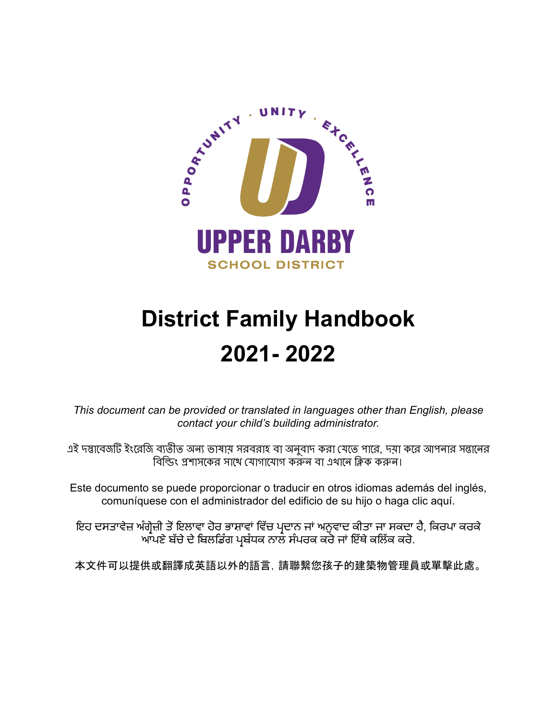

# **District Family Handbook 2021- 2022**

*This document can be provided or translated in languages other than English, please contact your child's building administrator.*

এই দস্তাবেজটি ইংরেজি ব্যতীত অন্য ভাষায় সরবরাহ বা অনুবাদ করা যেতে পারে, দয়া করে আপনার সন্তানের বিল্ডিং প্রশাসকের সাথে যোগাযোগ করুন বা এখানে ক্লিক করুন।

Este documento se puede proporcionar o traducir en otros idiomas además del inglés, comuníquese con el administrador del edificio de su hijo o haga clic aquí.

ਇਹ ਦਸਤਾਵੇਜ਼ ਅੰਗ੍ਰੇਜ਼ੀ ਤੋਂਇਲਾਵਾ ਹੋਰ ਭਾਸ਼ਾਵਾਂ ਵਿੱਚ ਪ੍ਰਦਾਨ ਜਾਂ ਅਨੁਵਾਦ ਕੀਤਾ ਜਾ ਸਕਦਾ ਹੈ, ਕਿਰਪਾ ਕਰਕੇ ਆਪਣੇ ਬੱਚੇ ਦੇ ਬਿਲਡਿੰਗ ਪ੍ਰਬੰਧਕ ਨਾਲ ਸੰਪਰਕ ਕਰੋ ਜਾਂ ਇੱਥੇ ਕਲਿੱਕ ਕਰੋ.

本文件可以提供或翻譯成英語以外的語言,請聯繫您孩子的建築物管理員或單擊此處。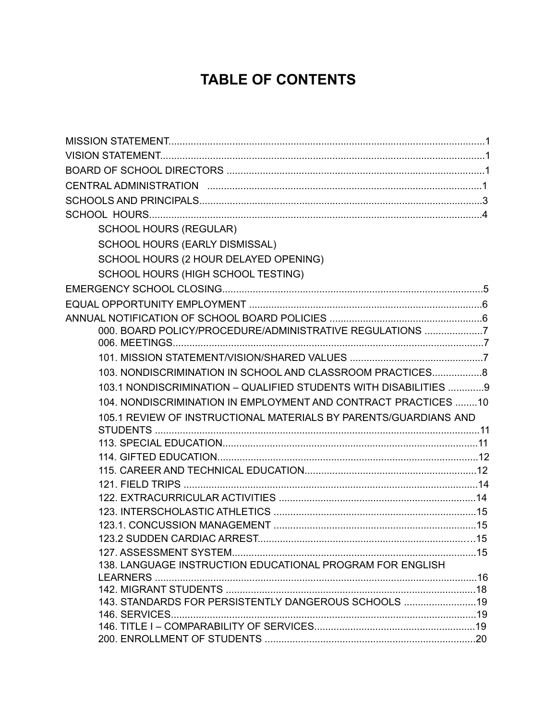# **TABLE OF CONTENTS**

| <b>SCHOOL HOURS (REGULAR)</b>                                    |  |
|------------------------------------------------------------------|--|
| SCHOOL HOURS (EARLY DISMISSAL)                                   |  |
| SCHOOL HOURS (2 HOUR DELAYED OPENING)                            |  |
| SCHOOL HOURS (HIGH SCHOOL TESTING)                               |  |
|                                                                  |  |
|                                                                  |  |
|                                                                  |  |
| 000. BOARD POLICY/PROCEDURE/ADMINISTRATIVE REGULATIONS 7         |  |
|                                                                  |  |
|                                                                  |  |
| 103. NONDISCRIMINATION IN SCHOOL AND CLASSROOM PRACTICES8        |  |
| 103.1 NONDISCRIMINATION - QUALIFIED STUDENTS WITH DISABILITIES 9 |  |
| 104. NONDISCRIMINATION IN EMPLOYMENT AND CONTRACT PRACTICES 10   |  |
| 105.1 REVIEW OF INSTRUCTIONAL MATERIALS BY PARENTS/GUARDIANS AND |  |
|                                                                  |  |
|                                                                  |  |
|                                                                  |  |
|                                                                  |  |
|                                                                  |  |
|                                                                  |  |
|                                                                  |  |
|                                                                  |  |
|                                                                  |  |
| 138. LANGUAGE INSTRUCTION EDUCATIONAL PROGRAM FOR ENGLISH        |  |
|                                                                  |  |
|                                                                  |  |
| 143. STANDARDS FOR PERSISTENTLY DANGEROUS SCHOOLS 19             |  |
|                                                                  |  |
|                                                                  |  |
|                                                                  |  |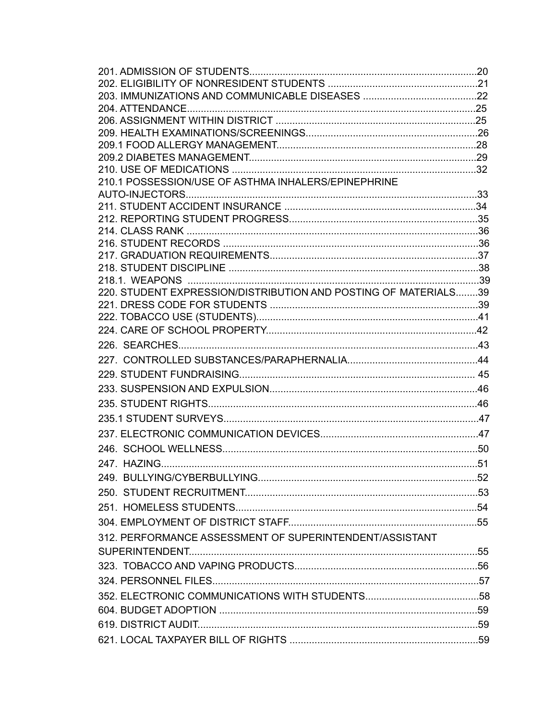| 210.1 POSSESSION/USE OF ASTHMA INHALERS/EPINEPHRINE             |  |
|-----------------------------------------------------------------|--|
|                                                                 |  |
|                                                                 |  |
|                                                                 |  |
|                                                                 |  |
|                                                                 |  |
|                                                                 |  |
|                                                                 |  |
| 220. STUDENT EXPRESSION/DISTRIBUTION AND POSTING OF MATERIALS39 |  |
|                                                                 |  |
|                                                                 |  |
|                                                                 |  |
|                                                                 |  |
|                                                                 |  |
|                                                                 |  |
|                                                                 |  |
|                                                                 |  |
|                                                                 |  |
|                                                                 |  |
|                                                                 |  |
|                                                                 |  |
|                                                                 |  |
|                                                                 |  |
|                                                                 |  |
|                                                                 |  |
| 312. PERFORMANCE ASSESSMENT OF SUPERINTENDENT/ASSISTANT         |  |
|                                                                 |  |
|                                                                 |  |
|                                                                 |  |
|                                                                 |  |
|                                                                 |  |
|                                                                 |  |
|                                                                 |  |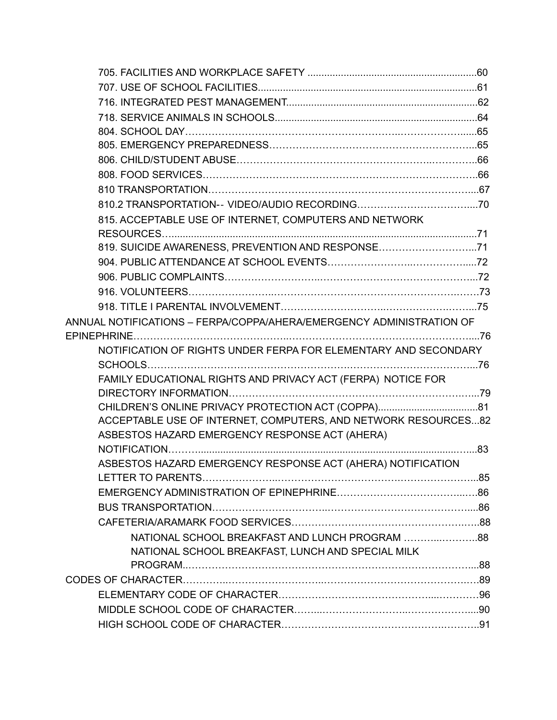| 815. ACCEPTABLE USE OF INTERNET, COMPUTERS AND NETWORK                                                           |  |
|------------------------------------------------------------------------------------------------------------------|--|
|                                                                                                                  |  |
| 819. SUICIDE AWARENESS, PREVENTION AND RESPONSE71                                                                |  |
|                                                                                                                  |  |
|                                                                                                                  |  |
|                                                                                                                  |  |
|                                                                                                                  |  |
| ANNUAL NOTIFICATIONS – FERPA/COPPA/AHERA/EMERGENCY ADMINISTRATION OF                                             |  |
|                                                                                                                  |  |
| NOTIFICATION OF RIGHTS UNDER FERPA FOR ELEMENTARY AND SECONDARY                                                  |  |
|                                                                                                                  |  |
| FAMILY EDUCATIONAL RIGHTS AND PRIVACY ACT (FERPA) NOTICE FOR                                                     |  |
|                                                                                                                  |  |
|                                                                                                                  |  |
| ACCEPTABLE USE OF INTERNET, COMPUTERS, AND NETWORK RESOURCES82<br>ASBESTOS HAZARD EMERGENCY RESPONSE ACT (AHERA) |  |
|                                                                                                                  |  |
| ASBESTOS HAZARD EMERGENCY RESPONSE ACT (AHERA) NOTIFICATION                                                      |  |
|                                                                                                                  |  |
|                                                                                                                  |  |
|                                                                                                                  |  |
|                                                                                                                  |  |
|                                                                                                                  |  |
| NATIONAL SCHOOL BREAKFAST, LUNCH AND SPECIAL MILK                                                                |  |
|                                                                                                                  |  |
|                                                                                                                  |  |
|                                                                                                                  |  |
|                                                                                                                  |  |
|                                                                                                                  |  |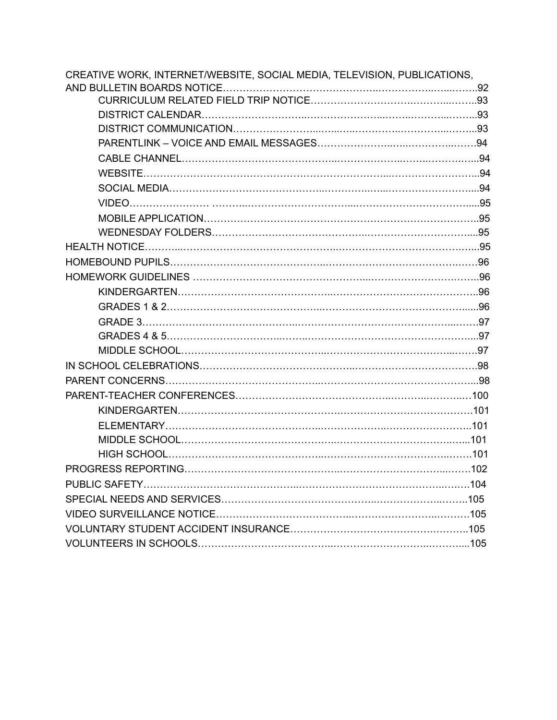| CREATIVE WORK, INTERNET/WEBSITE, SOCIAL MEDIA, TELEVISION, PUBLICATIONS, |  |
|--------------------------------------------------------------------------|--|
|                                                                          |  |
|                                                                          |  |
|                                                                          |  |
|                                                                          |  |
|                                                                          |  |
|                                                                          |  |
|                                                                          |  |
|                                                                          |  |
|                                                                          |  |
|                                                                          |  |
|                                                                          |  |
|                                                                          |  |
|                                                                          |  |
|                                                                          |  |
|                                                                          |  |
|                                                                          |  |
|                                                                          |  |
|                                                                          |  |
|                                                                          |  |
|                                                                          |  |
|                                                                          |  |
|                                                                          |  |
|                                                                          |  |
|                                                                          |  |
|                                                                          |  |
|                                                                          |  |
|                                                                          |  |
|                                                                          |  |
|                                                                          |  |
|                                                                          |  |
|                                                                          |  |
|                                                                          |  |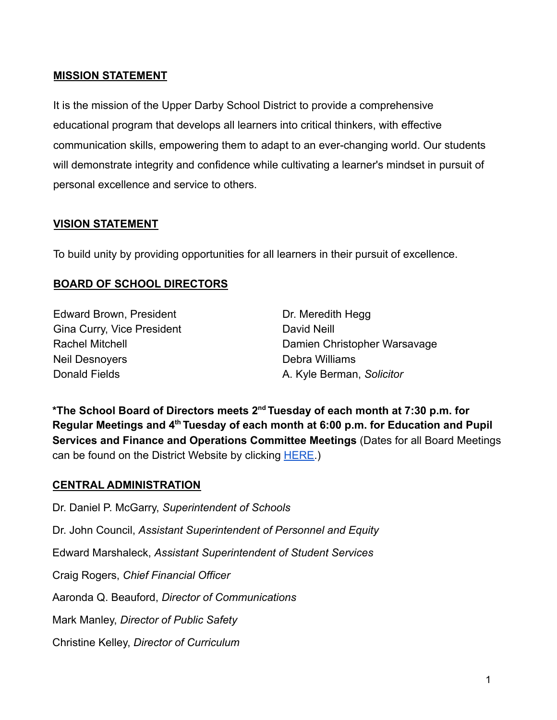#### **MISSION STATEMENT**

It is the mission of the Upper Darby School District to provide a comprehensive educational program that develops all learners into critical thinkers, with effective communication skills, empowering them to adapt to an ever-changing world. Our students will demonstrate integrity and confidence while cultivating a learner's mindset in pursuit of personal excellence and service to others.

#### **VISION STATEMENT**

To build unity by providing opportunities for all learners in their pursuit of excellence.

#### **BOARD OF SCHOOL DIRECTORS**

Edward Brown, President Gina Curry, Vice President Rachel Mitchell Neil Desnoyers Donald Fields

Dr. Meredith Hegg David Neill Damien Christopher Warsavage Debra Williams A. Kyle Berman, *Solicitor*

**\*The School Board of Directors meets 2nd Tuesday of each month at 7:30 p.m. for Regular Meetings and 4th Tuesday of each month at 6:00 p.m. for Education and Pupil Services and Finance and Operations Committee Meetings** (Dates for all Board Meetings can be found on the District Website by clicking [HERE.](https://www.upperdarbysd.org/Page/1932))

#### **CENTRAL ADMINISTRATION**

Dr. Daniel P. McGarry, *Superintendent of Schools* Dr. John Council, *Assistant Superintendent of Personnel and Equity* Edward Marshaleck, *Assistant Superintendent of Student Services* Craig Rogers, *Chief Financial Officer* Aaronda Q. Beauford, *Director of Communications* Mark Manley, *Director of Public Safety* Christine Kelley, *Director of Curriculum*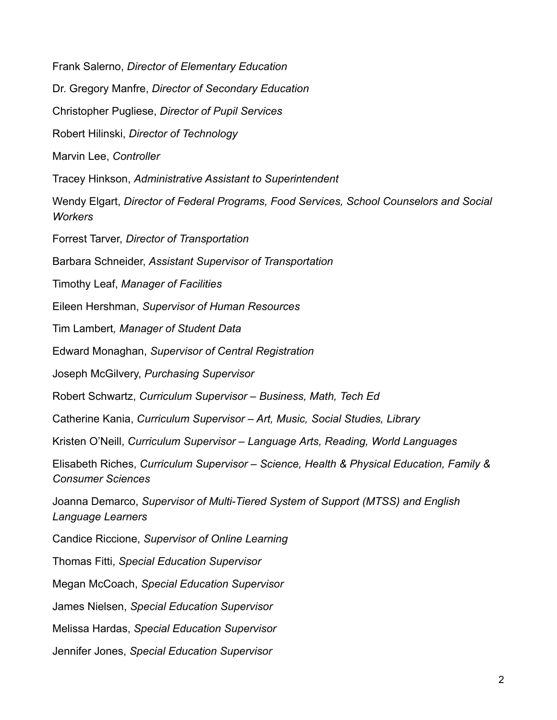Frank Salerno, *Director of Elementary Education* Dr. Gregory Manfre, *Director of Secondary Education* Christopher Pugliese, *Director of Pupil Services* Robert Hilinski, *Director of Technology* Marvin Lee, *Controller* Tracey Hinkson, *Administrative Assistant to Superintendent* Wendy Elgart, *Director of Federal Programs, Food Services, School Counselors and Social Workers* Forrest Tarver, *Director of Transportation* Barbara Schneider, *Assistant Supervisor of Transportation* Timothy Leaf, *Manager of Facilities* Eileen Hershman, *Supervisor of Human Resources* Tim Lambert*, Manager of Student Data* Edward Monaghan, *Supervisor of Central Registration* Joseph McGilvery, *Purchasing Supervisor* Robert Schwartz, *Curriculum Supervisor – Business, Math, Tech Ed* Catherine Kania, *Curriculum Supervisor – Art, Music, Social Studies, Library* Kristen O'Neill, *Curriculum Supervisor – Language Arts, Reading, World Languages* Elisabeth Riches, *Curriculum Supervisor – Science, Health & Physical Education, Family & Consumer Sciences* Joanna Demarco, *Supervisor of Multi-Tiered System of Support (MTSS) and English Language Learners* Candice Riccione, *Supervisor of Online Learning* Thomas Fitti, *Special Education Supervisor* Megan McCoach, *Special Education Supervisor* James Nielsen, *Special Education Supervisor* Melissa Hardas, *Special Education Supervisor* Jennifer Jones, *Special Education Supervisor*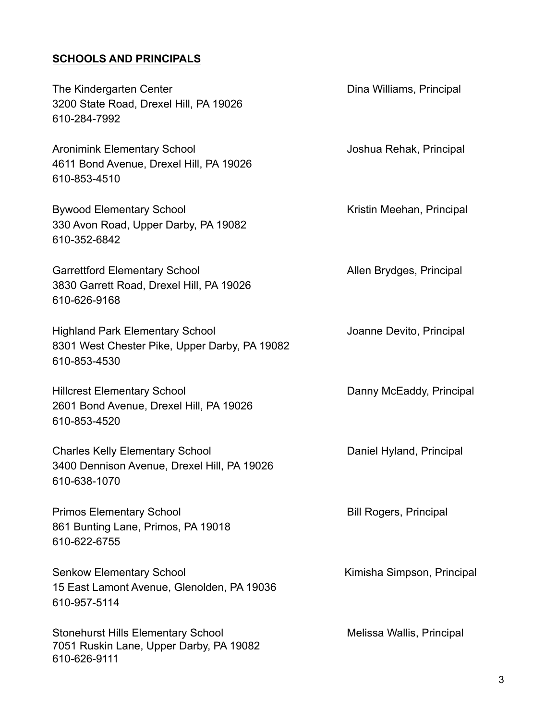#### **SCHOOLS AND PRINCIPALS**

The Kindergarten Center **Dina Williams**, Principal 3200 State Road, Drexel Hill, PA 19026 610-284-7992

Aronimink Elementary School and The Muslim Joshua Rehak, Principal 4611 Bond Avenue, Drexel Hill, PA 19026 610-853-4510

Bywood Elementary School **Kristin Meehan, Principal** 330 Avon Road, Upper Darby, PA 19082 610-352-6842

Garrettford Elementary School **Allen Brydges**, Principal 3830 Garrett Road, Drexel Hill, PA 19026 610-626-9168

Highland Park Elementary School Joanne Devito, Principal 8301 West Chester Pike, Upper Darby, PA 19082 610-853-4530

Hillcrest Elementary School **Danny McEaddy, Principal** 2601 Bond Avenue, Drexel Hill, PA 19026 610-853-4520

Charles Kelly Elementary School **Daniel Hyland, Principal** 3400 Dennison Avenue, Drexel Hill, PA 19026 610-638-1070

Primos Elementary School and Bill Rogers, Principal 861 Bunting Lane, Primos, PA 19018 610-622-6755

Senkow Elementary School **Kimisha Simpson, Principal** 15 East Lamont Avenue, Glenolden, PA 19036 610-957-5114

Stonehurst Hills Elementary School **Melissa Wallis, Principal** 7051 Ruskin Lane, Upper Darby, PA 19082 610-626-9111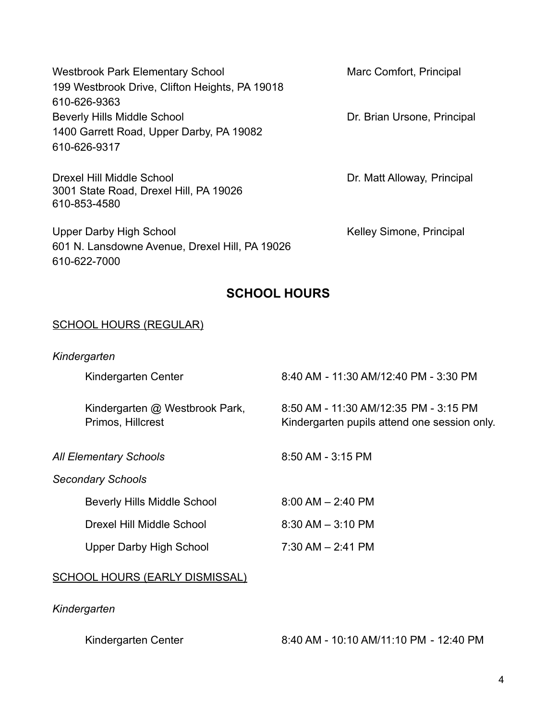| <b>Westbrook Park Elementary School</b>        |
|------------------------------------------------|
| 199 Westbrook Drive, Clifton Heights, PA 19018 |
| 610-626-9363                                   |
| <b>Beverly Hills Middle School</b>             |
| 1400 Garrett Road, Upper Darby, PA 19082       |
| 610-626-9317                                   |

3001 State Road, Drexel Hill, PA 19026

610-853-4580

Marc Comfort, Principal

Dr. Brian Ursone, Principal

Drexel Hill Middle School Dr. Matt Alloway, Principal

Upper Darby High School News Assessment Reliev Simone, Principal 601 N. Lansdowne Avenue, Drexel Hill, PA 19026 610-622-7000

# **SCHOOL HOURS**

#### SCHOOL HOURS (REGULAR)

| Kindergarten                                        |                                                                                       |
|-----------------------------------------------------|---------------------------------------------------------------------------------------|
| Kindergarten Center                                 | 8:40 AM - 11:30 AM/12:40 PM - 3:30 PM                                                 |
| Kindergarten @ Westbrook Park,<br>Primos, Hillcrest | 8:50 AM - 11:30 AM/12:35 PM - 3:15 PM<br>Kindergarten pupils attend one session only. |
| <b>All Elementary Schools</b>                       | 8:50 AM - 3:15 PM                                                                     |
| <b>Secondary Schools</b>                            |                                                                                       |
| <b>Beverly Hills Middle School</b>                  | $8.00$ AM $- 2.40$ PM                                                                 |
| Drexel Hill Middle School                           | $8:30$ AM $-3:10$ PM                                                                  |
| Upper Darby High School                             | $7:30$ AM $- 2:41$ PM                                                                 |
| SCHOOL HOURS (EARLY DISMISSAL)                      |                                                                                       |

#### *Kindergarten*

| Kindergarten Center | 8:40 AM - 10:10 AM/11:10 PM - 12:40 PM |
|---------------------|----------------------------------------|
|---------------------|----------------------------------------|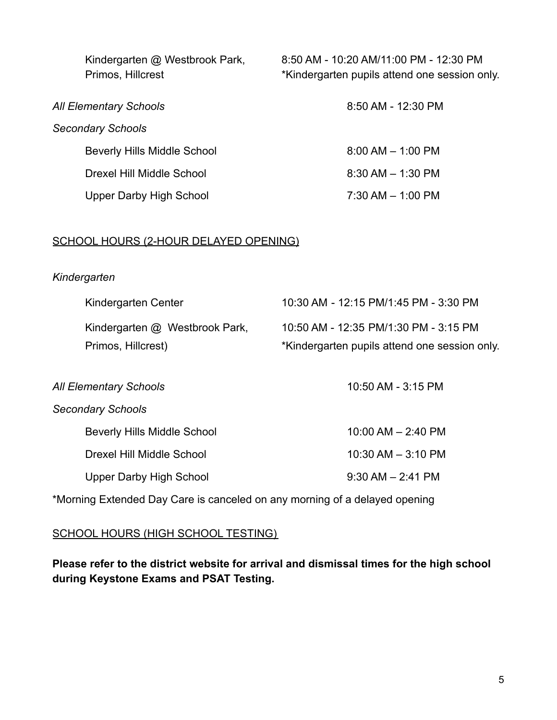| Kindergarten @ Westbrook Park,<br>Primos, Hillcrest | 8:50 AM - 10:20 AM/11:00 PM - 12:30 PM<br>*Kindergarten pupils attend one session only. |
|-----------------------------------------------------|-----------------------------------------------------------------------------------------|
| All Elementary Schools                              | 8:50 AM - 12:30 PM                                                                      |
| <b>Secondary Schools</b>                            |                                                                                         |
| <b>Beverly Hills Middle School</b>                  | $8:00$ AM $-$ 1:00 PM                                                                   |
| Drexel Hill Middle School                           | $8:30$ AM $- 1:30$ PM                                                                   |
| <b>Upper Darby High School</b>                      | $7:30$ AM $-$ 1:00 PM                                                                   |

#### SCHOOL HOURS (2-HOUR DELAYED OPENING)

#### *Kindergarten*

| Kindergarten Center            | 10:30 AM - 12:15 PM/1:45 PM - 3:30 PM         |
|--------------------------------|-----------------------------------------------|
| Kindergarten @ Westbrook Park, | 10:50 AM - 12:35 PM/1:30 PM - 3:15 PM         |
| Primos, Hillcrest)             | *Kindergarten pupils attend one session only. |

| <b>All Elementary Schools</b>      | 10:50 AM - 3:15 PM     |
|------------------------------------|------------------------|
| <b>Secondary Schools</b>           |                        |
| <b>Beverly Hills Middle School</b> | $10:00$ AM $- 2:40$ PM |
| Drexel Hill Middle School          | $10:30$ AM $-3:10$ PM  |
| <b>Upper Darby High School</b>     | $9.30$ AM $- 2.41$ PM  |

\*Morning Extended Day Care is canceled on any morning of a delayed opening

#### SCHOOL HOURS (HIGH SCHOOL TESTING)

**Please refer to the district website for arrival and dismissal times for the high school during Keystone Exams and PSAT Testing.**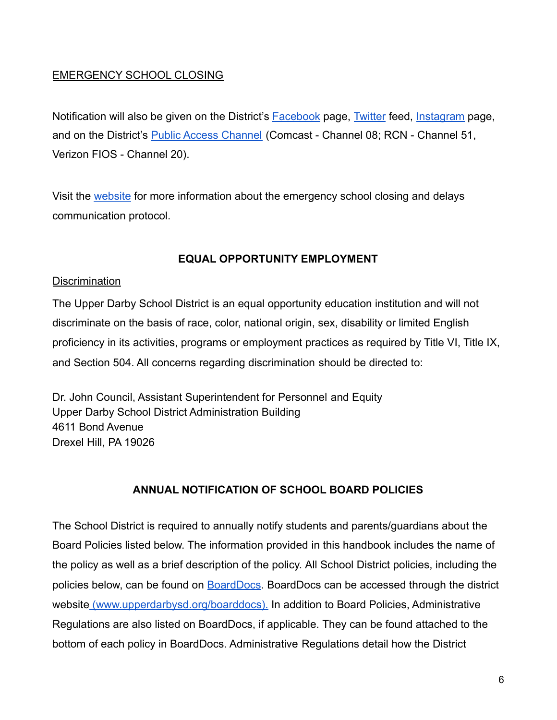#### EMERGENCY SCHOOL CLOSING

Notification will also be given on the District's [Facebook](https://www.facebook.com/Upper-Darby-School-District-263860013791271/) page, [Twitter](https://twitter.com/UpperDarbySD?ref_src=twsrc%5Egoogle%7Ctwcamp%5Eserp%7Ctwgr%5Eauthor) feed, [Instagram](https://www.instagram.com/udsdofficial/?hl=en) page, and on the District's [Public Access Channel](https://pa02209738.schoolwires.net/Page/4437) (Comcast - Channel 08; RCN - Channel 51, Verizon FIOS - Channel 20).

Visit the [website](https://www.upperdarbysd.org/Page/7053) for more information about the emergency school closing and delays communication protocol.

# **EQUAL OPPORTUNITY EMPLOYMENT**

#### **Discrimination**

The Upper Darby School District is an equal opportunity education institution and will not discriminate on the basis of race, color, national origin, sex, disability or limited English proficiency in its activities, programs or employment practices as required by Title VI, Title IX, and Section 504. All concerns regarding discrimination should be directed to:

Dr. John Council, Assistant Superintendent for Personnel and Equity Upper Darby School District Administration Building 4611 Bond Avenue Drexel Hill, PA 19026

#### **ANNUAL NOTIFICATION OF SCHOOL BOARD POLICIES**

The School District is required to annually notify students and parents/guardians about the Board Policies listed below. The information provided in this handbook includes the name of the policy as well as a brief description of the policy. All School District policies, including the policies below, can be found on **[BoardDocs](https://go.boarddocs.com/pa/udar/Board.nsf/Public)**. BoardDocs can be accessed through the district website [\(www.upperdarbysd.org/boarddocs\).](http://www.upperdarbysd.org/boarddocs)) In addition to Board Policies, Administrative Regulations are also listed on BoardDocs, if applicable. They can be found attached to the bottom of each policy in BoardDocs. Administrative Regulations detail how the District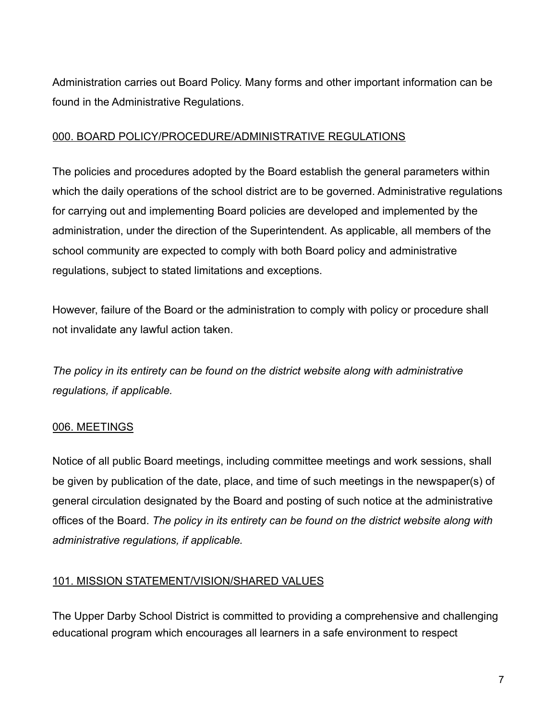Administration carries out Board Policy. Many forms and other important information can be found in the Administrative Regulations.

#### 000. BOARD POLICY/PROCEDURE/ADMINISTRATIVE REGULATIONS

The policies and procedures adopted by the Board establish the general parameters within which the daily operations of the school district are to be governed. Administrative regulations for carrying out and implementing Board policies are developed and implemented by the administration, under the direction of the Superintendent. As applicable, all members of the school community are expected to comply with both Board policy and administrative regulations, subject to stated limitations and exceptions.

However, failure of the Board or the administration to comply with policy or procedure shall not invalidate any lawful action taken.

*The policy in its entirety can be found on the district website along with administrative regulations, if applicable.*

# 006. MEETINGS

Notice of all public Board meetings, including committee meetings and work sessions, shall be given by publication of the date, place, and time of such meetings in the newspaper(s) of general circulation designated by the Board and posting of such notice at the administrative offices of the Board. *The policy in its entirety can be found on the district website along with administrative regulations, if applicable.*

# 101. MISSION STATEMENT/VISION/SHARED VALUES

The Upper Darby School District is committed to providing a comprehensive and challenging educational program which encourages all learners in a safe environment to respect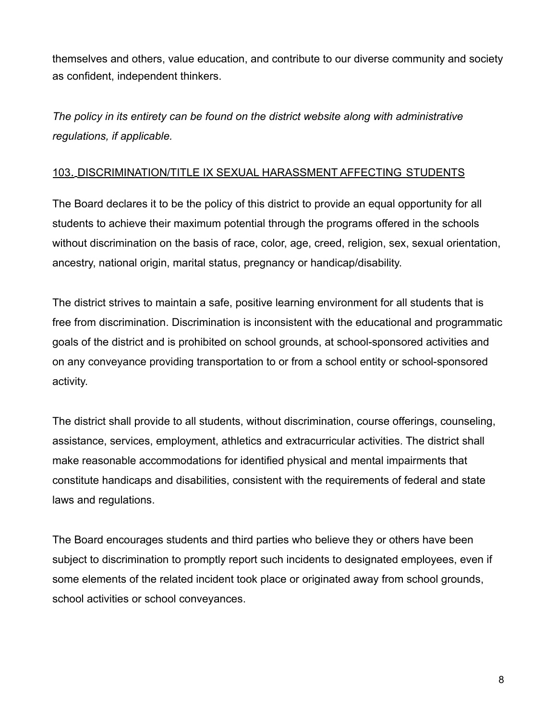themselves and others, value education, and contribute to our diverse community and society as confident, independent thinkers.

*The policy in its entirety can be found on the district website along with administrative regulations, if applicable.*

#### 103. DISCRIMINATION/TITLE IX SEXUAL HARASSMENT AFFECTING STUDENTS

The Board declares it to be the policy of this district to provide an equal opportunity for all students to achieve their maximum potential through the programs offered in the schools without discrimination on the basis of race, color, age, creed, religion, sex, sexual orientation, ancestry, national origin, marital status, pregnancy or handicap/disability.

The district strives to maintain a safe, positive learning environment for all students that is free from discrimination. Discrimination is inconsistent with the educational and programmatic goals of the district and is prohibited on school grounds, at school-sponsored activities and on any conveyance providing transportation to or from a school entity or school-sponsored activity.

The district shall provide to all students, without discrimination, course offerings, counseling, assistance, services, employment, athletics and extracurricular activities. The district shall make reasonable accommodations for identified physical and mental impairments that constitute handicaps and disabilities, consistent with the requirements of federal and state laws and regulations.

The Board encourages students and third parties who believe they or others have been subject to discrimination to promptly report such incidents to designated employees, even if some elements of the related incident took place or originated away from school grounds, school activities or school conveyances.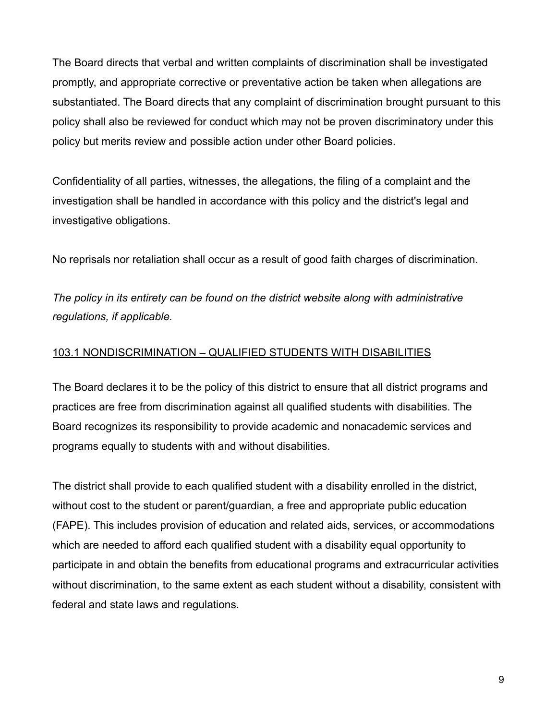The Board directs that verbal and written complaints of discrimination shall be investigated promptly, and appropriate corrective or preventative action be taken when allegations are substantiated. The Board directs that any complaint of discrimination brought pursuant to this policy shall also be reviewed for conduct which may not be proven discriminatory under this policy but merits review and possible action under other Board policies.

Confidentiality of all parties, witnesses, the allegations, the filing of a complaint and the investigation shall be handled in accordance with this policy and the district's legal and investigative obligations.

No reprisals nor retaliation shall occur as a result of good faith charges of discrimination.

*The policy in its entirety can be found on the district website along with administrative regulations, if applicable.*

#### 103.1 NONDISCRIMINATION – QUALIFIED STUDENTS WITH DISABILITIES

The Board declares it to be the policy of this district to ensure that all district programs and practices are free from discrimination against all qualified students with disabilities. The Board recognizes its responsibility to provide academic and nonacademic services and programs equally to students with and without disabilities.

The district shall provide to each qualified student with a disability enrolled in the district, without cost to the student or parent/guardian, a free and appropriate public education (FAPE). This includes provision of education and related aids, services, or accommodations which are needed to afford each qualified student with a disability equal opportunity to participate in and obtain the benefits from educational programs and extracurricular activities without discrimination, to the same extent as each student without a disability, consistent with federal and state laws and regulations.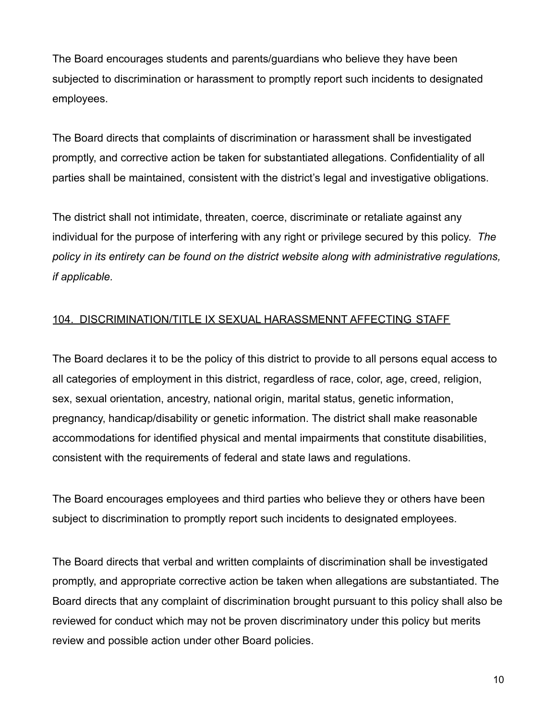The Board encourages students and parents/guardians who believe they have been subjected to discrimination or harassment to promptly report such incidents to designated employees.

The Board directs that complaints of discrimination or harassment shall be investigated promptly, and corrective action be taken for substantiated allegations. Confidentiality of all parties shall be maintained, consistent with the district's legal and investigative obligations.

The district shall not intimidate, threaten, coerce, discriminate or retaliate against any individual for the purpose of interfering with any right or privilege secured by this policy. *The policy in its entirety can be found on the district website along with administrative regulations, if applicable.*

# 104. DISCRIMINATION/TITLE IX SEXUAL HARASSMENNT AFFECTING STAFF

The Board declares it to be the policy of this district to provide to all persons equal access to all categories of employment in this district, regardless of race, color, age, creed, religion, sex, sexual orientation, ancestry, national origin, marital status, genetic information, pregnancy, handicap/disability or genetic information. The district shall make reasonable accommodations for identified physical and mental impairments that constitute disabilities, consistent with the requirements of federal and state laws and regulations.

The Board encourages employees and third parties who believe they or others have been subject to discrimination to promptly report such incidents to designated employees.

The Board directs that verbal and written complaints of discrimination shall be investigated promptly, and appropriate corrective action be taken when allegations are substantiated. The Board directs that any complaint of discrimination brought pursuant to this policy shall also be reviewed for conduct which may not be proven discriminatory under this policy but merits review and possible action under other Board policies.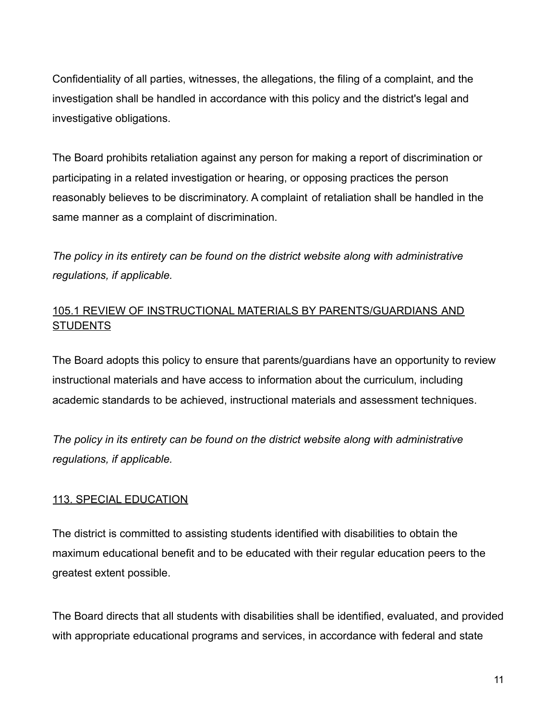Confidentiality of all parties, witnesses, the allegations, the filing of a complaint, and the investigation shall be handled in accordance with this policy and the district's legal and investigative obligations.

The Board prohibits retaliation against any person for making a report of discrimination or participating in a related investigation or hearing, or opposing practices the person reasonably believes to be discriminatory. A complaint of retaliation shall be handled in the same manner as a complaint of discrimination.

*The policy in its entirety can be found on the district website along with administrative regulations, if applicable.*

## 105.1 REVIEW OF INSTRUCTIONAL MATERIALS BY PARENTS/GUARDIANS AND **STUDENTS**

The Board adopts this policy to ensure that parents/guardians have an opportunity to review instructional materials and have access to information about the curriculum, including academic standards to be achieved, instructional materials and assessment techniques.

*The policy in its entirety can be found on the district website along with administrative regulations, if applicable.*

#### 113. SPECIAL EDUCATION

The district is committed to assisting students identified with disabilities to obtain the maximum educational benefit and to be educated with their regular education peers to the greatest extent possible.

The Board directs that all students with disabilities shall be identified, evaluated, and provided with appropriate educational programs and services, in accordance with federal and state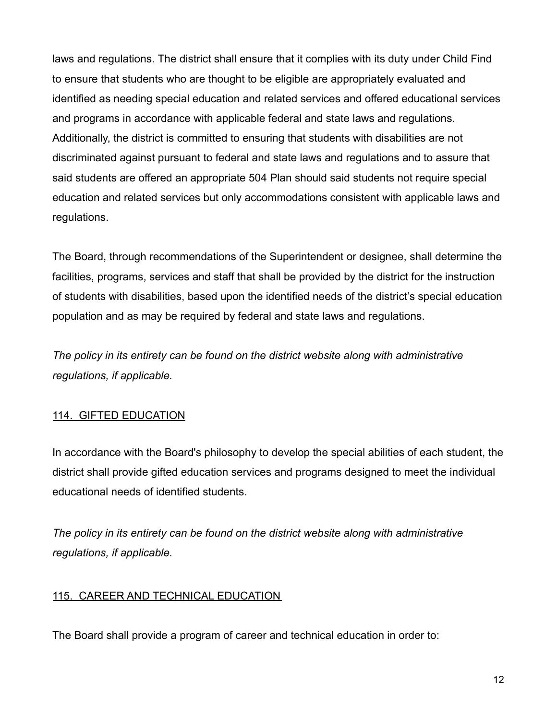laws and regulations. The district shall ensure that it complies with its duty under Child Find to ensure that students who are thought to be eligible are appropriately evaluated and identified as needing special education and related services and offered educational services and programs in accordance with applicable federal and state laws and regulations. Additionally, the district is committed to ensuring that students with disabilities are not discriminated against pursuant to federal and state laws and regulations and to assure that said students are offered an appropriate 504 Plan should said students not require special education and related services but only accommodations consistent with applicable laws and regulations.

The Board, through recommendations of the Superintendent or designee, shall determine the facilities, programs, services and staff that shall be provided by the district for the instruction of students with disabilities, based upon the identified needs of the district's special education population and as may be required by federal and state laws and regulations.

*The policy in its entirety can be found on the district website along with administrative regulations, if applicable.*

#### 114. GIFTED EDUCATION

In accordance with the Board's philosophy to develop the special abilities of each student, the district shall provide gifted education services and programs designed to meet the individual educational needs of identified students.

*The policy in its entirety can be found on the district website along with administrative regulations, if applicable.*

#### 115. CAREER AND TECHNICAL EDUCATION

The Board shall provide a program of career and technical education in order to: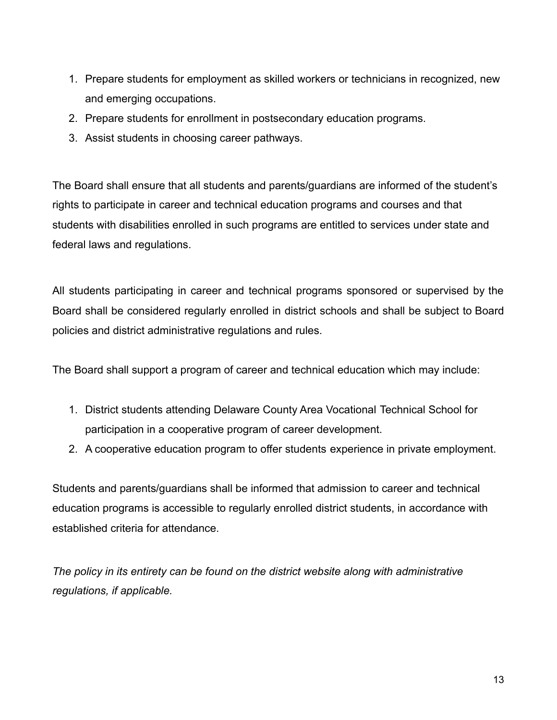- 1. Prepare students for employment as skilled workers or technicians in recognized, new and emerging occupations.
- 2. Prepare students for enrollment in postsecondary education programs.
- 3. Assist students in choosing career pathways.

The Board shall ensure that all students and parents/guardians are informed of the student's rights to participate in career and technical education programs and courses and that students with disabilities enrolled in such programs are entitled to services under state and federal laws and regulations.

All students participating in career and technical programs sponsored or supervised by the Board shall be considered regularly enrolled in district schools and shall be subject to Board policies and district administrative regulations and rules.

The Board shall support a program of career and technical education which may include:

- 1. District students attending Delaware County Area Vocational Technical School for participation in a cooperative program of career development.
- 2. A cooperative education program to offer students experience in private employment.

Students and parents/guardians shall be informed that admission to career and technical education programs is accessible to regularly enrolled district students, in accordance with established criteria for attendance.

*The policy in its entirety can be found on the district website along with administrative regulations, if applicable.*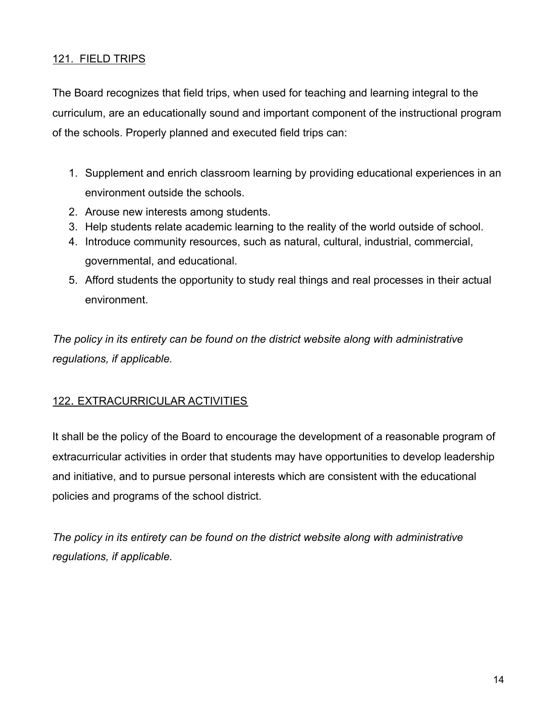#### 121. FIELD TRIPS

The Board recognizes that field trips, when used for teaching and learning integral to the curriculum, are an educationally sound and important component of the instructional program of the schools. Properly planned and executed field trips can:

- 1. Supplement and enrich classroom learning by providing educational experiences in an environment outside the schools.
- 2. Arouse new interests among students.
- 3. Help students relate academic learning to the reality of the world outside of school.
- 4. Introduce community resources, such as natural, cultural, industrial, commercial, governmental, and educational.
- 5. Afford students the opportunity to study real things and real processes in their actual environment.

*The policy in its entirety can be found on the district website along with administrative regulations, if applicable.*

#### 122. EXTRACURRICULAR ACTIVITIES

It shall be the policy of the Board to encourage the development of a reasonable program of extracurricular activities in order that students may have opportunities to develop leadership and initiative, and to pursue personal interests which are consistent with the educational policies and programs of the school district.

*The policy in its entirety can be found on the district website along with administrative regulations, if applicable.*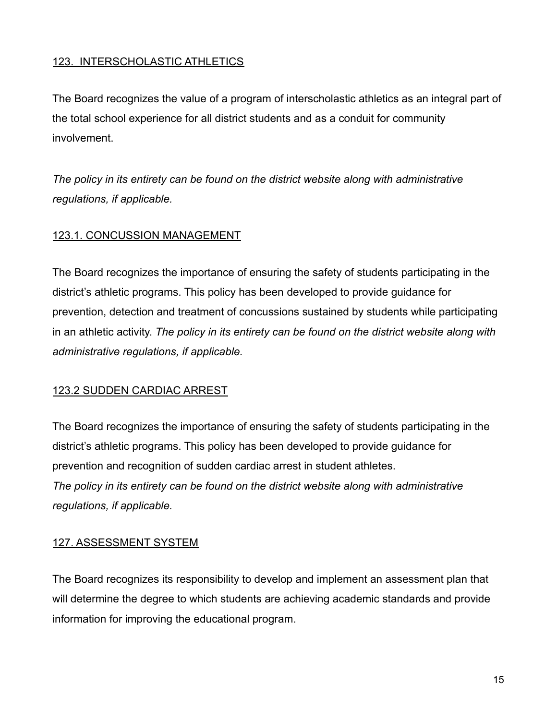#### 123. INTERSCHOLASTIC ATHLETICS

The Board recognizes the value of a program of interscholastic athletics as an integral part of the total school experience for all district students and as a conduit for community involvement.

*The policy in its entirety can be found on the district website along with administrative regulations, if applicable.*

#### 123.1. CONCUSSION MANAGEMENT

The Board recognizes the importance of ensuring the safety of students participating in the district's athletic programs. This policy has been developed to provide guidance for prevention, detection and treatment of concussions sustained by students while participating in an athletic activity. *The policy in its entirety can be found on the district website along with administrative regulations, if applicable.*

#### 123.2 SUDDEN CARDIAC ARREST

The Board recognizes the importance of ensuring the safety of students participating in the district's athletic programs. This policy has been developed to provide guidance for prevention and recognition of sudden cardiac arrest in student athletes. *The policy in its entirety can be found on the district website along with administrative regulations, if applicable.*

#### 127. ASSESSMENT SYSTEM

The Board recognizes its responsibility to develop and implement an assessment plan that will determine the degree to which students are achieving academic standards and provide information for improving the educational program.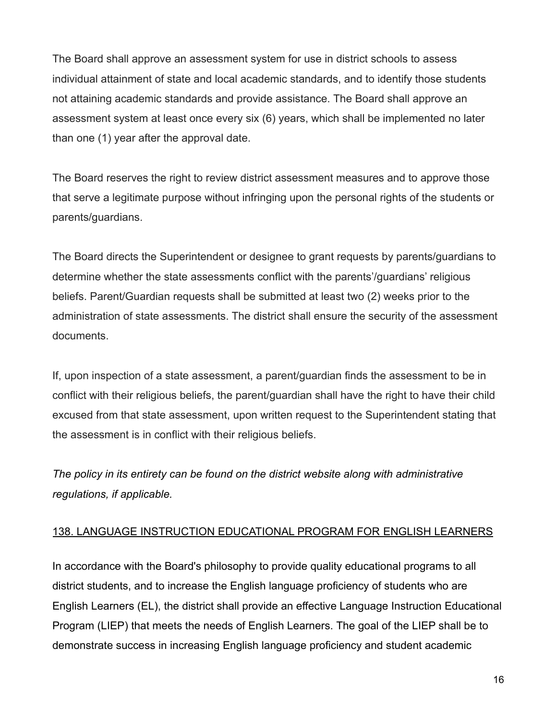The Board shall approve an assessment system for use in district schools to assess individual attainment of state and local academic standards, and to identify those students not attaining academic standards and provide assistance. The Board shall approve an assessment system at least once every six (6) years, which shall be implemented no later than one (1) year after the approval date.

The Board reserves the right to review district assessment measures and to approve those that serve a legitimate purpose without infringing upon the personal rights of the students or parents/guardians.

The Board directs the Superintendent or designee to grant requests by parents/guardians to determine whether the state assessments conflict with the parents'/guardians' religious beliefs. Parent/Guardian requests shall be submitted at least two (2) weeks prior to the administration of state assessments. The district shall ensure the security of the assessment documents.

If, upon inspection of a state assessment, a parent/guardian finds the assessment to be in conflict with their religious beliefs, the parent/guardian shall have the right to have their child excused from that state assessment, upon written request to the Superintendent stating that the assessment is in conflict with their religious beliefs.

*The policy in its entirety can be found on the district website along with administrative regulations, if applicable.*

#### 138. LANGUAGE INSTRUCTION EDUCATIONAL PROGRAM FOR ENGLISH LEARNERS

In accordance with the Board's philosophy to provide quality educational programs to all district students, and to increase the English language proficiency of students who are English Learners (EL), the district shall provide an effective Language Instruction Educational Program (LIEP) that meets the needs of English Learners. The goal of the LIEP shall be to demonstrate success in increasing English language proficiency and student academic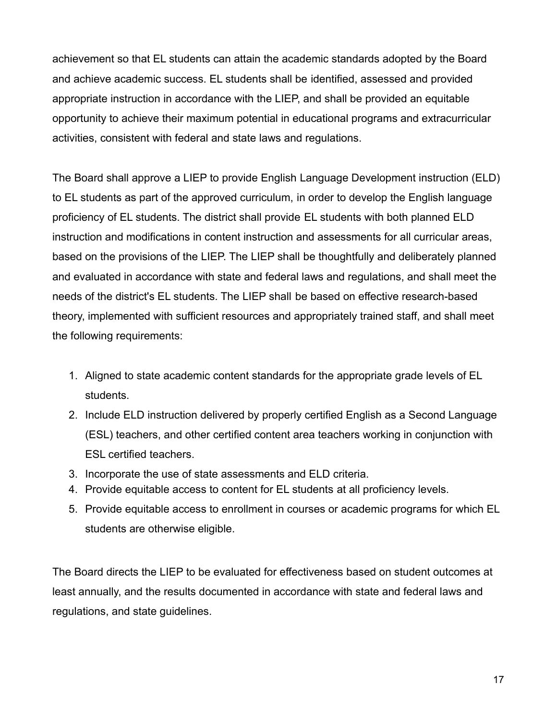achievement so that EL students can attain the academic standards adopted by the Board and achieve academic success. EL students shall be identified, assessed and provided appropriate instruction in accordance with the LIEP, and shall be provided an equitable opportunity to achieve their maximum potential in educational programs and extracurricular activities, consistent with federal and state laws and regulations.

The Board shall approve a LIEP to provide English Language Development instruction (ELD) to EL students as part of the approved curriculum, in order to develop the English language proficiency of EL students. The district shall provide EL students with both planned ELD instruction and modifications in content instruction and assessments for all curricular areas, based on the provisions of the LIEP. The LIEP shall be thoughtfully and deliberately planned and evaluated in accordance with state and federal laws and regulations, and shall meet the needs of the district's EL students. The LIEP shall be based on effective research-based theory, implemented with sufficient resources and appropriately trained staff, and shall meet the following requirements:

- 1. Aligned to state academic content standards for the appropriate grade levels of EL students.
- 2. Include ELD instruction delivered by properly certified English as a Second Language (ESL) teachers, and other certified content area teachers working in conjunction with ESL certified teachers.
- 3. Incorporate the use of state assessments and ELD criteria.
- 4. Provide equitable access to content for EL students at all proficiency levels.
- 5. Provide equitable access to enrollment in courses or academic programs for which EL students are otherwise eligible.

The Board directs the LIEP to be evaluated for effectiveness based on student outcomes at least annually, and the results documented in accordance with state and federal laws and regulations, and state guidelines.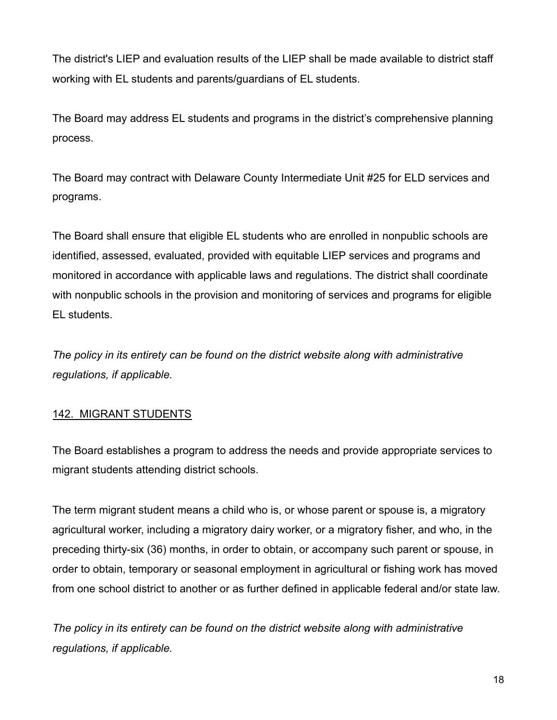The district's LIEP and evaluation results of the LIEP shall be made available to district staff working with EL students and parents/guardians of EL students.

The Board may address EL students and programs in the district's comprehensive planning process.

The Board may contract with Delaware County Intermediate Unit #25 for ELD services and programs.

The Board shall ensure that eligible EL students who are enrolled in nonpublic schools are identified, assessed, evaluated, provided with equitable LIEP services and programs and monitored in accordance with applicable laws and regulations. The district shall coordinate with nonpublic schools in the provision and monitoring of services and programs for eligible EL students.

*The policy in its entirety can be found on the district website along with administrative regulations, if applicable.*

# 142. MIGRANT STUDENTS

The Board establishes a program to address the needs and provide appropriate services to migrant students attending district schools.

The term migrant student means a child who is, or whose parent or spouse is, a migratory agricultural worker, including a migratory dairy worker, or a migratory fisher, and who, in the preceding thirty-six (36) months, in order to obtain, or accompany such parent or spouse, in order to obtain, temporary or seasonal employment in agricultural or fishing work has moved from one school district to another or as further defined in applicable federal and/or state law.

*The policy in its entirety can be found on the district website along with administrative regulations, if applicable.*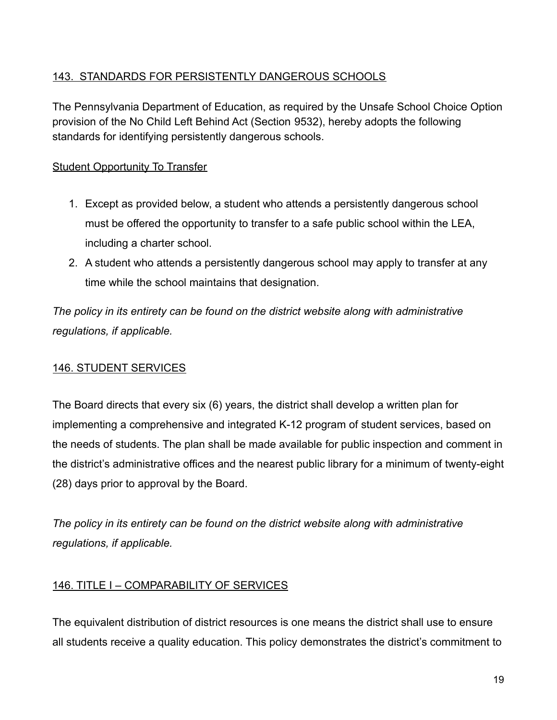# 143. STANDARDS FOR PERSISTENTLY DANGEROUS SCHOOLS

The Pennsylvania Department of Education, as required by the Unsafe School Choice Option provision of the No Child Left Behind Act (Section 9532), hereby adopts the following standards for identifying persistently dangerous schools.

## Student Opportunity To Transfer

- 1. Except as provided below, a student who attends a persistently dangerous school must be offered the opportunity to transfer to a safe public school within the LEA, including a charter school.
- 2. A student who attends a persistently dangerous school may apply to transfer at any time while the school maintains that designation.

*The policy in its entirety can be found on the district website along with administrative regulations, if applicable.*

# 146. STUDENT SERVICES

The Board directs that every six (6) years, the district shall develop a written plan for implementing a comprehensive and integrated K-12 program of student services, based on the needs of students. The plan shall be made available for public inspection and comment in the district's administrative offices and the nearest public library for a minimum of twenty-eight (28) days prior to approval by the Board.

*The policy in its entirety can be found on the district website along with administrative regulations, if applicable.*

#### 146. TITLE I – COMPARABILITY OF SERVICES

The equivalent distribution of district resources is one means the district shall use to ensure all students receive a quality education. This policy demonstrates the district's commitment to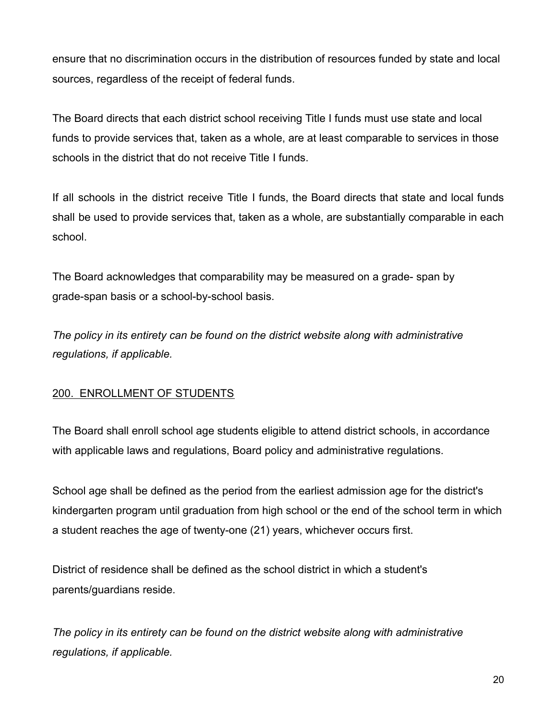ensure that no discrimination occurs in the distribution of resources funded by state and local sources, regardless of the receipt of federal funds.

The Board directs that each district school receiving Title I funds must use state and local funds to provide services that, taken as a whole, are at least comparable to services in those schools in the district that do not receive Title I funds.

If all schools in the district receive Title I funds, the Board directs that state and local funds shall be used to provide services that, taken as a whole, are substantially comparable in each school.

The Board acknowledges that comparability may be measured on a grade- span by grade-span basis or a school-by-school basis.

*The policy in its entirety can be found on the district website along with administrative regulations, if applicable.*

#### 200. ENROLLMENT OF STUDENTS

The Board shall enroll school age students eligible to attend district schools, in accordance with applicable laws and regulations, Board policy and administrative regulations.

School age shall be defined as the period from the earliest admission age for the district's kindergarten program until graduation from high school or the end of the school term in which a student reaches the age of twenty-one (21) years, whichever occurs first.

District of residence shall be defined as the school district in which a student's parents/guardians reside.

*The policy in its entirety can be found on the district website along with administrative regulations, if applicable.*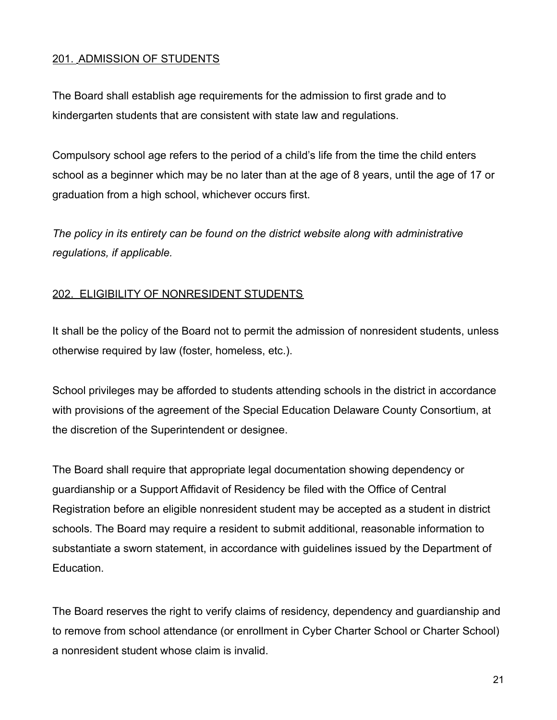#### 201. ADMISSION OF STUDENTS

The Board shall establish age requirements for the admission to first grade and to kindergarten students that are consistent with state law and regulations.

Compulsory school age refers to the period of a child's life from the time the child enters school as a beginner which may be no later than at the age of 8 years, until the age of 17 or graduation from a high school, whichever occurs first.

*The policy in its entirety can be found on the district website along with administrative regulations, if applicable.*

#### 202. ELIGIBILITY OF NONRESIDENT STUDENTS

It shall be the policy of the Board not to permit the admission of nonresident students, unless otherwise required by law (foster, homeless, etc.).

School privileges may be afforded to students attending schools in the district in accordance with provisions of the agreement of the Special Education Delaware County Consortium, at the discretion of the Superintendent or designee.

The Board shall require that appropriate legal documentation showing dependency or guardianship or a Support Affidavit of Residency be filed with the Office of Central Registration before an eligible nonresident student may be accepted as a student in district schools. The Board may require a resident to submit additional, reasonable information to substantiate a sworn statement, in accordance with guidelines issued by the Department of Education.

The Board reserves the right to verify claims of residency, dependency and guardianship and to remove from school attendance (or enrollment in Cyber Charter School or Charter School) a nonresident student whose claim is invalid.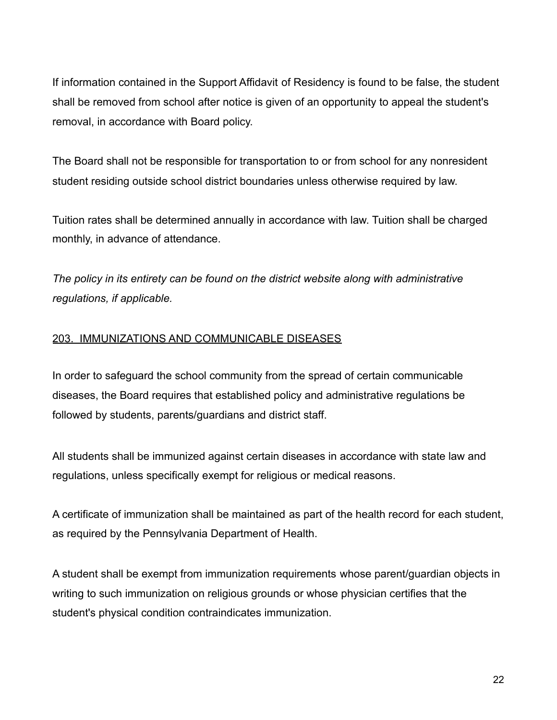If information contained in the Support Affidavit of Residency is found to be false, the student shall be removed from school after notice is given of an opportunity to appeal the student's removal, in accordance with Board policy.

The Board shall not be responsible for transportation to or from school for any nonresident student residing outside school district boundaries unless otherwise required by law.

Tuition rates shall be determined annually in accordance with law. Tuition shall be charged monthly, in advance of attendance.

*The policy in its entirety can be found on the district website along with administrative regulations, if applicable.*

#### 203. IMMUNIZATIONS AND COMMUNICABLE DISEASES

In order to safeguard the school community from the spread of certain communicable diseases, the Board requires that established policy and administrative regulations be followed by students, parents/guardians and district staff.

All students shall be immunized against certain diseases in accordance with state law and regulations, unless specifically exempt for religious or medical reasons.

A certificate of immunization shall be maintained as part of the health record for each student, as required by the Pennsylvania Department of Health.

A student shall be exempt from immunization requirements whose parent/guardian objects in writing to such immunization on religious grounds or whose physician certifies that the student's physical condition contraindicates immunization.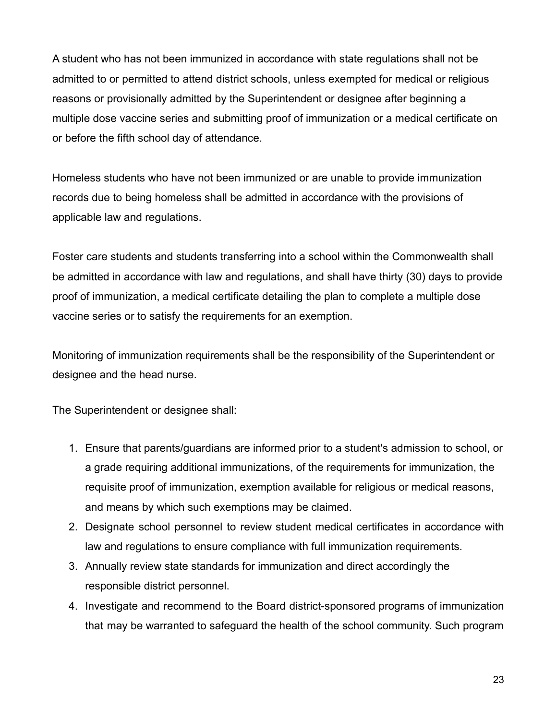A student who has not been immunized in accordance with state regulations shall not be admitted to or permitted to attend district schools, unless exempted for medical or religious reasons or provisionally admitted by the Superintendent or designee after beginning a multiple dose vaccine series and submitting proof of immunization or a medical certificate on or before the fifth school day of attendance.

Homeless students who have not been immunized or are unable to provide immunization records due to being homeless shall be admitted in accordance with the provisions of applicable law and regulations.

Foster care students and students transferring into a school within the Commonwealth shall be admitted in accordance with law and regulations, and shall have thirty (30) days to provide proof of immunization, a medical certificate detailing the plan to complete a multiple dose vaccine series or to satisfy the requirements for an exemption.

Monitoring of immunization requirements shall be the responsibility of the Superintendent or designee and the head nurse.

The Superintendent or designee shall:

- 1. Ensure that parents/guardians are informed prior to a student's admission to school, or a grade requiring additional immunizations, of the requirements for immunization, the requisite proof of immunization, exemption available for religious or medical reasons, and means by which such exemptions may be claimed.
- 2. Designate school personnel to review student medical certificates in accordance with law and regulations to ensure compliance with full immunization requirements.
- 3. Annually review state standards for immunization and direct accordingly the responsible district personnel.
- 4. Investigate and recommend to the Board district-sponsored programs of immunization that may be warranted to safeguard the health of the school community. Such program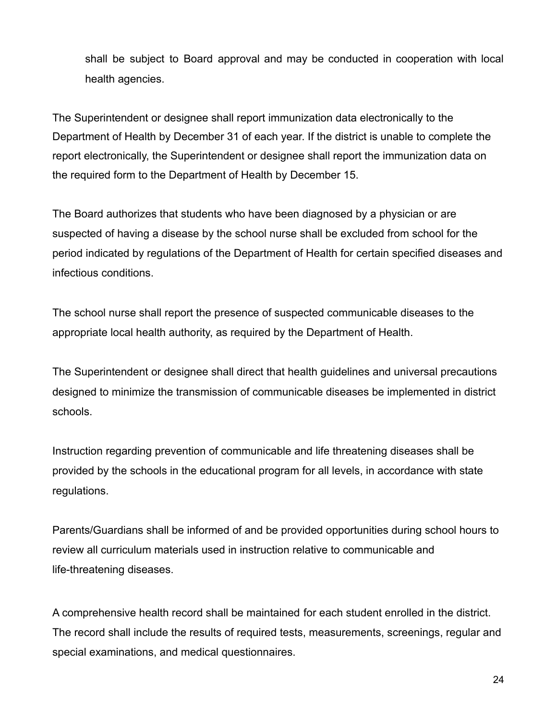shall be subject to Board approval and may be conducted in cooperation with local health agencies.

The Superintendent or designee shall report immunization data electronically to the Department of Health by December 31 of each year. If the district is unable to complete the report electronically, the Superintendent or designee shall report the immunization data on the required form to the Department of Health by December 15.

The Board authorizes that students who have been diagnosed by a physician or are suspected of having a disease by the school nurse shall be excluded from school for the period indicated by regulations of the Department of Health for certain specified diseases and infectious conditions.

The school nurse shall report the presence of suspected communicable diseases to the appropriate local health authority, as required by the Department of Health.

The Superintendent or designee shall direct that health guidelines and universal precautions designed to minimize the transmission of communicable diseases be implemented in district schools.

Instruction regarding prevention of communicable and life threatening diseases shall be provided by the schools in the educational program for all levels, in accordance with state regulations.

Parents/Guardians shall be informed of and be provided opportunities during school hours to review all curriculum materials used in instruction relative to communicable and life-threatening diseases.

A comprehensive health record shall be maintained for each student enrolled in the district. The record shall include the results of required tests, measurements, screenings, regular and special examinations, and medical questionnaires.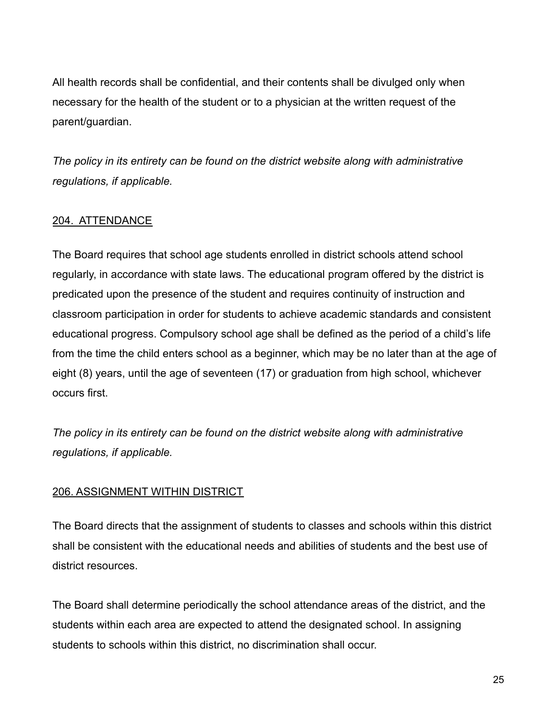All health records shall be confidential, and their contents shall be divulged only when necessary for the health of the student or to a physician at the written request of the parent/guardian.

*The policy in its entirety can be found on the district website along with administrative regulations, if applicable.*

#### 204. ATTENDANCE

The Board requires that school age students enrolled in district schools attend school regularly, in accordance with state laws. The educational program offered by the district is predicated upon the presence of the student and requires continuity of instruction and classroom participation in order for students to achieve academic standards and consistent educational progress. Compulsory school age shall be defined as the period of a child's life from the time the child enters school as a beginner, which may be no later than at the age of eight (8) years, until the age of seventeen (17) or graduation from high school, whichever occurs first.

*The policy in its entirety can be found on the district website along with administrative regulations, if applicable.*

#### 206. ASSIGNMENT WITHIN DISTRICT

The Board directs that the assignment of students to classes and schools within this district shall be consistent with the educational needs and abilities of students and the best use of district resources.

The Board shall determine periodically the school attendance areas of the district, and the students within each area are expected to attend the designated school. In assigning students to schools within this district, no discrimination shall occur.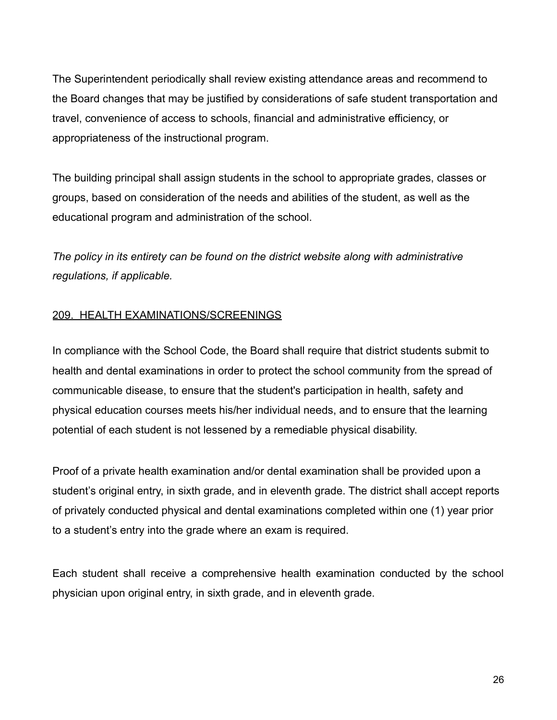The Superintendent periodically shall review existing attendance areas and recommend to the Board changes that may be justified by considerations of safe student transportation and travel, convenience of access to schools, financial and administrative efficiency, or appropriateness of the instructional program.

The building principal shall assign students in the school to appropriate grades, classes or groups, based on consideration of the needs and abilities of the student, as well as the educational program and administration of the school.

*The policy in its entirety can be found on the district website along with administrative regulations, if applicable.*

#### 209. HEALTH EXAMINATIONS/SCREENINGS

In compliance with the School Code, the Board shall require that district students submit to health and dental examinations in order to protect the school community from the spread of communicable disease, to ensure that the student's participation in health, safety and physical education courses meets his/her individual needs, and to ensure that the learning potential of each student is not lessened by a remediable physical disability.

Proof of a private health examination and/or dental examination shall be provided upon a student's original entry, in sixth grade, and in eleventh grade. The district shall accept reports of privately conducted physical and dental examinations completed within one (1) year prior to a student's entry into the grade where an exam is required.

Each student shall receive a comprehensive health examination conducted by the school physician upon original entry, in sixth grade, and in eleventh grade.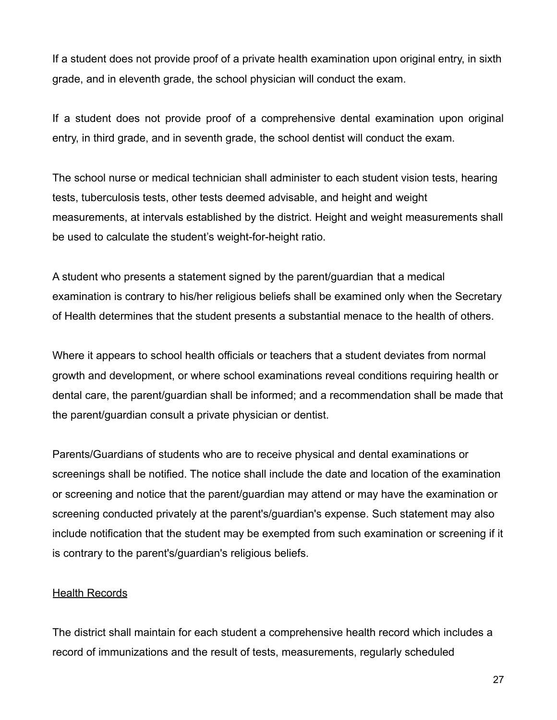If a student does not provide proof of a private health examination upon original entry, in sixth grade, and in eleventh grade, the school physician will conduct the exam.

If a student does not provide proof of a comprehensive dental examination upon original entry, in third grade, and in seventh grade, the school dentist will conduct the exam.

The school nurse or medical technician shall administer to each student vision tests, hearing tests, tuberculosis tests, other tests deemed advisable, and height and weight measurements, at intervals established by the district. Height and weight measurements shall be used to calculate the student's weight-for-height ratio.

A student who presents a statement signed by the parent/guardian that a medical examination is contrary to his/her religious beliefs shall be examined only when the Secretary of Health determines that the student presents a substantial menace to the health of others.

Where it appears to school health officials or teachers that a student deviates from normal growth and development, or where school examinations reveal conditions requiring health or dental care, the parent/guardian shall be informed; and a recommendation shall be made that the parent/guardian consult a private physician or dentist.

Parents/Guardians of students who are to receive physical and dental examinations or screenings shall be notified. The notice shall include the date and location of the examination or screening and notice that the parent/guardian may attend or may have the examination or screening conducted privately at the parent's/guardian's expense. Such statement may also include notification that the student may be exempted from such examination or screening if it is contrary to the parent's/guardian's religious beliefs.

#### **Health Records**

The district shall maintain for each student a comprehensive health record which includes a record of immunizations and the result of tests, measurements, regularly scheduled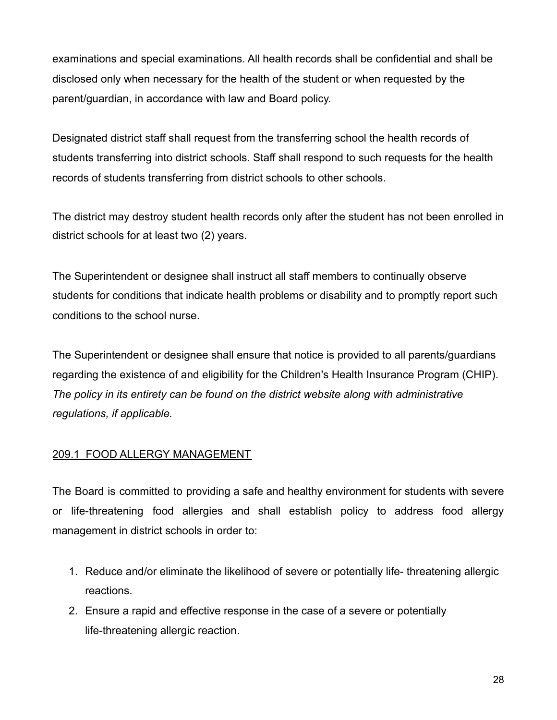examinations and special examinations. All health records shall be confidential and shall be disclosed only when necessary for the health of the student or when requested by the parent/guardian, in accordance with law and Board policy.

Designated district staff shall request from the transferring school the health records of students transferring into district schools. Staff shall respond to such requests for the health records of students transferring from district schools to other schools.

The district may destroy student health records only after the student has not been enrolled in district schools for at least two (2) years.

The Superintendent or designee shall instruct all staff members to continually observe students for conditions that indicate health problems or disability and to promptly report such conditions to the school nurse.

The Superintendent or designee shall ensure that notice is provided to all parents/guardians regarding the existence of and eligibility for the Children's Health Insurance Program (CHIP). *The policy in its entirety can be found on the district website along with administrative regulations, if applicable.*

# 209.1 FOOD ALLERGY MANAGEMENT

The Board is committed to providing a safe and healthy environment for students with severe or life-threatening food allergies and shall establish policy to address food allergy management in district schools in order to:

- 1. Reduce and/or eliminate the likelihood of severe or potentially life- threatening allergic reactions.
- 2. Ensure a rapid and effective response in the case of a severe or potentially life-threatening allergic reaction.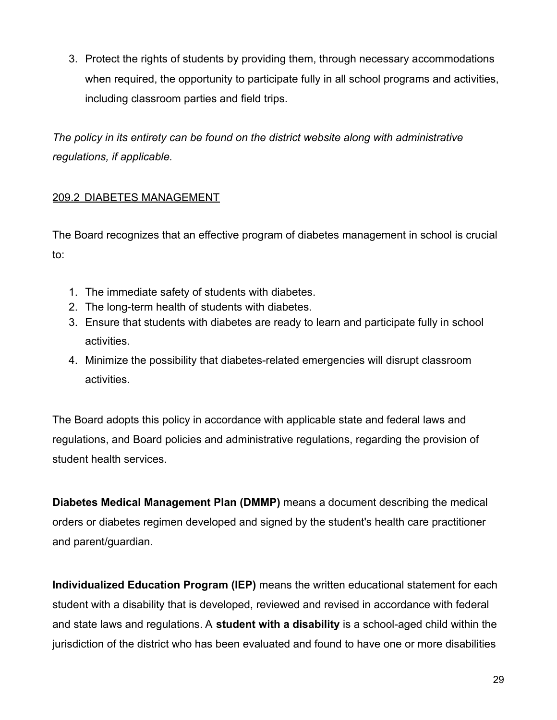3. Protect the rights of students by providing them, through necessary accommodations when required, the opportunity to participate fully in all school programs and activities, including classroom parties and field trips.

*The policy in its entirety can be found on the district website along with administrative regulations, if applicable.*

# 209.2 DIABETES MANAGEMENT

The Board recognizes that an effective program of diabetes management in school is crucial to:

- 1. The immediate safety of students with diabetes.
- 2. The long-term health of students with diabetes.
- 3. Ensure that students with diabetes are ready to learn and participate fully in school activities.
- 4. Minimize the possibility that diabetes-related emergencies will disrupt classroom activities.

The Board adopts this policy in accordance with applicable state and federal laws and regulations, and Board policies and administrative regulations, regarding the provision of student health services.

**Diabetes Medical Management Plan (DMMP)** means a document describing the medical orders or diabetes regimen developed and signed by the student's health care practitioner and parent/guardian.

**Individualized Education Program (IEP)** means the written educational statement for each student with a disability that is developed, reviewed and revised in accordance with federal and state laws and regulations. A **student with a disability** is a school-aged child within the jurisdiction of the district who has been evaluated and found to have one or more disabilities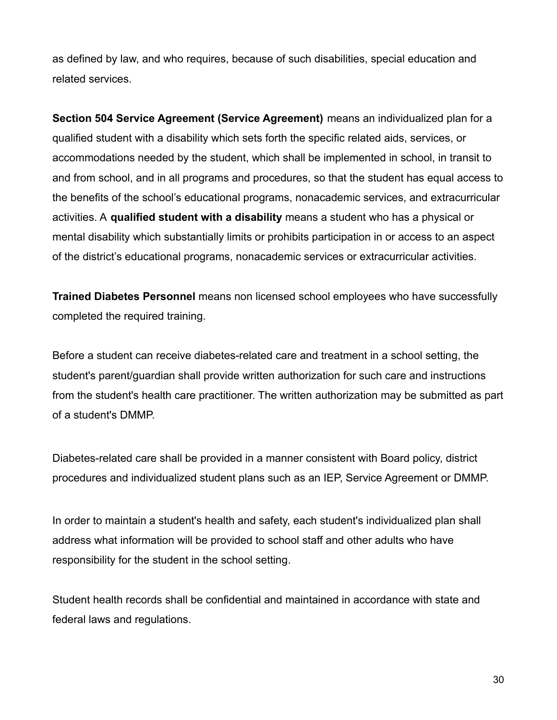as defined by law, and who requires, because of such disabilities, special education and related services.

**Section 504 Service Agreement (Service Agreement)** means an individualized plan for a qualified student with a disability which sets forth the specific related aids, services, or accommodations needed by the student, which shall be implemented in school, in transit to and from school, and in all programs and procedures, so that the student has equal access to the benefits of the school's educational programs, nonacademic services, and extracurricular activities. A **qualified student with a disability** means a student who has a physical or mental disability which substantially limits or prohibits participation in or access to an aspect of the district's educational programs, nonacademic services or extracurricular activities.

**Trained Diabetes Personnel** means non licensed school employees who have successfully completed the required training.

Before a student can receive diabetes-related care and treatment in a school setting, the student's parent/guardian shall provide written authorization for such care and instructions from the student's health care practitioner. The written authorization may be submitted as part of a student's DMMP.

Diabetes-related care shall be provided in a manner consistent with Board policy, district procedures and individualized student plans such as an IEP, Service Agreement or DMMP.

In order to maintain a student's health and safety, each student's individualized plan shall address what information will be provided to school staff and other adults who have responsibility for the student in the school setting.

Student health records shall be confidential and maintained in accordance with state and federal laws and regulations.

30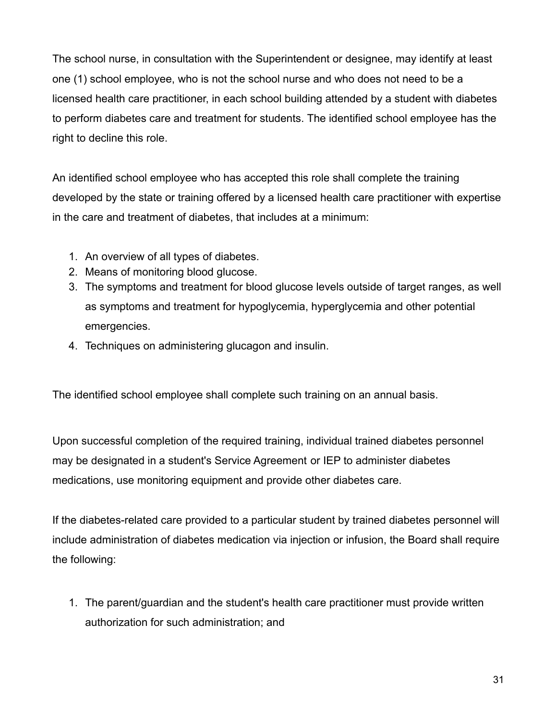The school nurse, in consultation with the Superintendent or designee, may identify at least one (1) school employee, who is not the school nurse and who does not need to be a licensed health care practitioner, in each school building attended by a student with diabetes to perform diabetes care and treatment for students. The identified school employee has the right to decline this role.

An identified school employee who has accepted this role shall complete the training developed by the state or training offered by a licensed health care practitioner with expertise in the care and treatment of diabetes, that includes at a minimum:

- 1. An overview of all types of diabetes.
- 2. Means of monitoring blood glucose.
- 3. The symptoms and treatment for blood glucose levels outside of target ranges, as well as symptoms and treatment for hypoglycemia, hyperglycemia and other potential emergencies.
- 4. Techniques on administering glucagon and insulin.

The identified school employee shall complete such training on an annual basis.

Upon successful completion of the required training, individual trained diabetes personnel may be designated in a student's Service Agreement or IEP to administer diabetes medications, use monitoring equipment and provide other diabetes care.

If the diabetes-related care provided to a particular student by trained diabetes personnel will include administration of diabetes medication via injection or infusion, the Board shall require the following:

1. The parent/guardian and the student's health care practitioner must provide written authorization for such administration; and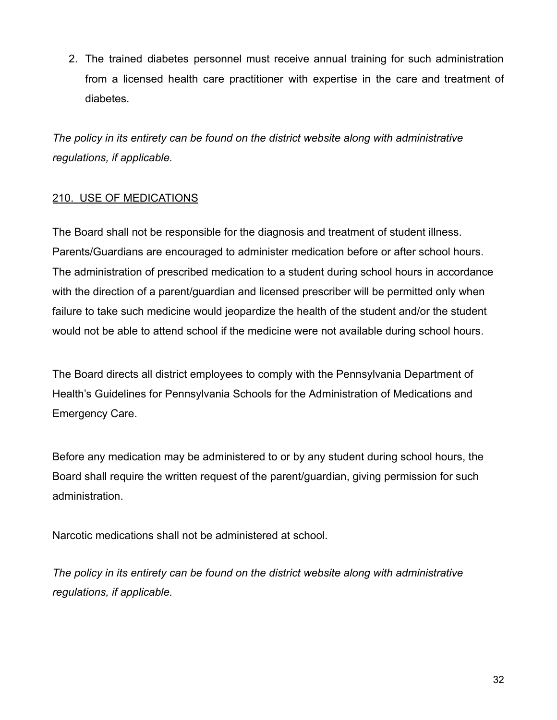2. The trained diabetes personnel must receive annual training for such administration from a licensed health care practitioner with expertise in the care and treatment of diabetes.

*The policy in its entirety can be found on the district website along with administrative regulations, if applicable.*

# 210. USE OF MEDICATIONS

The Board shall not be responsible for the diagnosis and treatment of student illness. Parents/Guardians are encouraged to administer medication before or after school hours. The administration of prescribed medication to a student during school hours in accordance with the direction of a parent/guardian and licensed prescriber will be permitted only when failure to take such medicine would jeopardize the health of the student and/or the student would not be able to attend school if the medicine were not available during school hours.

The Board directs all district employees to comply with the Pennsylvania Department of Health's Guidelines for Pennsylvania Schools for the Administration of Medications and Emergency Care.

Before any medication may be administered to or by any student during school hours, the Board shall require the written request of the parent/guardian, giving permission for such administration.

Narcotic medications shall not be administered at school.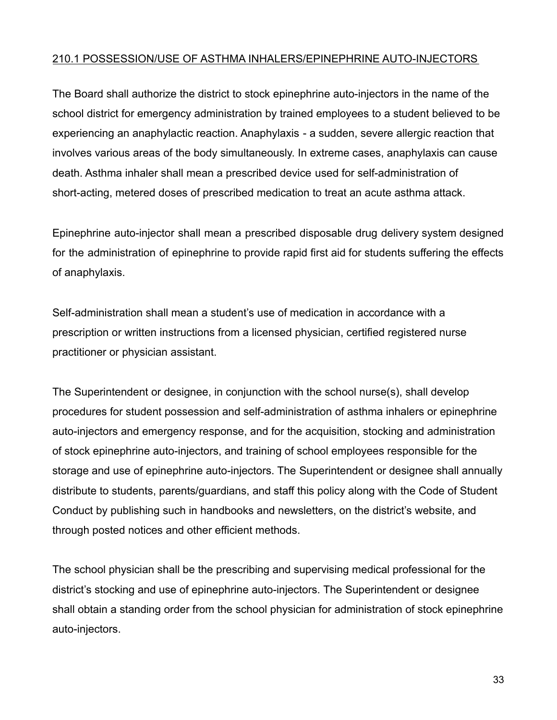### 210.1 POSSESSION/USE OF ASTHMA INHALERS/EPINEPHRINE AUTO-INJECTORS

The Board shall authorize the district to stock epinephrine auto-injectors in the name of the school district for emergency administration by trained employees to a student believed to be experiencing an anaphylactic reaction. Anaphylaxis - a sudden, severe allergic reaction that involves various areas of the body simultaneously. In extreme cases, anaphylaxis can cause death. Asthma inhaler shall mean a prescribed device used for self-administration of short-acting, metered doses of prescribed medication to treat an acute asthma attack.

Epinephrine auto-injector shall mean a prescribed disposable drug delivery system designed for the administration of epinephrine to provide rapid first aid for students suffering the effects of anaphylaxis.

Self-administration shall mean a student's use of medication in accordance with a prescription or written instructions from a licensed physician, certified registered nurse practitioner or physician assistant.

The Superintendent or designee, in conjunction with the school nurse(s), shall develop procedures for student possession and self-administration of asthma inhalers or epinephrine auto-injectors and emergency response, and for the acquisition, stocking and administration of stock epinephrine auto-injectors, and training of school employees responsible for the storage and use of epinephrine auto-injectors. The Superintendent or designee shall annually distribute to students, parents/guardians, and staff this policy along with the Code of Student Conduct by publishing such in handbooks and newsletters, on the district's website, and through posted notices and other efficient methods.

The school physician shall be the prescribing and supervising medical professional for the district's stocking and use of epinephrine auto-injectors. The Superintendent or designee shall obtain a standing order from the school physician for administration of stock epinephrine auto-injectors.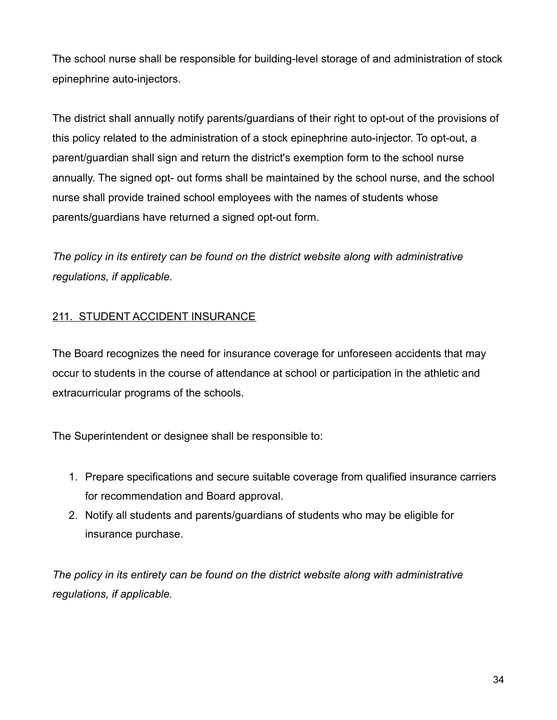The school nurse shall be responsible for building-level storage of and administration of stock epinephrine auto-injectors.

The district shall annually notify parents/guardians of their right to opt-out of the provisions of this policy related to the administration of a stock epinephrine auto-injector. To opt-out, a parent/guardian shall sign and return the district's exemption form to the school nurse annually. The signed opt- out forms shall be maintained by the school nurse, and the school nurse shall provide trained school employees with the names of students whose parents/guardians have returned a signed opt-out form.

*The policy in its entirety can be found on the district website along with administrative regulations, if applicable.*

# 211. STUDENT ACCIDENT INSURANCE

The Board recognizes the need for insurance coverage for unforeseen accidents that may occur to students in the course of attendance at school or participation in the athletic and extracurricular programs of the schools.

The Superintendent or designee shall be responsible to:

- 1. Prepare specifications and secure suitable coverage from qualified insurance carriers for recommendation and Board approval.
- 2. Notify all students and parents/guardians of students who may be eligible for insurance purchase.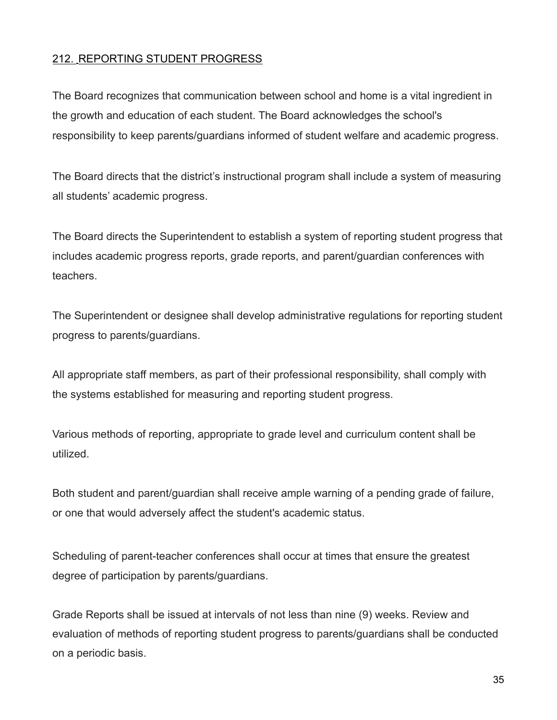# 212. REPORTING STUDENT PROGRESS

The Board recognizes that communication between school and home is a vital ingredient in the growth and education of each student. The Board acknowledges the school's responsibility to keep parents/guardians informed of student welfare and academic progress.

The Board directs that the district's instructional program shall include a system of measuring all students' academic progress.

The Board directs the Superintendent to establish a system of reporting student progress that includes academic progress reports, grade reports, and parent/guardian conferences with teachers.

The Superintendent or designee shall develop administrative regulations for reporting student progress to parents/guardians.

All appropriate staff members, as part of their professional responsibility, shall comply with the systems established for measuring and reporting student progress.

Various methods of reporting, appropriate to grade level and curriculum content shall be utilized.

Both student and parent/guardian shall receive ample warning of a pending grade of failure, or one that would adversely affect the student's academic status.

Scheduling of parent-teacher conferences shall occur at times that ensure the greatest degree of participation by parents/guardians.

Grade Reports shall be issued at intervals of not less than nine (9) weeks. Review and evaluation of methods of reporting student progress to parents/guardians shall be conducted on a periodic basis.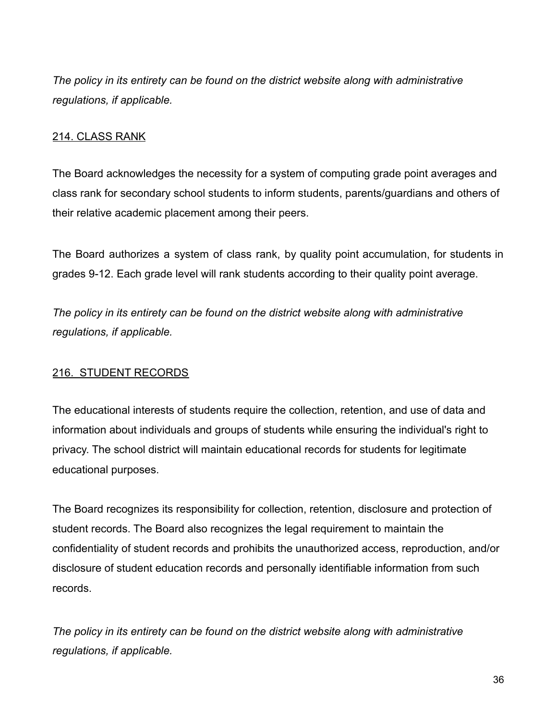*The policy in its entirety can be found on the district website along with administrative regulations, if applicable.*

### 214. CLASS RANK

The Board acknowledges the necessity for a system of computing grade point averages and class rank for secondary school students to inform students, parents/guardians and others of their relative academic placement among their peers.

The Board authorizes a system of class rank, by quality point accumulation, for students in grades 9-12. Each grade level will rank students according to their quality point average.

*The policy in its entirety can be found on the district website along with administrative regulations, if applicable.*

### 216. STUDENT RECORDS

The educational interests of students require the collection, retention, and use of data and information about individuals and groups of students while ensuring the individual's right to privacy. The school district will maintain educational records for students for legitimate educational purposes.

The Board recognizes its responsibility for collection, retention, disclosure and protection of student records. The Board also recognizes the legal requirement to maintain the confidentiality of student records and prohibits the unauthorized access, reproduction, and/or disclosure of student education records and personally identifiable information from such records.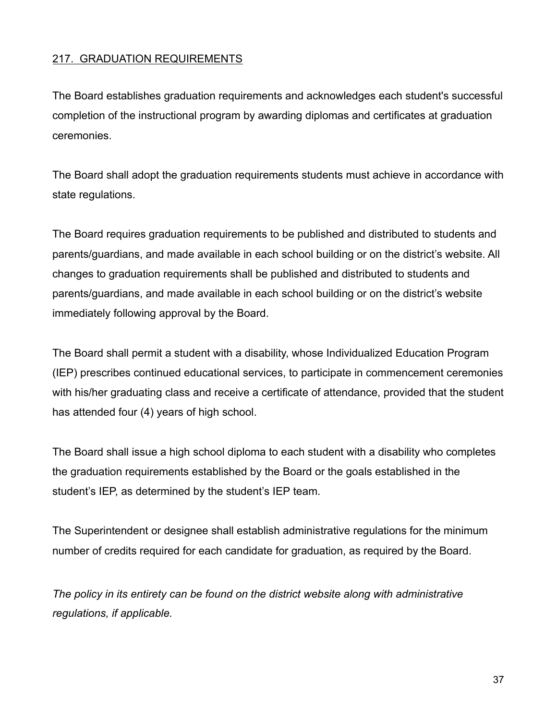### 217. GRADUATION REQUIREMENTS

The Board establishes graduation requirements and acknowledges each student's successful completion of the instructional program by awarding diplomas and certificates at graduation ceremonies.

The Board shall adopt the graduation requirements students must achieve in accordance with state regulations.

The Board requires graduation requirements to be published and distributed to students and parents/guardians, and made available in each school building or on the district's website. All changes to graduation requirements shall be published and distributed to students and parents/guardians, and made available in each school building or on the district's website immediately following approval by the Board.

The Board shall permit a student with a disability, whose Individualized Education Program (IEP) prescribes continued educational services, to participate in commencement ceremonies with his/her graduating class and receive a certificate of attendance, provided that the student has attended four (4) years of high school.

The Board shall issue a high school diploma to each student with a disability who completes the graduation requirements established by the Board or the goals established in the student's IEP, as determined by the student's IEP team.

The Superintendent or designee shall establish administrative regulations for the minimum number of credits required for each candidate for graduation, as required by the Board.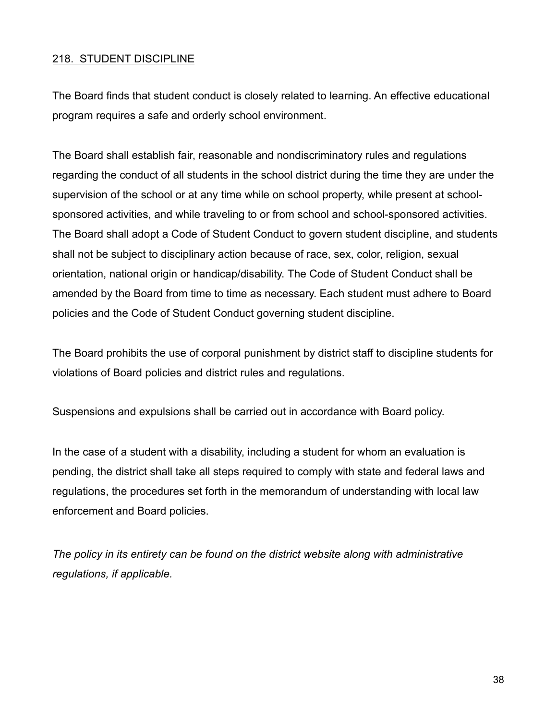### 218. STUDENT DISCIPLINE

The Board finds that student conduct is closely related to learning. An effective educational program requires a safe and orderly school environment.

The Board shall establish fair, reasonable and nondiscriminatory rules and regulations regarding the conduct of all students in the school district during the time they are under the supervision of the school or at any time while on school property, while present at schoolsponsored activities, and while traveling to or from school and school-sponsored activities. The Board shall adopt a Code of Student Conduct to govern student discipline, and students shall not be subject to disciplinary action because of race, sex, color, religion, sexual orientation, national origin or handicap/disability. The Code of Student Conduct shall be amended by the Board from time to time as necessary. Each student must adhere to Board policies and the Code of Student Conduct governing student discipline.

The Board prohibits the use of corporal punishment by district staff to discipline students for violations of Board policies and district rules and regulations.

Suspensions and expulsions shall be carried out in accordance with Board policy.

In the case of a student with a disability, including a student for whom an evaluation is pending, the district shall take all steps required to comply with state and federal laws and regulations, the procedures set forth in the memorandum of understanding with local law enforcement and Board policies.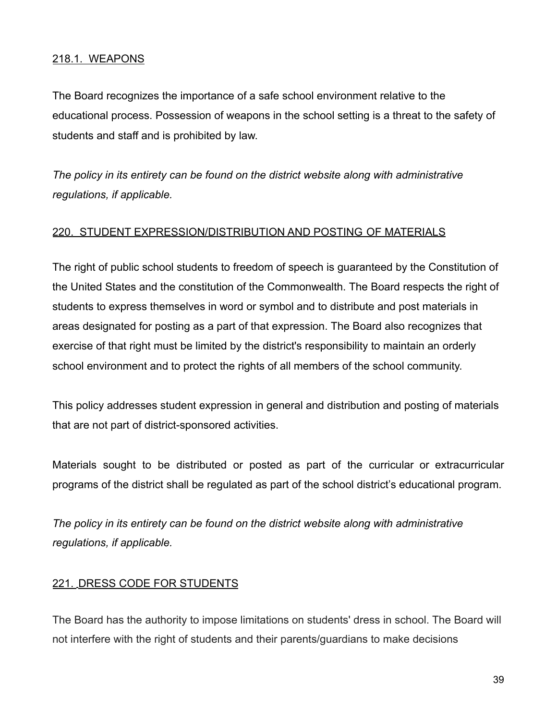### 218.1. WEAPONS

The Board recognizes the importance of a safe school environment relative to the educational process. Possession of weapons in the school setting is a threat to the safety of students and staff and is prohibited by law.

*The policy in its entirety can be found on the district website along with administrative regulations, if applicable.*

### 220. STUDENT EXPRESSION/DISTRIBUTION AND POSTING OF MATERIALS

The right of public school students to freedom of speech is guaranteed by the Constitution of the United States and the constitution of the Commonwealth. The Board respects the right of students to express themselves in word or symbol and to distribute and post materials in areas designated for posting as a part of that expression. The Board also recognizes that exercise of that right must be limited by the district's responsibility to maintain an orderly school environment and to protect the rights of all members of the school community.

This policy addresses student expression in general and distribution and posting of materials that are not part of district-sponsored activities.

Materials sought to be distributed or posted as part of the curricular or extracurricular programs of the district shall be regulated as part of the school district's educational program.

*The policy in its entirety can be found on the district website along with administrative regulations, if applicable.*

### 221. DRESS CODE FOR STUDENTS

The Board has the authority to impose limitations on students' dress in school. The Board will not interfere with the right of students and their parents/guardians to make decisions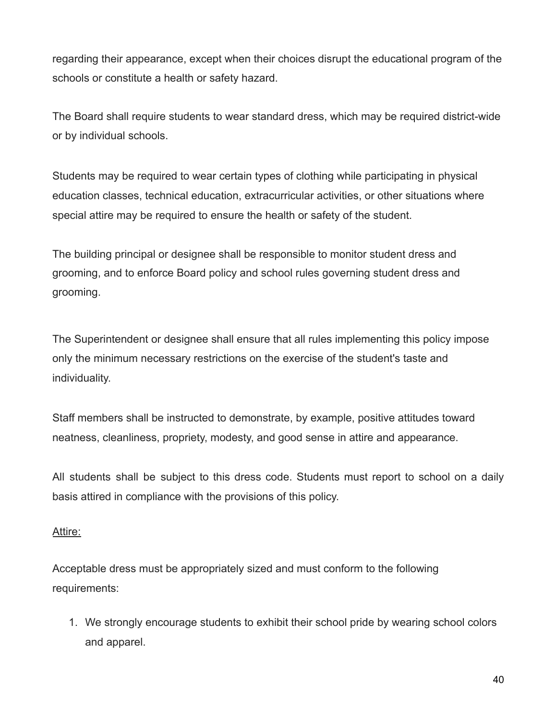regarding their appearance, except when their choices disrupt the educational program of the schools or constitute a health or safety hazard.

The Board shall require students to wear standard dress, which may be required district-wide or by individual schools.

Students may be required to wear certain types of clothing while participating in physical education classes, technical education, extracurricular activities, or other situations where special attire may be required to ensure the health or safety of the student.

The building principal or designee shall be responsible to monitor student dress and grooming, and to enforce Board policy and school rules governing student dress and grooming.

The Superintendent or designee shall ensure that all rules implementing this policy impose only the minimum necessary restrictions on the exercise of the student's taste and individuality.

Staff members shall be instructed to demonstrate, by example, positive attitudes toward neatness, cleanliness, propriety, modesty, and good sense in attire and appearance.

All students shall be subject to this dress code. Students must report to school on a daily basis attired in compliance with the provisions of this policy.

### Attire:

Acceptable dress must be appropriately sized and must conform to the following requirements:

1. We strongly encourage students to exhibit their school pride by wearing school colors and apparel.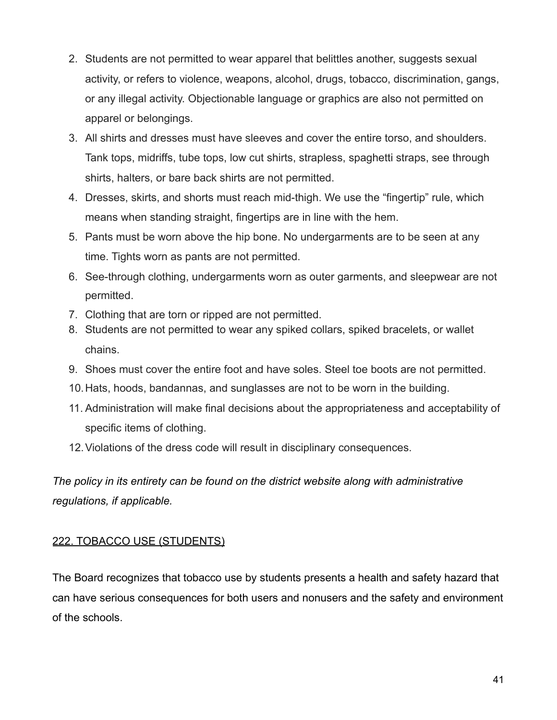- 2. Students are not permitted to wear apparel that belittles another, suggests sexual activity, or refers to violence, weapons, alcohol, drugs, tobacco, discrimination, gangs, or any illegal activity. Objectionable language or graphics are also not permitted on apparel or belongings.
- 3. All shirts and dresses must have sleeves and cover the entire torso, and shoulders. Tank tops, midriffs, tube tops, low cut shirts, strapless, spaghetti straps, see through shirts, halters, or bare back shirts are not permitted.
- 4. Dresses, skirts, and shorts must reach mid-thigh. We use the "fingertip" rule, which means when standing straight, fingertips are in line with the hem.
- 5. Pants must be worn above the hip bone. No undergarments are to be seen at any time. Tights worn as pants are not permitted.
- 6. See-through clothing, undergarments worn as outer garments, and sleepwear are not permitted.
- 7. Clothing that are torn or ripped are not permitted.
- 8. Students are not permitted to wear any spiked collars, spiked bracelets, or wallet chains.
- 9. Shoes must cover the entire foot and have soles. Steel toe boots are not permitted.
- 10.Hats, hoods, bandannas, and sunglasses are not to be worn in the building.
- 11. Administration will make final decisions about the appropriateness and acceptability of specific items of clothing.
- 12.Violations of the dress code will result in disciplinary consequences.

*The policy in its entirety can be found on the district website along with administrative regulations, if applicable.*

### 222. TOBACCO USE (STUDENTS)

The Board recognizes that tobacco use by students presents a health and safety hazard that can have serious consequences for both users and nonusers and the safety and environment of the schools.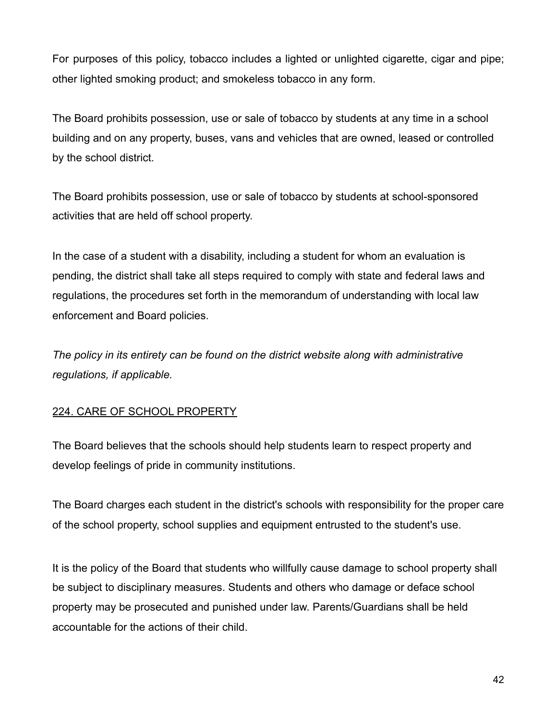For purposes of this policy, tobacco includes a lighted or unlighted cigarette, cigar and pipe; other lighted smoking product; and smokeless tobacco in any form.

The Board prohibits possession, use or sale of tobacco by students at any time in a school building and on any property, buses, vans and vehicles that are owned, leased or controlled by the school district.

The Board prohibits possession, use or sale of tobacco by students at school-sponsored activities that are held off school property.

In the case of a student with a disability, including a student for whom an evaluation is pending, the district shall take all steps required to comply with state and federal laws and regulations, the procedures set forth in the memorandum of understanding with local law enforcement and Board policies.

*The policy in its entirety can be found on the district website along with administrative regulations, if applicable.*

# 224. CARE OF SCHOOL PROPERTY

The Board believes that the schools should help students learn to respect property and develop feelings of pride in community institutions.

The Board charges each student in the district's schools with responsibility for the proper care of the school property, school supplies and equipment entrusted to the student's use.

It is the policy of the Board that students who willfully cause damage to school property shall be subject to disciplinary measures. Students and others who damage or deface school property may be prosecuted and punished under law. Parents/Guardians shall be held accountable for the actions of their child.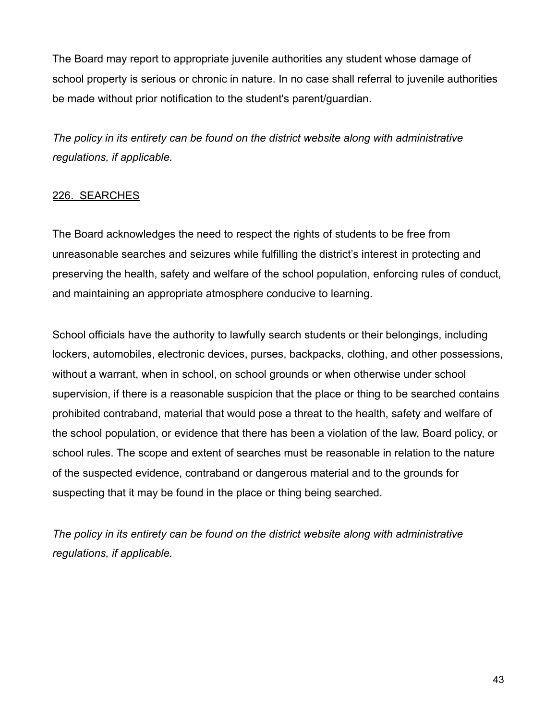The Board may report to appropriate juvenile authorities any student whose damage of school property is serious or chronic in nature. In no case shall referral to juvenile authorities be made without prior notification to the student's parent/guardian.

*The policy in its entirety can be found on the district website along with administrative regulations, if applicable.*

## 226. SEARCHES

The Board acknowledges the need to respect the rights of students to be free from unreasonable searches and seizures while fulfilling the district's interest in protecting and preserving the health, safety and welfare of the school population, enforcing rules of conduct, and maintaining an appropriate atmosphere conducive to learning.

School officials have the authority to lawfully search students or their belongings, including lockers, automobiles, electronic devices, purses, backpacks, clothing, and other possessions, without a warrant, when in school, on school grounds or when otherwise under school supervision, if there is a reasonable suspicion that the place or thing to be searched contains prohibited contraband, material that would pose a threat to the health, safety and welfare of the school population, or evidence that there has been a violation of the law, Board policy, or school rules. The scope and extent of searches must be reasonable in relation to the nature of the suspected evidence, contraband or dangerous material and to the grounds for suspecting that it may be found in the place or thing being searched.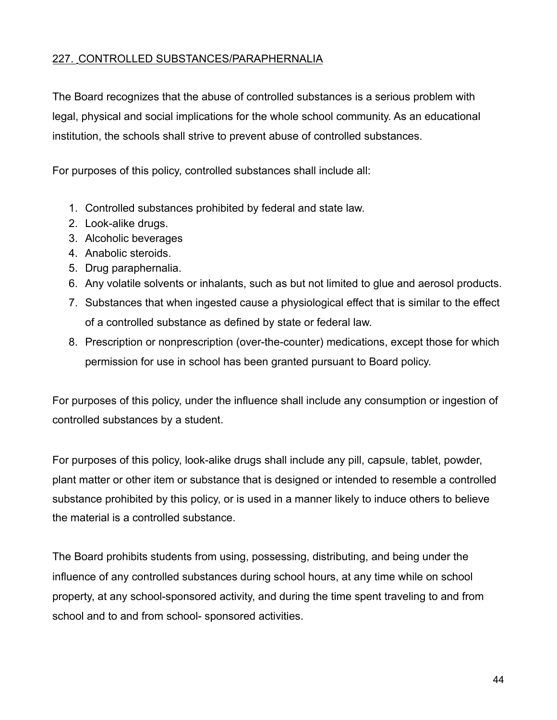### 227. CONTROLLED SUBSTANCES/PARAPHERNALIA

The Board recognizes that the abuse of controlled substances is a serious problem with legal, physical and social implications for the whole school community. As an educational institution, the schools shall strive to prevent abuse of controlled substances.

For purposes of this policy, controlled substances shall include all:

- 1. Controlled substances prohibited by federal and state law.
- 2. Look-alike drugs.
- 3. Alcoholic beverages
- 4. Anabolic steroids.
- 5. Drug paraphernalia.
- 6. Any volatile solvents or inhalants, such as but not limited to glue and aerosol products.
- 7. Substances that when ingested cause a physiological effect that is similar to the effect of a controlled substance as defined by state or federal law.
- 8. Prescription or nonprescription (over-the-counter) medications, except those for which permission for use in school has been granted pursuant to Board policy.

For purposes of this policy, under the influence shall include any consumption or ingestion of controlled substances by a student.

For purposes of this policy, look-alike drugs shall include any pill, capsule, tablet, powder, plant matter or other item or substance that is designed or intended to resemble a controlled substance prohibited by this policy, or is used in a manner likely to induce others to believe the material is a controlled substance.

The Board prohibits students from using, possessing, distributing, and being under the influence of any controlled substances during school hours, at any time while on school property, at any school-sponsored activity, and during the time spent traveling to and from school and to and from school- sponsored activities.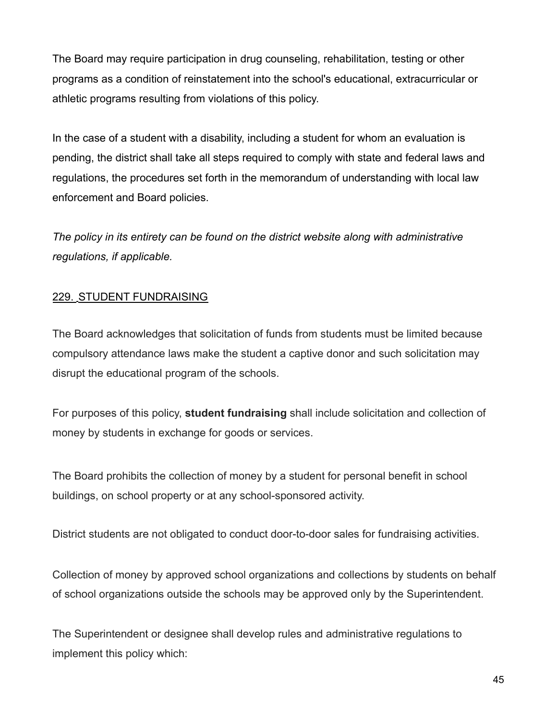The Board may require participation in drug counseling, rehabilitation, testing or other programs as a condition of reinstatement into the school's educational, extracurricular or athletic programs resulting from violations of this policy.

In the case of a student with a disability, including a student for whom an evaluation is pending, the district shall take all steps required to comply with state and federal laws and regulations, the procedures set forth in the memorandum of understanding with local law enforcement and Board policies.

*The policy in its entirety can be found on the district website along with administrative regulations, if applicable.*

# 229. STUDENT FUNDRAISING

The Board acknowledges that solicitation of funds from students must be limited because compulsory attendance laws make the student a captive donor and such solicitation may disrupt the educational program of the schools.

For purposes of this policy, **student fundraising** shall include solicitation and collection of money by students in exchange for goods or services.

The Board prohibits the collection of money by a student for personal benefit in school buildings, on school property or at any school-sponsored activity.

District students are not obligated to conduct door-to-door sales for fundraising activities.

Collection of money by approved school organizations and collections by students on behalf of school organizations outside the schools may be approved only by the Superintendent.

The Superintendent or designee shall develop rules and administrative regulations to implement this policy which: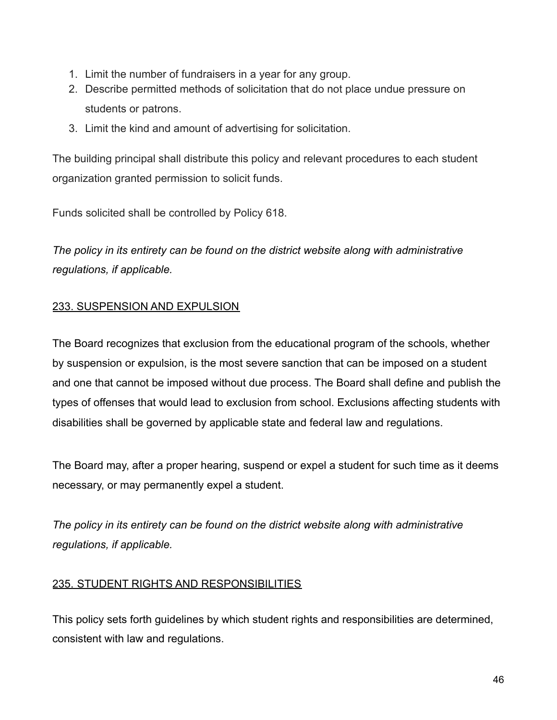- 1. Limit the number of fundraisers in a year for any group.
- 2. Describe permitted methods of solicitation that do not place undue pressure on students or patrons.
- 3. Limit the kind and amount of advertising for solicitation.

The building principal shall distribute this policy and relevant procedures to each student organization granted permission to solicit funds.

Funds solicited shall be controlled by Policy 618.

*The policy in its entirety can be found on the district website along with administrative regulations, if applicable.*

## 233. SUSPENSION AND EXPULSION

The Board recognizes that exclusion from the educational program of the schools, whether by suspension or expulsion, is the most severe sanction that can be imposed on a student and one that cannot be imposed without due process. The Board shall define and publish the types of offenses that would lead to exclusion from school. Exclusions affecting students with disabilities shall be governed by applicable state and federal law and regulations.

The Board may, after a proper hearing, suspend or expel a student for such time as it deems necessary, or may permanently expel a student.

*The policy in its entirety can be found on the district website along with administrative regulations, if applicable.*

### 235. STUDENT RIGHTS AND RESPONSIBILITIES

This policy sets forth guidelines by which student rights and responsibilities are determined, consistent with law and regulations.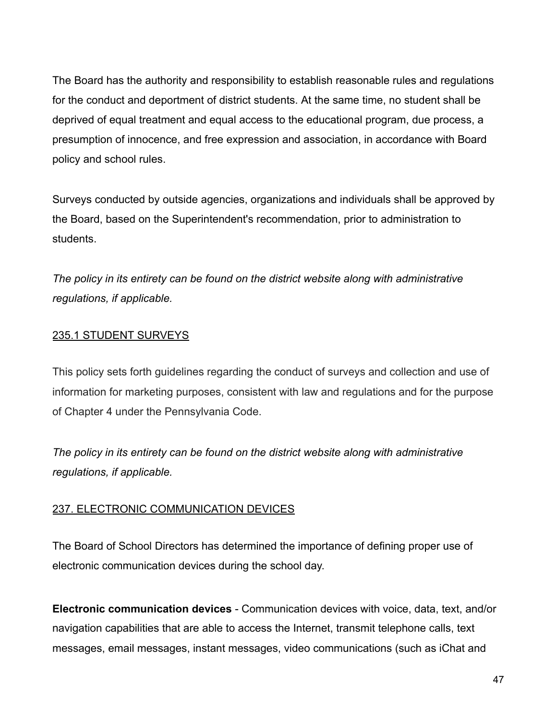The Board has the authority and responsibility to establish reasonable rules and regulations for the conduct and deportment of district students. At the same time, no student shall be deprived of equal treatment and equal access to the educational program, due process, a presumption of innocence, and free expression and association, in accordance with Board policy and school rules.

Surveys conducted by outside agencies, organizations and individuals shall be approved by the Board, based on the Superintendent's recommendation, prior to administration to students.

*The policy in its entirety can be found on the district website along with administrative regulations, if applicable.*

# 235.1 STUDENT SURVEYS

This policy sets forth guidelines regarding the conduct of surveys and collection and use of information for marketing purposes, consistent with law and regulations and for the purpose of Chapter 4 under the Pennsylvania Code.

*The policy in its entirety can be found on the district website along with administrative regulations, if applicable.*

## 237. ELECTRONIC COMMUNICATION DEVICES

The Board of School Directors has determined the importance of defining proper use of electronic communication devices during the school day.

**Electronic communication devices** - Communication devices with voice, data, text, and/or navigation capabilities that are able to access the Internet, transmit telephone calls, text messages, email messages, instant messages, video communications (such as iChat and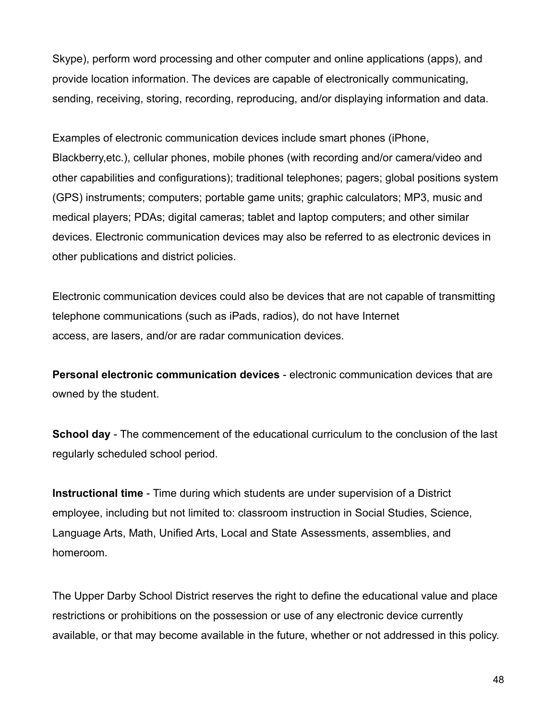Skype), perform word processing and other computer and online applications (apps), and provide location information. The devices are capable of electronically communicating, sending, receiving, storing, recording, reproducing, and/or displaying information and data.

Examples of electronic communication devices include smart phones (iPhone, Blackberry,etc.), cellular phones, mobile phones (with recording and/or camera/video and other capabilities and configurations); traditional telephones; pagers; global positions system (GPS) instruments; computers; portable game units; graphic calculators; MP3, music and medical players; PDAs; digital cameras; tablet and laptop computers; and other similar devices. Electronic communication devices may also be referred to as electronic devices in other publications and district policies.

Electronic communication devices could also be devices that are not capable of transmitting telephone communications (such as iPads, radios), do not have Internet access, are lasers, and/or are radar communication devices.

**Personal electronic communication devices** - electronic communication devices that are owned by the student.

**School day** - The commencement of the educational curriculum to the conclusion of the last regularly scheduled school period.

**Instructional time** - Time during which students are under supervision of a District employee, including but not limited to: classroom instruction in Social Studies, Science, Language Arts, Math, Unified Arts, Local and State Assessments, assemblies, and homeroom.

The Upper Darby School District reserves the right to define the educational value and place restrictions or prohibitions on the possession or use of any electronic device currently available, or that may become available in the future, whether or not addressed in this policy.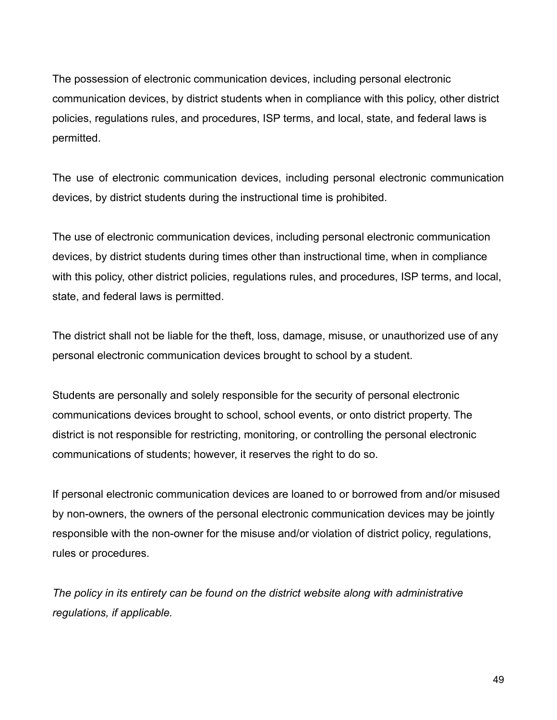The possession of electronic communication devices, including personal electronic communication devices, by district students when in compliance with this policy, other district policies, regulations rules, and procedures, ISP terms, and local, state, and federal laws is permitted.

The use of electronic communication devices, including personal electronic communication devices, by district students during the instructional time is prohibited.

The use of electronic communication devices, including personal electronic communication devices, by district students during times other than instructional time, when in compliance with this policy, other district policies, regulations rules, and procedures, ISP terms, and local, state, and federal laws is permitted.

The district shall not be liable for the theft, loss, damage, misuse, or unauthorized use of any personal electronic communication devices brought to school by a student.

Students are personally and solely responsible for the security of personal electronic communications devices brought to school, school events, or onto district property. The district is not responsible for restricting, monitoring, or controlling the personal electronic communications of students; however, it reserves the right to do so.

If personal electronic communication devices are loaned to or borrowed from and/or misused by non-owners, the owners of the personal electronic communication devices may be jointly responsible with the non-owner for the misuse and/or violation of district policy, regulations, rules or procedures.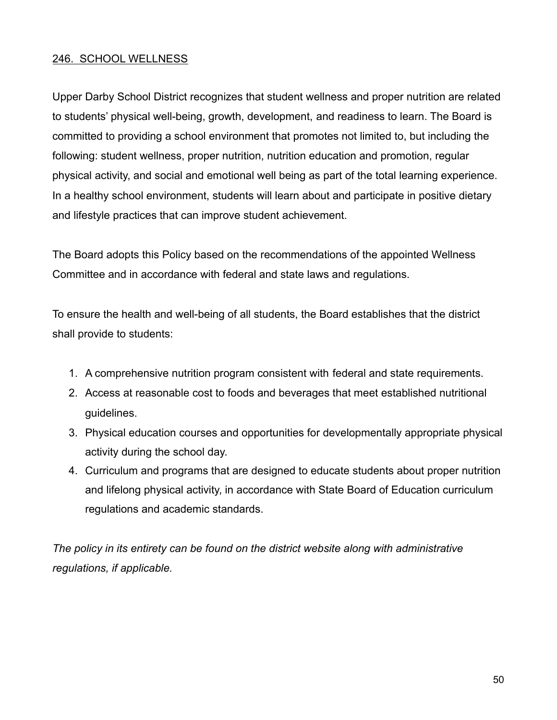### 246. SCHOOL WELLNESS

Upper Darby School District recognizes that student wellness and proper nutrition are related to students' physical well-being, growth, development, and readiness to learn. The Board is committed to providing a school environment that promotes not limited to, but including the following: student wellness, proper nutrition, nutrition education and promotion, regular physical activity, and social and emotional well being as part of the total learning experience. In a healthy school environment, students will learn about and participate in positive dietary and lifestyle practices that can improve student achievement.

The Board adopts this Policy based on the recommendations of the appointed Wellness Committee and in accordance with federal and state laws and regulations.

To ensure the health and well-being of all students, the Board establishes that the district shall provide to students:

- 1. A comprehensive nutrition program consistent with federal and state requirements.
- 2. Access at reasonable cost to foods and beverages that meet established nutritional guidelines.
- 3. Physical education courses and opportunities for developmentally appropriate physical activity during the school day.
- 4. Curriculum and programs that are designed to educate students about proper nutrition and lifelong physical activity, in accordance with State Board of Education curriculum regulations and academic standards.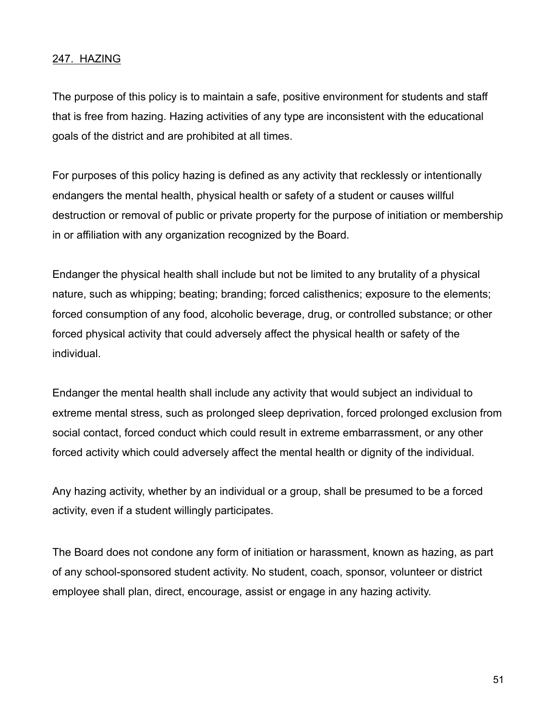### 247. HAZING

The purpose of this policy is to maintain a safe, positive environment for students and staff that is free from hazing. Hazing activities of any type are inconsistent with the educational goals of the district and are prohibited at all times.

For purposes of this policy hazing is defined as any activity that recklessly or intentionally endangers the mental health, physical health or safety of a student or causes willful destruction or removal of public or private property for the purpose of initiation or membership in or affiliation with any organization recognized by the Board.

Endanger the physical health shall include but not be limited to any brutality of a physical nature, such as whipping; beating; branding; forced calisthenics; exposure to the elements; forced consumption of any food, alcoholic beverage, drug, or controlled substance; or other forced physical activity that could adversely affect the physical health or safety of the individual.

Endanger the mental health shall include any activity that would subject an individual to extreme mental stress, such as prolonged sleep deprivation, forced prolonged exclusion from social contact, forced conduct which could result in extreme embarrassment, or any other forced activity which could adversely affect the mental health or dignity of the individual.

Any hazing activity, whether by an individual or a group, shall be presumed to be a forced activity, even if a student willingly participates.

The Board does not condone any form of initiation or harassment, known as hazing, as part of any school-sponsored student activity. No student, coach, sponsor, volunteer or district employee shall plan, direct, encourage, assist or engage in any hazing activity.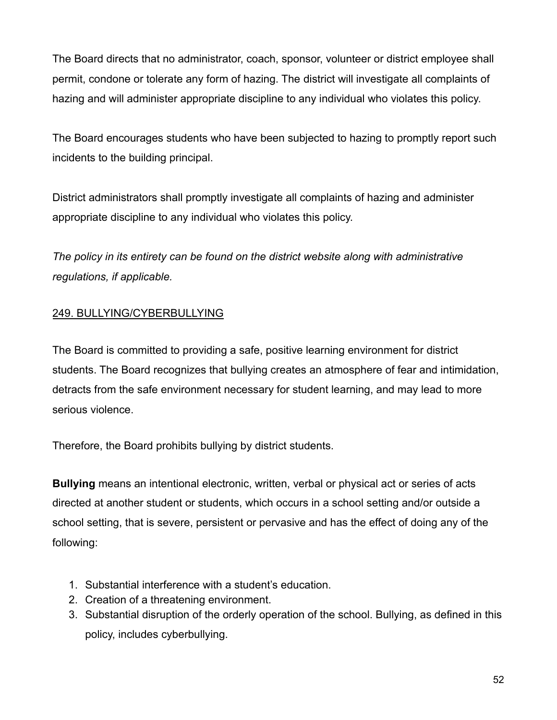The Board directs that no administrator, coach, sponsor, volunteer or district employee shall permit, condone or tolerate any form of hazing. The district will investigate all complaints of hazing and will administer appropriate discipline to any individual who violates this policy.

The Board encourages students who have been subjected to hazing to promptly report such incidents to the building principal.

District administrators shall promptly investigate all complaints of hazing and administer appropriate discipline to any individual who violates this policy.

*The policy in its entirety can be found on the district website along with administrative regulations, if applicable.*

# 249. BULLYING/CYBERBULLYING

The Board is committed to providing a safe, positive learning environment for district students. The Board recognizes that bullying creates an atmosphere of fear and intimidation, detracts from the safe environment necessary for student learning, and may lead to more serious violence.

Therefore, the Board prohibits bullying by district students.

**Bullying** means an intentional electronic, written, verbal or physical act or series of acts directed at another student or students, which occurs in a school setting and/or outside a school setting, that is severe, persistent or pervasive and has the effect of doing any of the following:

- 1. Substantial interference with a student's education.
- 2. Creation of a threatening environment.
- 3. Substantial disruption of the orderly operation of the school. Bullying, as defined in this policy, includes cyberbullying.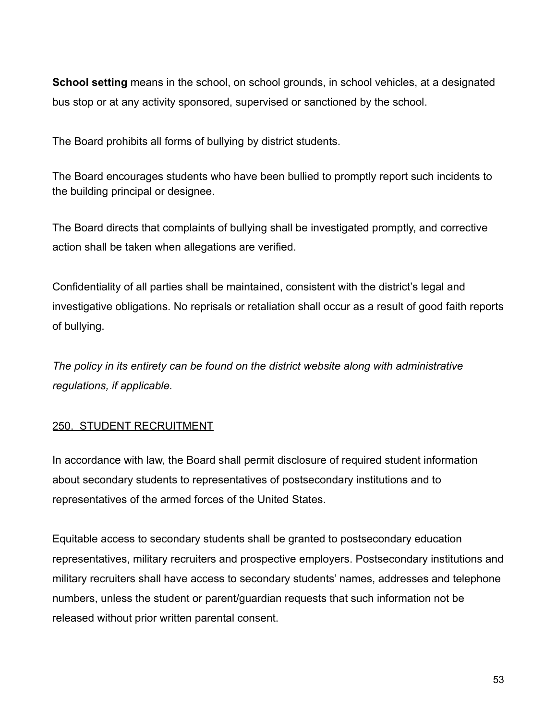**School setting** means in the school, on school grounds, in school vehicles, at a designated bus stop or at any activity sponsored, supervised or sanctioned by the school.

The Board prohibits all forms of bullying by district students.

The Board encourages students who have been bullied to promptly report such incidents to the building principal or designee.

The Board directs that complaints of bullying shall be investigated promptly, and corrective action shall be taken when allegations are verified.

Confidentiality of all parties shall be maintained, consistent with the district's legal and investigative obligations. No reprisals or retaliation shall occur as a result of good faith reports of bullying.

*The policy in its entirety can be found on the district website along with administrative regulations, if applicable.*

# 250. STUDENT RECRUITMENT

In accordance with law, the Board shall permit disclosure of required student information about secondary students to representatives of postsecondary institutions and to representatives of the armed forces of the United States.

Equitable access to secondary students shall be granted to postsecondary education representatives, military recruiters and prospective employers. Postsecondary institutions and military recruiters shall have access to secondary students' names, addresses and telephone numbers, unless the student or parent/guardian requests that such information not be released without prior written parental consent.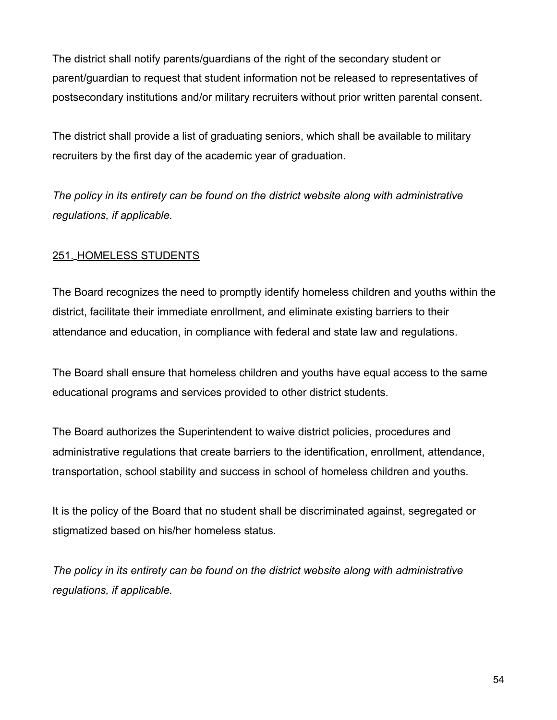The district shall notify parents/guardians of the right of the secondary student or parent/guardian to request that student information not be released to representatives of postsecondary institutions and/or military recruiters without prior written parental consent.

The district shall provide a list of graduating seniors, which shall be available to military recruiters by the first day of the academic year of graduation.

*The policy in its entirety can be found on the district website along with administrative regulations, if applicable.*

## 251. HOMELESS STUDENTS

The Board recognizes the need to promptly identify homeless children and youths within the district, facilitate their immediate enrollment, and eliminate existing barriers to their attendance and education, in compliance with federal and state law and regulations.

The Board shall ensure that homeless children and youths have equal access to the same educational programs and services provided to other district students.

The Board authorizes the Superintendent to waive district policies, procedures and administrative regulations that create barriers to the identification, enrollment, attendance, transportation, school stability and success in school of homeless children and youths.

It is the policy of the Board that no student shall be discriminated against, segregated or stigmatized based on his/her homeless status.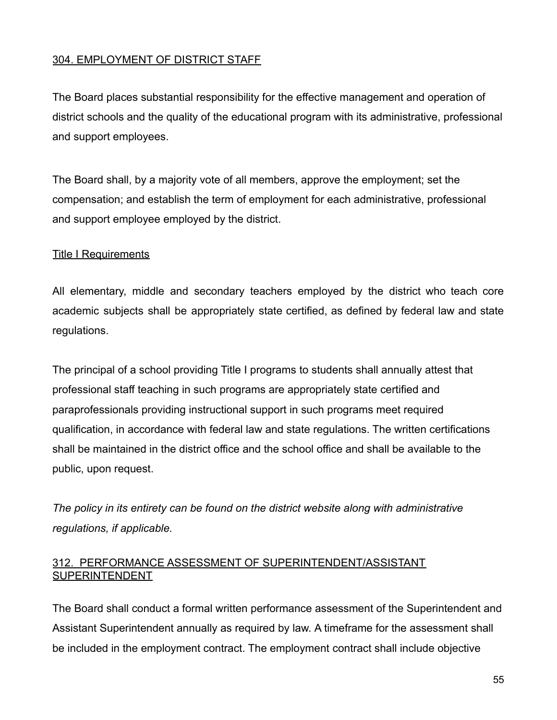# 304. EMPLOYMENT OF DISTRICT STAFF

The Board places substantial responsibility for the effective management and operation of district schools and the quality of the educational program with its administrative, professional and support employees.

The Board shall, by a majority vote of all members, approve the employment; set the compensation; and establish the term of employment for each administrative, professional and support employee employed by the district.

### **Title I Requirements**

All elementary, middle and secondary teachers employed by the district who teach core academic subjects shall be appropriately state certified, as defined by federal law and state regulations.

The principal of a school providing Title I programs to students shall annually attest that professional staff teaching in such programs are appropriately state certified and paraprofessionals providing instructional support in such programs meet required qualification, in accordance with federal law and state regulations. The written certifications shall be maintained in the district office and the school office and shall be available to the public, upon request.

*The policy in its entirety can be found on the district website along with administrative regulations, if applicable.*

## 312. PERFORMANCE ASSESSMENT OF SUPERINTENDENT/ASSISTANT SUPERINTENDENT

The Board shall conduct a formal written performance assessment of the Superintendent and Assistant Superintendent annually as required by law. A timeframe for the assessment shall be included in the employment contract. The employment contract shall include objective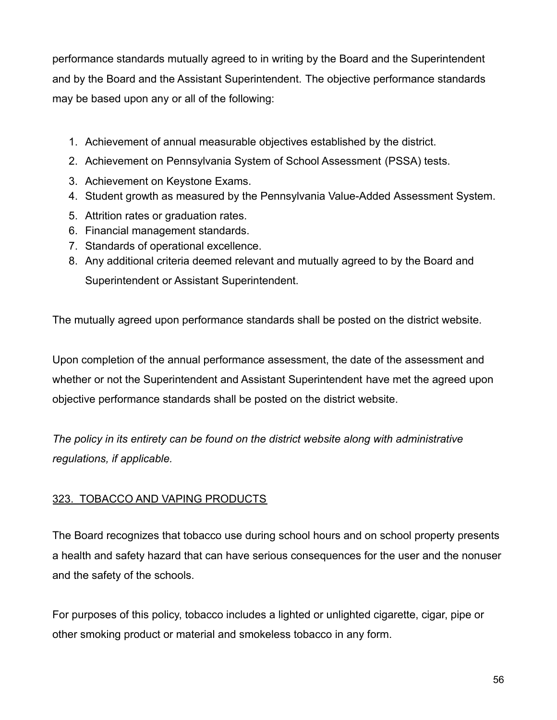performance standards mutually agreed to in writing by the Board and the Superintendent and by the Board and the Assistant Superintendent. The objective performance standards may be based upon any or all of the following:

- 1. Achievement of annual measurable objectives established by the district.
- 2. Achievement on Pennsylvania System of School Assessment (PSSA) tests.
- 3. Achievement on Keystone Exams.
- 4. Student growth as measured by the Pennsylvania Value-Added Assessment System.
- 5. Attrition rates or graduation rates.
- 6. Financial management standards.
- 7. Standards of operational excellence.
- 8. Any additional criteria deemed relevant and mutually agreed to by the Board and Superintendent or Assistant Superintendent.

The mutually agreed upon performance standards shall be posted on the district website.

Upon completion of the annual performance assessment, the date of the assessment and whether or not the Superintendent and Assistant Superintendent have met the agreed upon objective performance standards shall be posted on the district website.

*The policy in its entirety can be found on the district website along with administrative regulations, if applicable.*

# 323. TOBACCO AND VAPING PRODUCTS

The Board recognizes that tobacco use during school hours and on school property presents a health and safety hazard that can have serious consequences for the user and the nonuser and the safety of the schools.

For purposes of this policy, tobacco includes a lighted or unlighted cigarette, cigar, pipe or other smoking product or material and smokeless tobacco in any form.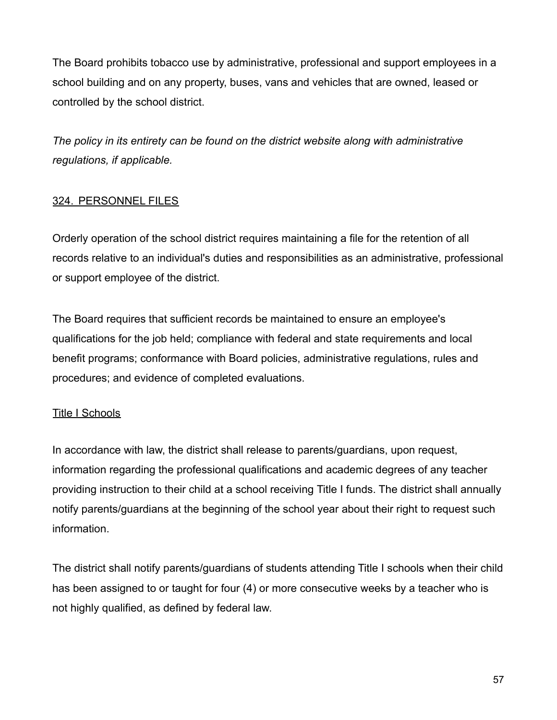The Board prohibits tobacco use by administrative, professional and support employees in a school building and on any property, buses, vans and vehicles that are owned, leased or controlled by the school district.

*The policy in its entirety can be found on the district website along with administrative regulations, if applicable.*

## 324. PERSONNEL FILES

Orderly operation of the school district requires maintaining a file for the retention of all records relative to an individual's duties and responsibilities as an administrative, professional or support employee of the district.

The Board requires that sufficient records be maintained to ensure an employee's qualifications for the job held; compliance with federal and state requirements and local benefit programs; conformance with Board policies, administrative regulations, rules and procedures; and evidence of completed evaluations.

### Title I Schools

In accordance with law, the district shall release to parents/guardians, upon request, information regarding the professional qualifications and academic degrees of any teacher providing instruction to their child at a school receiving Title I funds. The district shall annually notify parents/guardians at the beginning of the school year about their right to request such information.

The district shall notify parents/guardians of students attending Title I schools when their child has been assigned to or taught for four (4) or more consecutive weeks by a teacher who is not highly qualified, as defined by federal law.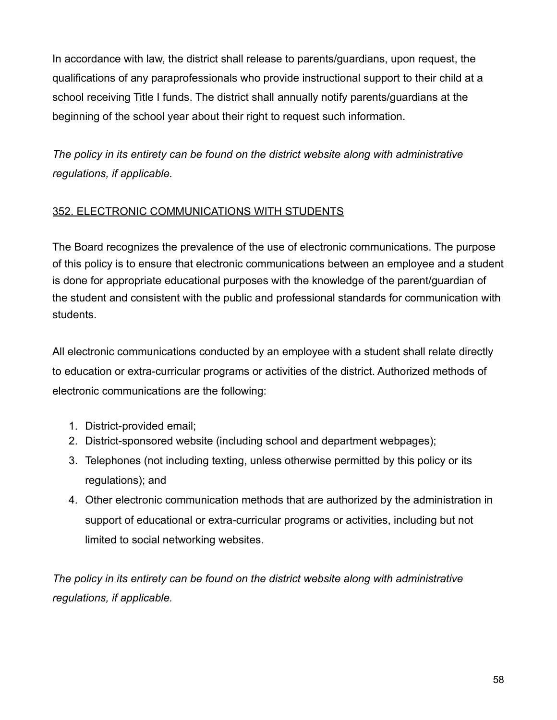In accordance with law, the district shall release to parents/guardians, upon request, the qualifications of any paraprofessionals who provide instructional support to their child at a school receiving Title I funds. The district shall annually notify parents/guardians at the beginning of the school year about their right to request such information.

*The policy in its entirety can be found on the district website along with administrative regulations, if applicable.*

# 352. ELECTRONIC COMMUNICATIONS WITH STUDENTS

The Board recognizes the prevalence of the use of electronic communications. The purpose of this policy is to ensure that electronic communications between an employee and a student is done for appropriate educational purposes with the knowledge of the parent/guardian of the student and consistent with the public and professional standards for communication with students.

All electronic communications conducted by an employee with a student shall relate directly to education or extra-curricular programs or activities of the district. Authorized methods of electronic communications are the following:

- 1. District-provided email;
- 2. District-sponsored website (including school and department webpages);
- 3. Telephones (not including texting, unless otherwise permitted by this policy or its regulations); and
- 4. Other electronic communication methods that are authorized by the administration in support of educational or extra-curricular programs or activities, including but not limited to social networking websites.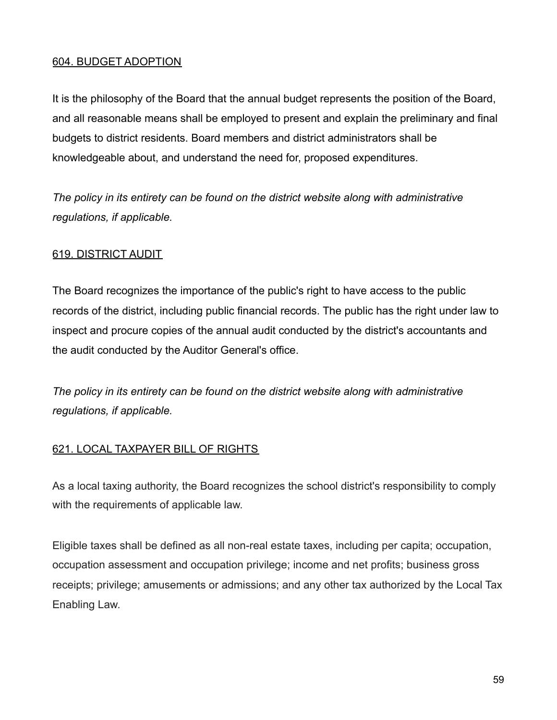### 604. BUDGET ADOPTION

It is the philosophy of the Board that the annual budget represents the position of the Board, and all reasonable means shall be employed to present and explain the preliminary and final budgets to district residents. Board members and district administrators shall be knowledgeable about, and understand the need for, proposed expenditures.

*The policy in its entirety can be found on the district website along with administrative regulations, if applicable.*

### 619. DISTRICT AUDIT

The Board recognizes the importance of the public's right to have access to the public records of the district, including public financial records. The public has the right under law to inspect and procure copies of the annual audit conducted by the district's accountants and the audit conducted by the Auditor General's office.

*The policy in its entirety can be found on the district website along with administrative regulations, if applicable.*

## 621. LOCAL TAXPAYER BILL OF RIGHTS

As a local taxing authority, the Board recognizes the school district's responsibility to comply with the requirements of applicable law.

Eligible taxes shall be defined as all non-real estate taxes, including per capita; occupation, occupation assessment and occupation privilege; income and net profits; business gross receipts; privilege; amusements or admissions; and any other tax authorized by the Local Tax Enabling Law.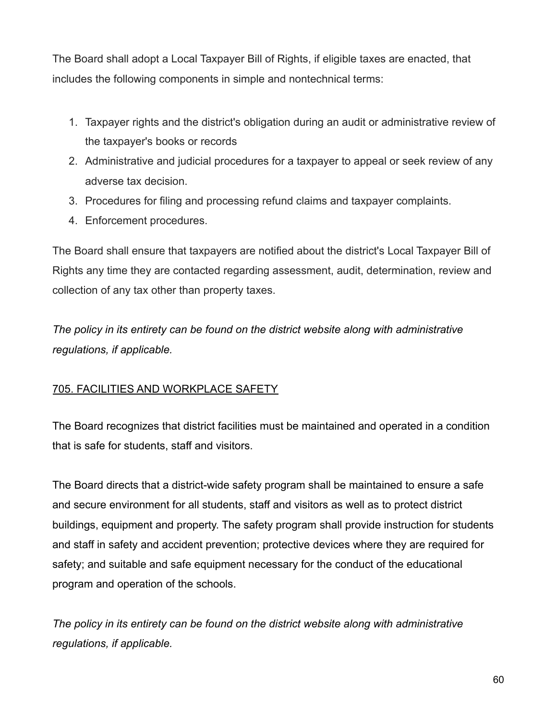The Board shall adopt a Local Taxpayer Bill of Rights, if eligible taxes are enacted, that includes the following components in simple and nontechnical terms:

- 1. Taxpayer rights and the district's obligation during an audit or administrative review of the taxpayer's books or records
- 2. Administrative and judicial procedures for a taxpayer to appeal or seek review of any adverse tax decision.
- 3. Procedures for filing and processing refund claims and taxpayer complaints.
- 4. Enforcement procedures.

The Board shall ensure that taxpayers are notified about the district's Local Taxpayer Bill of Rights any time they are contacted regarding assessment, audit, determination, review and collection of any tax other than property taxes.

*The policy in its entirety can be found on the district website along with administrative regulations, if applicable.*

# 705. FACILITIES AND WORKPLACE SAFETY

The Board recognizes that district facilities must be maintained and operated in a condition that is safe for students, staff and visitors.

The Board directs that a district-wide safety program shall be maintained to ensure a safe and secure environment for all students, staff and visitors as well as to protect district buildings, equipment and property. The safety program shall provide instruction for students and staff in safety and accident prevention; protective devices where they are required for safety; and suitable and safe equipment necessary for the conduct of the educational program and operation of the schools.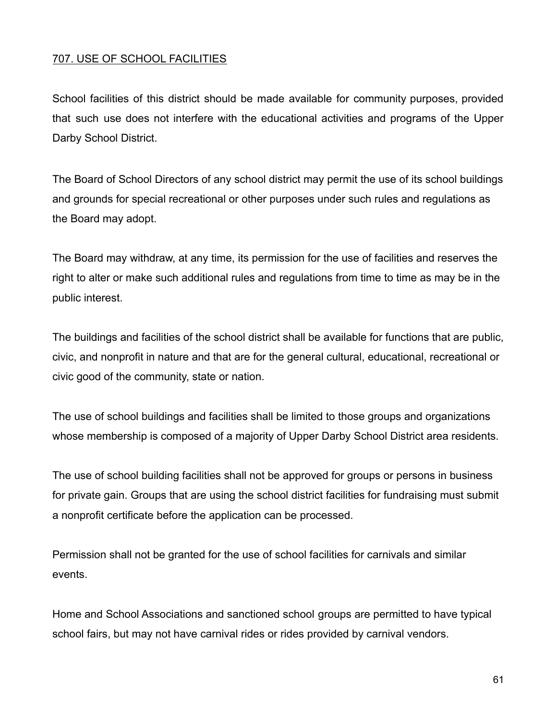### 707. USE OF SCHOOL FACILITIES

School facilities of this district should be made available for community purposes, provided that such use does not interfere with the educational activities and programs of the Upper Darby School District.

The Board of School Directors of any school district may permit the use of its school buildings and grounds for special recreational or other purposes under such rules and regulations as the Board may adopt.

The Board may withdraw, at any time, its permission for the use of facilities and reserves the right to alter or make such additional rules and regulations from time to time as may be in the public interest.

The buildings and facilities of the school district shall be available for functions that are public, civic, and nonprofit in nature and that are for the general cultural, educational, recreational or civic good of the community, state or nation.

The use of school buildings and facilities shall be limited to those groups and organizations whose membership is composed of a majority of Upper Darby School District area residents.

The use of school building facilities shall not be approved for groups or persons in business for private gain. Groups that are using the school district facilities for fundraising must submit a nonprofit certificate before the application can be processed.

Permission shall not be granted for the use of school facilities for carnivals and similar events.

Home and School Associations and sanctioned school groups are permitted to have typical school fairs, but may not have carnival rides or rides provided by carnival vendors.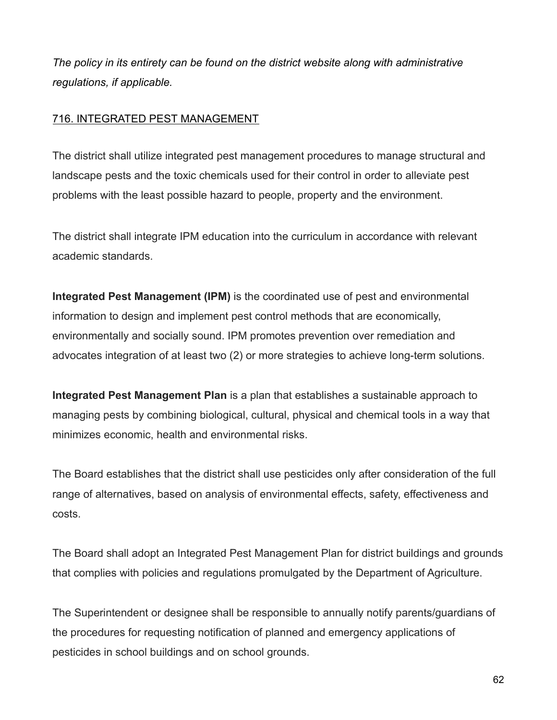*The policy in its entirety can be found on the district website along with administrative regulations, if applicable.*

### 716. INTEGRATED PEST MANAGEMENT

The district shall utilize integrated pest management procedures to manage structural and landscape pests and the toxic chemicals used for their control in order to alleviate pest problems with the least possible hazard to people, property and the environment.

The district shall integrate IPM education into the curriculum in accordance with relevant academic standards.

**Integrated Pest Management (IPM)** is the coordinated use of pest and environmental information to design and implement pest control methods that are economically, environmentally and socially sound. IPM promotes prevention over remediation and advocates integration of at least two (2) or more strategies to achieve long-term solutions.

**Integrated Pest Management Plan** is a plan that establishes a sustainable approach to managing pests by combining biological, cultural, physical and chemical tools in a way that minimizes economic, health and environmental risks.

The Board establishes that the district shall use pesticides only after consideration of the full range of alternatives, based on analysis of environmental effects, safety, effectiveness and costs.

The Board shall adopt an Integrated Pest Management Plan for district buildings and grounds that complies with policies and regulations promulgated by the Department of Agriculture.

The Superintendent or designee shall be responsible to annually notify parents/guardians of the procedures for requesting notification of planned and emergency applications of pesticides in school buildings and on school grounds.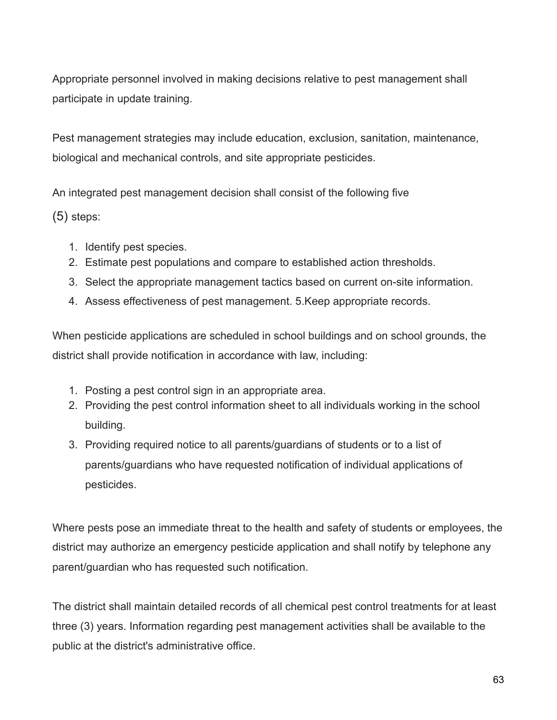Appropriate personnel involved in making decisions relative to pest management shall participate in update training.

Pest management strategies may include education, exclusion, sanitation, maintenance, biological and mechanical controls, and site appropriate pesticides.

An integrated pest management decision shall consist of the following five

(5) steps:

- 1. Identify pest species.
- 2. Estimate pest populations and compare to established action thresholds.
- 3. Select the appropriate management tactics based on current on-site information.
- 4. Assess effectiveness of pest management. 5.Keep appropriate records.

When pesticide applications are scheduled in school buildings and on school grounds, the district shall provide notification in accordance with law, including:

- 1. Posting a pest control sign in an appropriate area.
- 2. Providing the pest control information sheet to all individuals working in the school building.
- 3. Providing required notice to all parents/guardians of students or to a list of parents/guardians who have requested notification of individual applications of pesticides.

Where pests pose an immediate threat to the health and safety of students or employees, the district may authorize an emergency pesticide application and shall notify by telephone any parent/guardian who has requested such notification.

The district shall maintain detailed records of all chemical pest control treatments for at least three (3) years. Information regarding pest management activities shall be available to the public at the district's administrative office.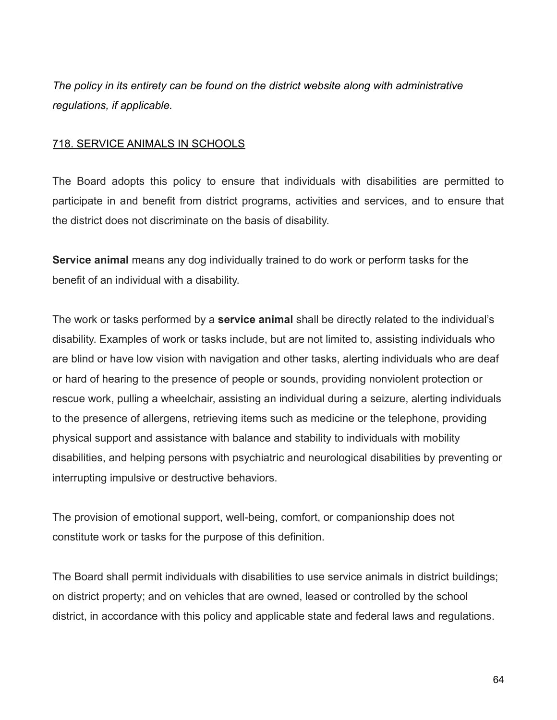*The policy in its entirety can be found on the district website along with administrative regulations, if applicable.*

#### 718. SERVICE ANIMALS IN SCHOOLS

The Board adopts this policy to ensure that individuals with disabilities are permitted to participate in and benefit from district programs, activities and services, and to ensure that the district does not discriminate on the basis of disability.

**Service animal** means any dog individually trained to do work or perform tasks for the benefit of an individual with a disability.

The work or tasks performed by a **service animal** shall be directly related to the individual's disability. Examples of work or tasks include, but are not limited to, assisting individuals who are blind or have low vision with navigation and other tasks, alerting individuals who are deaf or hard of hearing to the presence of people or sounds, providing nonviolent protection or rescue work, pulling a wheelchair, assisting an individual during a seizure, alerting individuals to the presence of allergens, retrieving items such as medicine or the telephone, providing physical support and assistance with balance and stability to individuals with mobility disabilities, and helping persons with psychiatric and neurological disabilities by preventing or interrupting impulsive or destructive behaviors.

The provision of emotional support, well-being, comfort, or companionship does not constitute work or tasks for the purpose of this definition.

The Board shall permit individuals with disabilities to use service animals in district buildings; on district property; and on vehicles that are owned, leased or controlled by the school district, in accordance with this policy and applicable state and federal laws and regulations.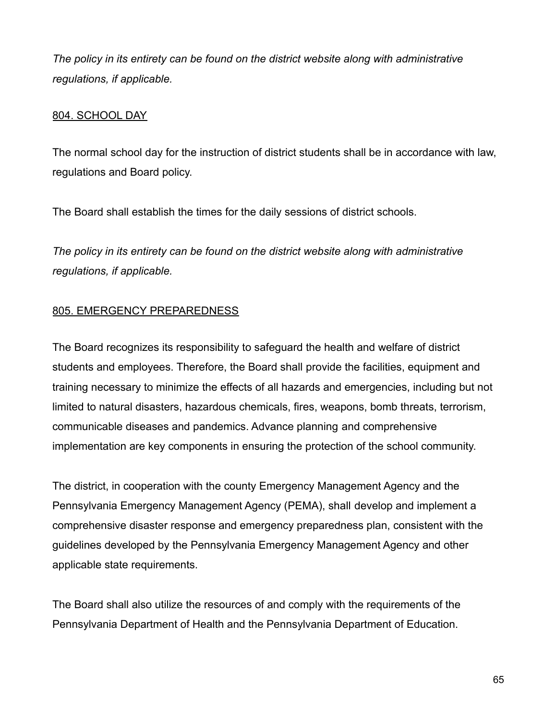*The policy in its entirety can be found on the district website along with administrative regulations, if applicable.*

### 804. SCHOOL DAY

The normal school day for the instruction of district students shall be in accordance with law, regulations and Board policy.

The Board shall establish the times for the daily sessions of district schools.

*The policy in its entirety can be found on the district website along with administrative regulations, if applicable.*

## 805. EMERGENCY PREPAREDNESS

The Board recognizes its responsibility to safeguard the health and welfare of district students and employees. Therefore, the Board shall provide the facilities, equipment and training necessary to minimize the effects of all hazards and emergencies, including but not limited to natural disasters, hazardous chemicals, fires, weapons, bomb threats, terrorism, communicable diseases and pandemics. Advance planning and comprehensive implementation are key components in ensuring the protection of the school community.

The district, in cooperation with the county Emergency Management Agency and the Pennsylvania Emergency Management Agency (PEMA), shall develop and implement a comprehensive disaster response and emergency preparedness plan, consistent with the guidelines developed by the Pennsylvania Emergency Management Agency and other applicable state requirements.

The Board shall also utilize the resources of and comply with the requirements of the Pennsylvania Department of Health and the Pennsylvania Department of Education.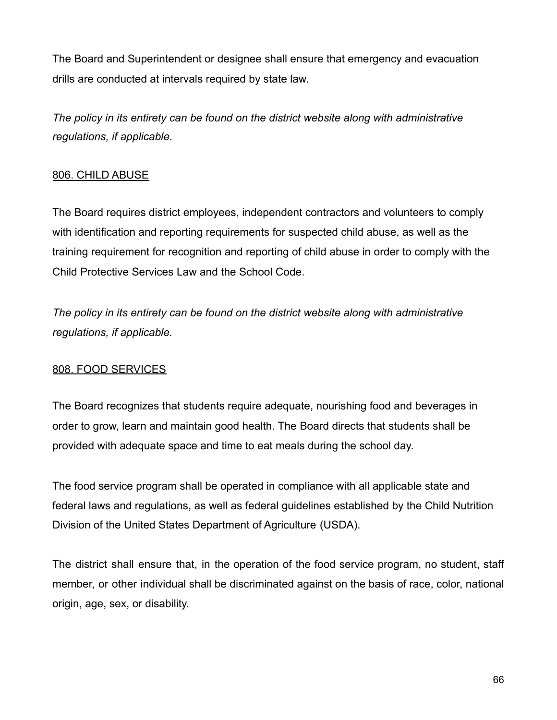The Board and Superintendent or designee shall ensure that emergency and evacuation drills are conducted at intervals required by state law.

*The policy in its entirety can be found on the district website along with administrative regulations, if applicable.*

# 806. CHILD ABUSE

The Board requires district employees, independent contractors and volunteers to comply with identification and reporting requirements for suspected child abuse, as well as the training requirement for recognition and reporting of child abuse in order to comply with the Child Protective Services Law and the School Code.

*The policy in its entirety can be found on the district website along with administrative regulations, if applicable.*

# 808. FOOD SERVICES

The Board recognizes that students require adequate, nourishing food and beverages in order to grow, learn and maintain good health. The Board directs that students shall be provided with adequate space and time to eat meals during the school day.

The food service program shall be operated in compliance with all applicable state and federal laws and regulations, as well as federal guidelines established by the Child Nutrition Division of the United States Department of Agriculture (USDA).

The district shall ensure that, in the operation of the food service program, no student, staff member, or other individual shall be discriminated against on the basis of race, color, national origin, age, sex, or disability.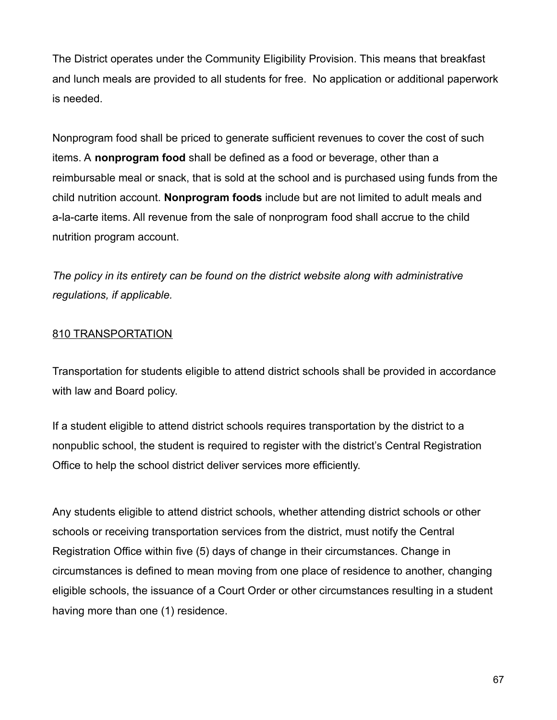The District operates under the Community Eligibility Provision. This means that breakfast and lunch meals are provided to all students for free. No application or additional paperwork is needed.

Nonprogram food shall be priced to generate sufficient revenues to cover the cost of such items. A **nonprogram food** shall be defined as a food or beverage, other than a reimbursable meal or snack, that is sold at the school and is purchased using funds from the child nutrition account. **Nonprogram foods** include but are not limited to adult meals and a-la-carte items. All revenue from the sale of nonprogram food shall accrue to the child nutrition program account.

*The policy in its entirety can be found on the district website along with administrative regulations, if applicable.*

### 810 TRANSPORTATION

Transportation for students eligible to attend district schools shall be provided in accordance with law and Board policy.

If a student eligible to attend district schools requires transportation by the district to a nonpublic school, the student is required to register with the district's Central Registration Office to help the school district deliver services more efficiently.

Any students eligible to attend district schools, whether attending district schools or other schools or receiving transportation services from the district, must notify the Central Registration Office within five (5) days of change in their circumstances. Change in circumstances is defined to mean moving from one place of residence to another, changing eligible schools, the issuance of a Court Order or other circumstances resulting in a student having more than one (1) residence.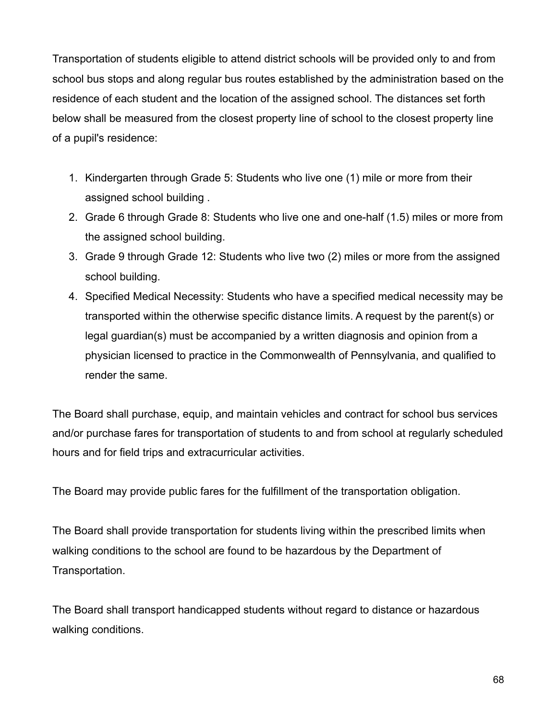Transportation of students eligible to attend district schools will be provided only to and from school bus stops and along regular bus routes established by the administration based on the residence of each student and the location of the assigned school. The distances set forth below shall be measured from the closest property line of school to the closest property line of a pupil's residence:

- 1. Kindergarten through Grade 5: Students who live one (1) mile or more from their assigned school building .
- 2. Grade 6 through Grade 8: Students who live one and one-half (1.5) miles or more from the assigned school building.
- 3. Grade 9 through Grade 12: Students who live two (2) miles or more from the assigned school building.
- 4. Specified Medical Necessity: Students who have a specified medical necessity may be transported within the otherwise specific distance limits. A request by the parent(s) or legal guardian(s) must be accompanied by a written diagnosis and opinion from a physician licensed to practice in the Commonwealth of Pennsylvania, and qualified to render the same.

The Board shall purchase, equip, and maintain vehicles and contract for school bus services and/or purchase fares for transportation of students to and from school at regularly scheduled hours and for field trips and extracurricular activities.

The Board may provide public fares for the fulfillment of the transportation obligation.

The Board shall provide transportation for students living within the prescribed limits when walking conditions to the school are found to be hazardous by the Department of Transportation.

The Board shall transport handicapped students without regard to distance or hazardous walking conditions.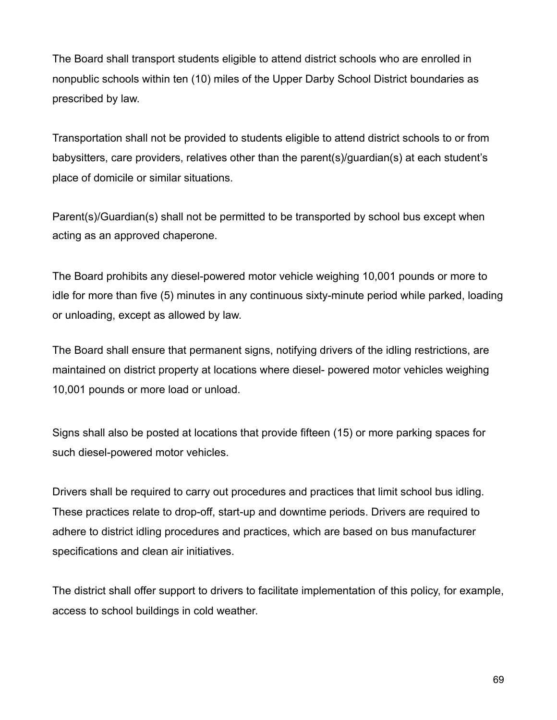The Board shall transport students eligible to attend district schools who are enrolled in nonpublic schools within ten (10) miles of the Upper Darby School District boundaries as prescribed by law.

Transportation shall not be provided to students eligible to attend district schools to or from babysitters, care providers, relatives other than the parent(s)/guardian(s) at each student's place of domicile or similar situations.

Parent(s)/Guardian(s) shall not be permitted to be transported by school bus except when acting as an approved chaperone.

The Board prohibits any diesel-powered motor vehicle weighing 10,001 pounds or more to idle for more than five (5) minutes in any continuous sixty-minute period while parked, loading or unloading, except as allowed by law.

The Board shall ensure that permanent signs, notifying drivers of the idling restrictions, are maintained on district property at locations where diesel- powered motor vehicles weighing 10,001 pounds or more load or unload.

Signs shall also be posted at locations that provide fifteen (15) or more parking spaces for such diesel-powered motor vehicles.

Drivers shall be required to carry out procedures and practices that limit school bus idling. These practices relate to drop-off, start-up and downtime periods. Drivers are required to adhere to district idling procedures and practices, which are based on bus manufacturer specifications and clean air initiatives.

The district shall offer support to drivers to facilitate implementation of this policy, for example, access to school buildings in cold weather.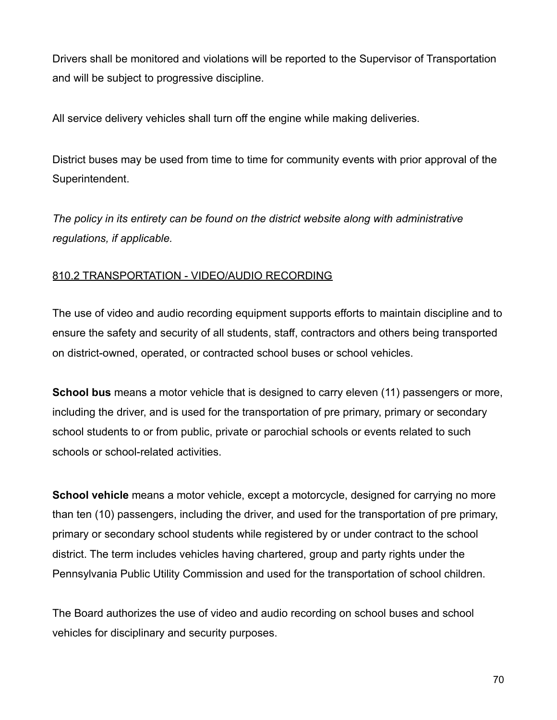Drivers shall be monitored and violations will be reported to the Supervisor of Transportation and will be subject to progressive discipline.

All service delivery vehicles shall turn off the engine while making deliveries.

District buses may be used from time to time for community events with prior approval of the Superintendent.

*The policy in its entirety can be found on the district website along with administrative regulations, if applicable.*

# 810.2 TRANSPORTATION - VIDEO/AUDIO RECORDING

The use of video and audio recording equipment supports efforts to maintain discipline and to ensure the safety and security of all students, staff, contractors and others being transported on district-owned, operated, or contracted school buses or school vehicles.

**School bus** means a motor vehicle that is designed to carry eleven (11) passengers or more, including the driver, and is used for the transportation of pre primary, primary or secondary school students to or from public, private or parochial schools or events related to such schools or school-related activities.

**School vehicle** means a motor vehicle, except a motorcycle, designed for carrying no more than ten (10) passengers, including the driver, and used for the transportation of pre primary, primary or secondary school students while registered by or under contract to the school district. The term includes vehicles having chartered, group and party rights under the Pennsylvania Public Utility Commission and used for the transportation of school children.

The Board authorizes the use of video and audio recording on school buses and school vehicles for disciplinary and security purposes.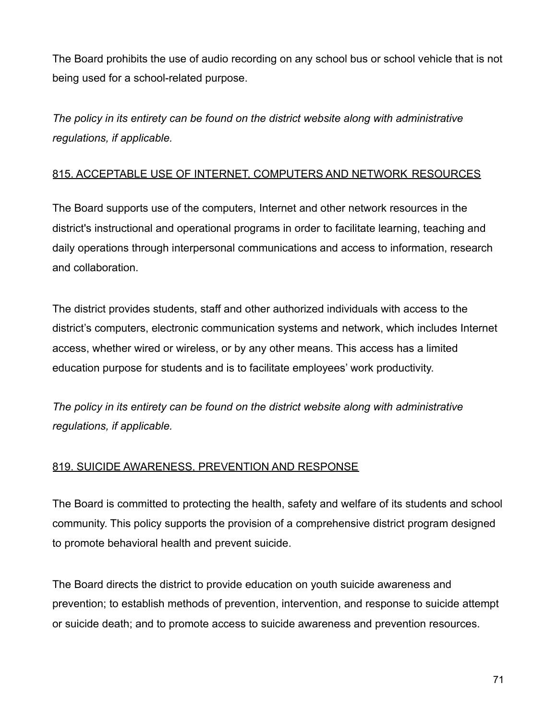The Board prohibits the use of audio recording on any school bus or school vehicle that is not being used for a school-related purpose.

*The policy in its entirety can be found on the district website along with administrative regulations, if applicable.*

# 815. ACCEPTABLE USE OF INTERNET, COMPUTERS AND NETWORK RESOURCES

The Board supports use of the computers, Internet and other network resources in the district's instructional and operational programs in order to facilitate learning, teaching and daily operations through interpersonal communications and access to information, research and collaboration.

The district provides students, staff and other authorized individuals with access to the district's computers, electronic communication systems and network, which includes Internet access, whether wired or wireless, or by any other means. This access has a limited education purpose for students and is to facilitate employees' work productivity.

*The policy in its entirety can be found on the district website along with administrative regulations, if applicable.*

# 819. SUICIDE AWARENESS, PREVENTION AND RESPONSE

The Board is committed to protecting the health, safety and welfare of its students and school community. This policy supports the provision of a comprehensive district program designed to promote behavioral health and prevent suicide.

The Board directs the district to provide education on youth suicide awareness and prevention; to establish methods of prevention, intervention, and response to suicide attempt or suicide death; and to promote access to suicide awareness and prevention resources.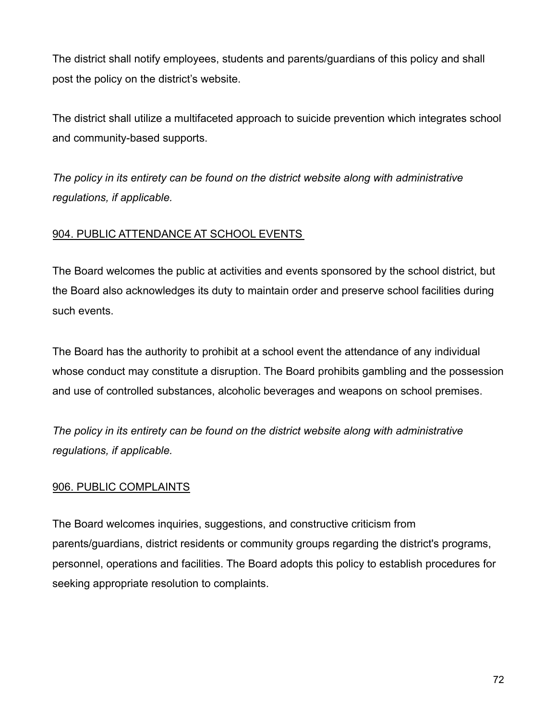The district shall notify employees, students and parents/guardians of this policy and shall post the policy on the district's website.

The district shall utilize a multifaceted approach to suicide prevention which integrates school and community-based supports.

*The policy in its entirety can be found on the district website along with administrative regulations, if applicable.*

# 904. PUBLIC ATTENDANCE AT SCHOOL EVENTS

The Board welcomes the public at activities and events sponsored by the school district, but the Board also acknowledges its duty to maintain order and preserve school facilities during such events.

The Board has the authority to prohibit at a school event the attendance of any individual whose conduct may constitute a disruption. The Board prohibits gambling and the possession and use of controlled substances, alcoholic beverages and weapons on school premises.

*The policy in its entirety can be found on the district website along with administrative regulations, if applicable.*

# 906. PUBLIC COMPLAINTS

The Board welcomes inquiries, suggestions, and constructive criticism from parents/guardians, district residents or community groups regarding the district's programs, personnel, operations and facilities. The Board adopts this policy to establish procedures for seeking appropriate resolution to complaints.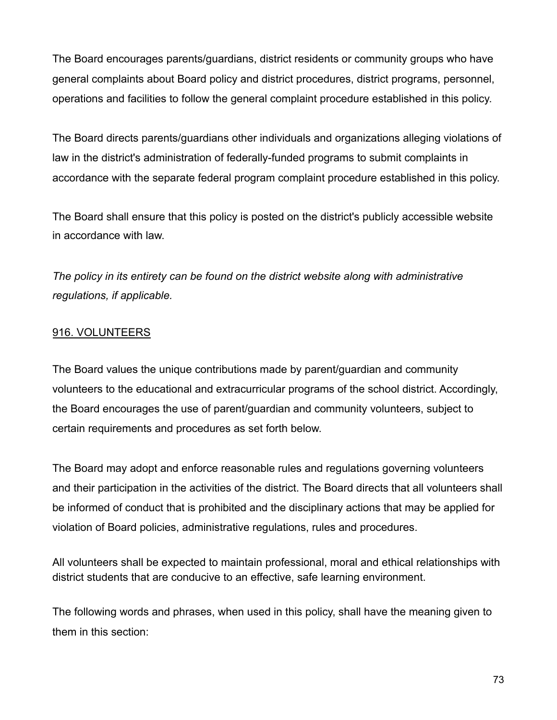The Board encourages parents/guardians, district residents or community groups who have general complaints about Board policy and district procedures, district programs, personnel, operations and facilities to follow the general complaint procedure established in this policy.

The Board directs parents/guardians other individuals and organizations alleging violations of law in the district's administration of federally-funded programs to submit complaints in accordance with the separate federal program complaint procedure established in this policy.

The Board shall ensure that this policy is posted on the district's publicly accessible website in accordance with law.

*The policy in its entirety can be found on the district website along with administrative regulations, if applicable.*

# 916. VOLUNTEERS

The Board values the unique contributions made by parent/guardian and community volunteers to the educational and extracurricular programs of the school district. Accordingly, the Board encourages the use of parent/guardian and community volunteers, subject to certain requirements and procedures as set forth below.

The Board may adopt and enforce reasonable rules and regulations governing volunteers and their participation in the activities of the district. The Board directs that all volunteers shall be informed of conduct that is prohibited and the disciplinary actions that may be applied for violation of Board policies, administrative regulations, rules and procedures.

All volunteers shall be expected to maintain professional, moral and ethical relationships with district students that are conducive to an effective, safe learning environment.

The following words and phrases, when used in this policy, shall have the meaning given to them in this section: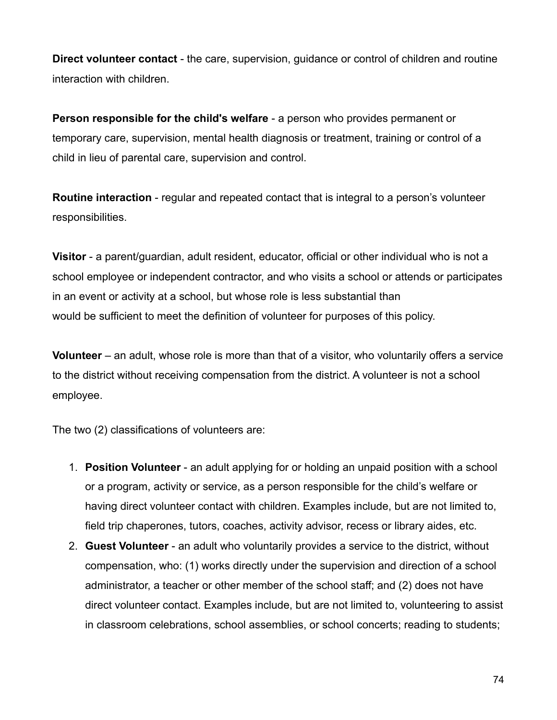**Direct volunteer contact** - the care, supervision, guidance or control of children and routine interaction with children.

**Person responsible for the child's welfare** - a person who provides permanent or temporary care, supervision, mental health diagnosis or treatment, training or control of a child in lieu of parental care, supervision and control.

**Routine interaction** - regular and repeated contact that is integral to a person's volunteer responsibilities.

**Visitor** - a parent/guardian, adult resident, educator, official or other individual who is not a school employee or independent contractor, and who visits a school or attends or participates in an event or activity at a school, but whose role is less substantial than would be sufficient to meet the definition of volunteer for purposes of this policy.

**Volunteer** – an adult, whose role is more than that of a visitor, who voluntarily offers a service to the district without receiving compensation from the district. A volunteer is not a school employee.

The two (2) classifications of volunteers are:

- 1. **Position Volunteer** an adult applying for or holding an unpaid position with a school or a program, activity or service, as a person responsible for the child's welfare or having direct volunteer contact with children. Examples include, but are not limited to, field trip chaperones, tutors, coaches, activity advisor, recess or library aides, etc.
- 2. **Guest Volunteer** an adult who voluntarily provides a service to the district, without compensation, who: (1) works directly under the supervision and direction of a school administrator, a teacher or other member of the school staff; and (2) does not have direct volunteer contact. Examples include, but are not limited to, volunteering to assist in classroom celebrations, school assemblies, or school concerts; reading to students;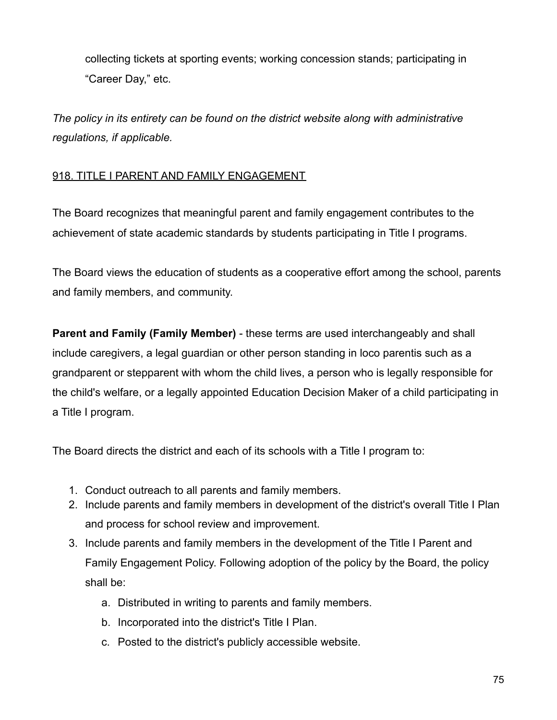collecting tickets at sporting events; working concession stands; participating in "Career Day," etc.

*The policy in its entirety can be found on the district website along with administrative regulations, if applicable.*

# 918. TITLE I PARENT AND FAMILY ENGAGEMENT

The Board recognizes that meaningful parent and family engagement contributes to the achievement of state academic standards by students participating in Title I programs.

The Board views the education of students as a cooperative effort among the school, parents and family members, and community.

**Parent and Family (Family Member)** - these terms are used interchangeably and shall include caregivers, a legal guardian or other person standing in loco parentis such as a grandparent or stepparent with whom the child lives, a person who is legally responsible for the child's welfare, or a legally appointed Education Decision Maker of a child participating in a Title I program.

The Board directs the district and each of its schools with a Title I program to:

- 1. Conduct outreach to all parents and family members.
- 2. Include parents and family members in development of the district's overall Title I Plan and process for school review and improvement.
- 3. Include parents and family members in the development of the Title I Parent and Family Engagement Policy. Following adoption of the policy by the Board, the policy shall be:
	- a. Distributed in writing to parents and family members.
	- b. Incorporated into the district's Title I Plan.
	- c. Posted to the district's publicly accessible website.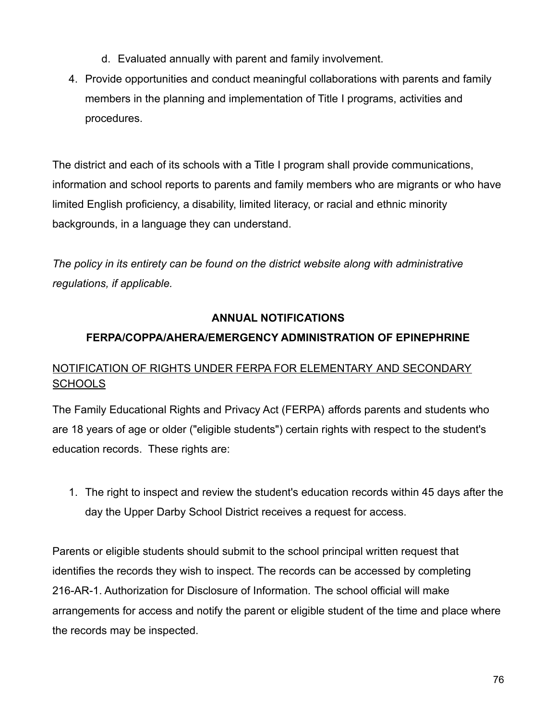- d. Evaluated annually with parent and family involvement.
- 4. Provide opportunities and conduct meaningful collaborations with parents and family members in the planning and implementation of Title I programs, activities and procedures.

The district and each of its schools with a Title I program shall provide communications, information and school reports to parents and family members who are migrants or who have limited English proficiency, a disability, limited literacy, or racial and ethnic minority backgrounds, in a language they can understand.

*The policy in its entirety can be found on the district website along with administrative regulations, if applicable.*

# **ANNUAL NOTIFICATIONS**

# **FERPA/COPPA/AHERA/EMERGENCY ADMINISTRATION OF EPINEPHRINE**

# NOTIFICATION OF RIGHTS UNDER FERPA FOR ELEMENTARY AND SECONDARY **SCHOOLS**

The Family Educational Rights and Privacy Act (FERPA) affords parents and students who are 18 years of age or older ("eligible students") certain rights with respect to the student's education records. These rights are:

1. The right to inspect and review the student's education records within 45 days after the day the Upper Darby School District receives a request for access.

Parents or eligible students should submit to the school principal written request that identifies the records they wish to inspect. The records can be accessed by completing 216-AR-1. Authorization for Disclosure of Information. The school official will make arrangements for access and notify the parent or eligible student of the time and place where the records may be inspected.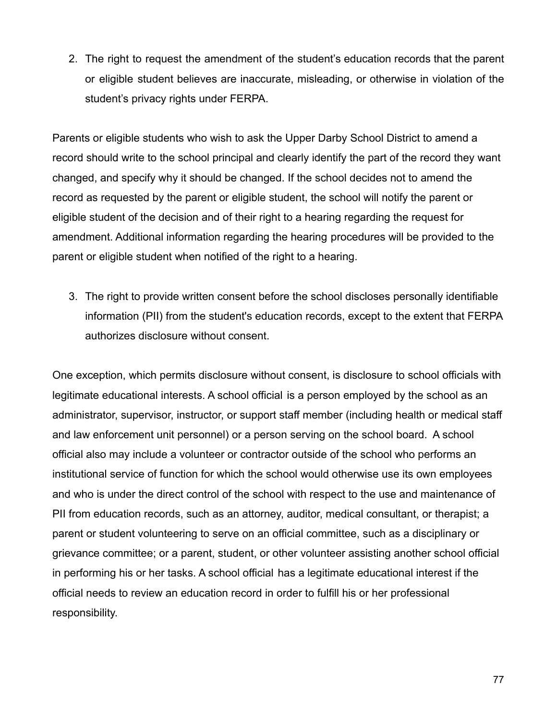2. The right to request the amendment of the student's education records that the parent or eligible student believes are inaccurate, misleading, or otherwise in violation of the student's privacy rights under FERPA.

Parents or eligible students who wish to ask the Upper Darby School District to amend a record should write to the school principal and clearly identify the part of the record they want changed, and specify why it should be changed. If the school decides not to amend the record as requested by the parent or eligible student, the school will notify the parent or eligible student of the decision and of their right to a hearing regarding the request for amendment. Additional information regarding the hearing procedures will be provided to the parent or eligible student when notified of the right to a hearing.

3. The right to provide written consent before the school discloses personally identifiable information (PII) from the student's education records, except to the extent that FERPA authorizes disclosure without consent.

One exception, which permits disclosure without consent, is disclosure to school officials with legitimate educational interests. A school official is a person employed by the school as an administrator, supervisor, instructor, or support staff member (including health or medical staff and law enforcement unit personnel) or a person serving on the school board. A school official also may include a volunteer or contractor outside of the school who performs an institutional service of function for which the school would otherwise use its own employees and who is under the direct control of the school with respect to the use and maintenance of PII from education records, such as an attorney, auditor, medical consultant, or therapist; a parent or student volunteering to serve on an official committee, such as a disciplinary or grievance committee; or a parent, student, or other volunteer assisting another school official in performing his or her tasks. A school official has a legitimate educational interest if the official needs to review an education record in order to fulfill his or her professional responsibility.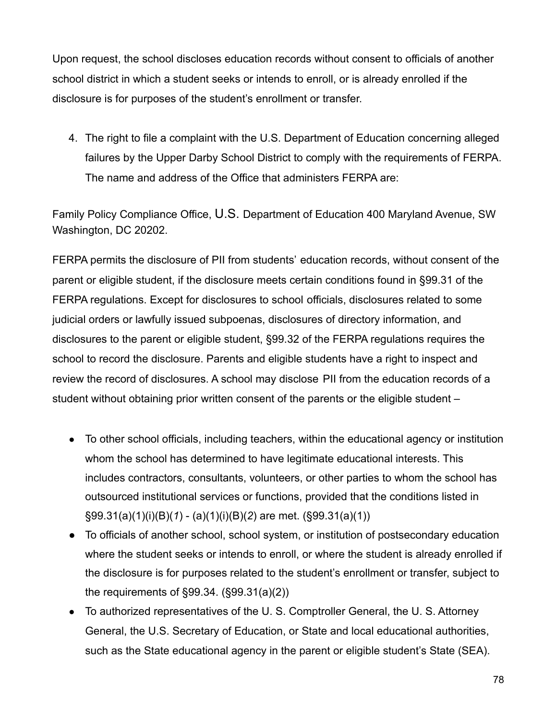Upon request, the school discloses education records without consent to officials of another school district in which a student seeks or intends to enroll, or is already enrolled if the disclosure is for purposes of the student's enrollment or transfer.

4. The right to file a complaint with the U.S. Department of Education concerning alleged failures by the Upper Darby School District to comply with the requirements of FERPA. The name and address of the Office that administers FERPA are:

Family Policy Compliance Office, U.S. Department of Education 400 Maryland Avenue, SW Washington, DC 20202.

FERPA permits the disclosure of PII from students' education records, without consent of the parent or eligible student, if the disclosure meets certain conditions found in §99.31 of the FERPA regulations. Except for disclosures to school officials, disclosures related to some judicial orders or lawfully issued subpoenas, disclosures of directory information, and disclosures to the parent or eligible student, §99.32 of the FERPA regulations requires the school to record the disclosure. Parents and eligible students have a right to inspect and review the record of disclosures. A school may disclose PII from the education records of a student without obtaining prior written consent of the parents or the eligible student –

- To other school officials, including teachers, within the educational agency or institution whom the school has determined to have legitimate educational interests. This includes contractors, consultants, volunteers, or other parties to whom the school has outsourced institutional services or functions, provided that the conditions listed in §99.31(a)(1)(i)(B)(*1*) - (a)(1)(i)(B)(*2*) are met. (§99.31(a)(1))
- To officials of another school, school system, or institution of postsecondary education where the student seeks or intends to enroll, or where the student is already enrolled if the disclosure is for purposes related to the student's enrollment or transfer, subject to the requirements of §99.34. (§99.31(a)(2))
- To authorized representatives of the U. S. Comptroller General, the U. S. Attorney General, the U.S. Secretary of Education, or State and local educational authorities, such as the State educational agency in the parent or eligible student's State (SEA).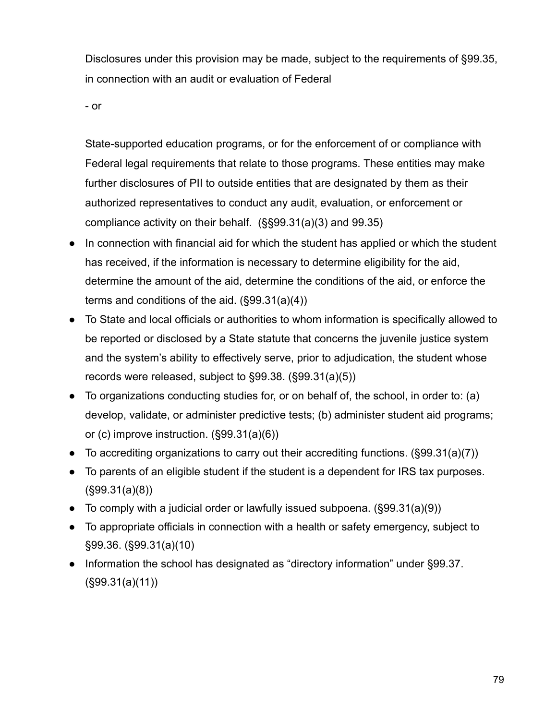Disclosures under this provision may be made, subject to the requirements of §99.35, in connection with an audit or evaluation of Federal

- or

State-supported education programs, or for the enforcement of or compliance with Federal legal requirements that relate to those programs. These entities may make further disclosures of PII to outside entities that are designated by them as their authorized representatives to conduct any audit, evaluation, or enforcement or compliance activity on their behalf. (§§99.31(a)(3) and 99.35)

- In connection with financial aid for which the student has applied or which the student has received, if the information is necessary to determine eligibility for the aid, determine the amount of the aid, determine the conditions of the aid, or enforce the terms and conditions of the aid. (§99.31(a)(4))
- To State and local officials or authorities to whom information is specifically allowed to be reported or disclosed by a State statute that concerns the juvenile justice system and the system's ability to effectively serve, prior to adjudication, the student whose records were released, subject to §99.38. (§99.31(a)(5))
- To organizations conducting studies for, or on behalf of, the school, in order to: (a) develop, validate, or administer predictive tests; (b) administer student aid programs; or (c) improve instruction. (§99.31(a)(6))
- To accrediting organizations to carry out their accrediting functions.  $(\S 99.31(a)(7))$
- To parents of an eligible student if the student is a dependent for IRS tax purposes. (§99.31(a)(8))
- To comply with a judicial order or lawfully issued subpoena.  $(\$99.31(a)(9))$
- To appropriate officials in connection with a health or safety emergency, subject to §99.36. (§99.31(a)(10)
- Information the school has designated as "directory information" under §99.37. (§99.31(a)(11))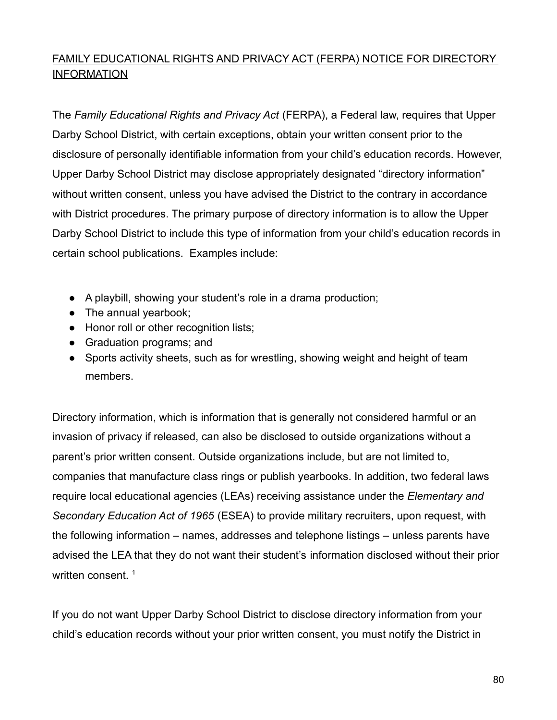# FAMILY EDUCATIONAL RIGHTS AND PRIVACY ACT (FERPA) NOTICE FOR DIRECTORY **INFORMATION**

The *Family Educational Rights and Privacy Act* (FERPA), a Federal law, requires that Upper Darby School District, with certain exceptions, obtain your written consent prior to the disclosure of personally identifiable information from your child's education records. However, Upper Darby School District may disclose appropriately designated "directory information" without written consent, unless you have advised the District to the contrary in accordance with District procedures. The primary purpose of directory information is to allow the Upper Darby School District to include this type of information from your child's education records in certain school publications. Examples include:

- A playbill, showing your student's role in a drama production;
- The annual yearbook;
- Honor roll or other recognition lists;
- Graduation programs; and
- Sports activity sheets, such as for wrestling, showing weight and height of team members.

Directory information, which is information that is generally not considered harmful or an invasion of privacy if released, can also be disclosed to outside organizations without a parent's prior written consent. Outside organizations include, but are not limited to, companies that manufacture class rings or publish yearbooks. In addition, two federal laws require local educational agencies (LEAs) receiving assistance under the *Elementary and Secondary Education Act of 1965* (ESEA) to provide military recruiters, upon request, with the following information – names, addresses and telephone listings – unless parents have advised the LEA that they do not want their student's information disclosed without their prior written consent.<sup>1</sup>

If you do not want Upper Darby School District to disclose directory information from your child's education records without your prior written consent, you must notify the District in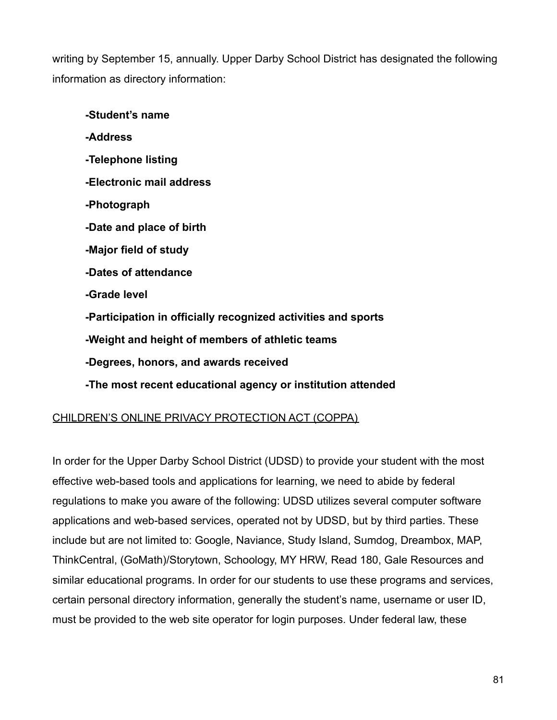writing by September 15, annually. Upper Darby School District has designated the following information as directory information:

**-Student's name -Address -Telephone listing -Electronic mail address -Photograph -Date and place of birth -Major field of study -Dates of attendance -Grade level -Participation in officially recognized activities and sports -Weight and height of members of athletic teams -Degrees, honors, and awards received -The most recent educational agency or institution attended**

# CHILDREN'S ONLINE PRIVACY PROTECTION ACT (COPPA)

In order for the Upper Darby School District (UDSD) to provide your student with the most effective web-based tools and applications for learning, we need to abide by federal regulations to make you aware of the following: UDSD utilizes several computer software applications and web-based services, operated not by UDSD, but by third parties. These include but are not limited to: Google, Naviance, Study Island, Sumdog, Dreambox, MAP, ThinkCentral, (GoMath)/Storytown, Schoology, MY HRW, Read 180, Gale Resources and similar educational programs. In order for our students to use these programs and services, certain personal directory information, generally the student's name, username or user ID, must be provided to the web site operator for login purposes. Under federal law, these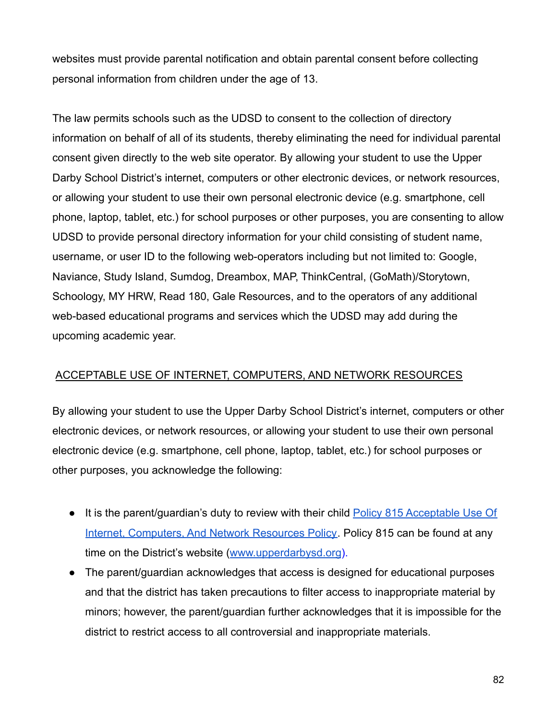websites must provide parental notification and obtain parental consent before collecting personal information from children under the age of 13.

The law permits schools such as the UDSD to consent to the collection of directory information on behalf of all of its students, thereby eliminating the need for individual parental consent given directly to the web site operator. By allowing your student to use the Upper Darby School District's internet, computers or other electronic devices, or network resources, or allowing your student to use their own personal electronic device (e.g. smartphone, cell phone, laptop, tablet, etc.) for school purposes or other purposes, you are consenting to allow UDSD to provide personal directory information for your child consisting of student name, username, or user ID to the following web-operators including but not limited to: Google, Naviance, Study Island, Sumdog, Dreambox, MAP, ThinkCentral, (GoMath)/Storytown, Schoology, MY HRW, Read 180, Gale Resources, and to the operators of any additional web-based educational programs and services which the UDSD may add during the upcoming academic year.

# ACCEPTABLE USE OF INTERNET, COMPUTERS, AND NETWORK RESOURCES

By allowing your student to use the Upper Darby School District's internet, computers or other electronic devices, or network resources, or allowing your student to use their own personal electronic device (e.g. smartphone, cell phone, laptop, tablet, etc.) for school purposes or other purposes, you acknowledge the following:

- It is the parent/quardian's duty to review with their child [Policy 815 Acceptable Use Of](http://go.boarddocs.com/pa/udar/Board.nsf/goto?open&id=AYZ2FP628095) [Internet, Computers, And Network Resources Policy](http://go.boarddocs.com/pa/udar/Board.nsf/goto?open&id=AYZ2FP628095). Policy 815 can be found at any time on the District's website ([www.upperdarbysd.org](http://www.upperdarbysd.org)).
- The parent/guardian acknowledges that access is designed for educational purposes and that the district has taken precautions to filter access to inappropriate material by minors; however, the parent/guardian further acknowledges that it is impossible for the district to restrict access to all controversial and inappropriate materials.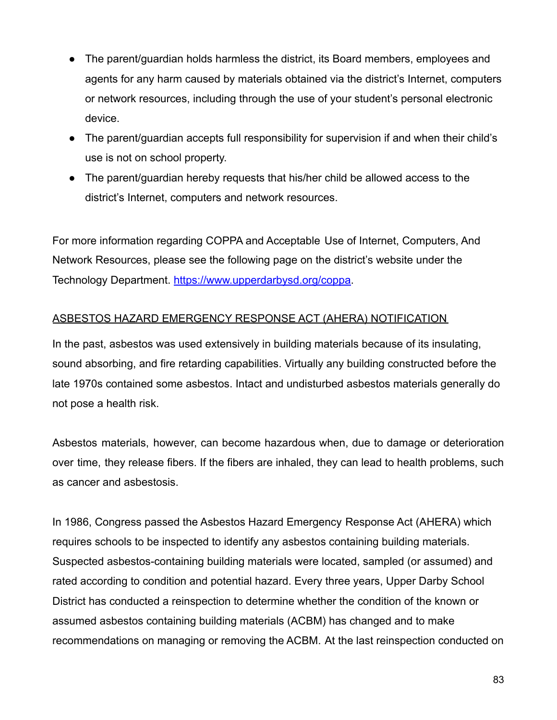- The parent/guardian holds harmless the district, its Board members, employees and agents for any harm caused by materials obtained via the district's Internet, computers or network resources, including through the use of your student's personal electronic device.
- The parent/guardian accepts full responsibility for supervision if and when their child's use is not on school property.
- The parent/guardian hereby requests that his/her child be allowed access to the district's Internet, computers and network resources.

For more information regarding COPPA and Acceptable Use of Internet, Computers, And Network Resources, please see the following page on the district's website under the Technology Department. https://[www.upperdarbysd.org/coppa.](http://www.upperdarbysd.org/coppa)

# ASBESTOS HAZARD EMERGENCY RESPONSE ACT (AHERA) NOTIFICATION

In the past, asbestos was used extensively in building materials because of its insulating, sound absorbing, and fire retarding capabilities. Virtually any building constructed before the late 1970s contained some asbestos. Intact and undisturbed asbestos materials generally do not pose a health risk.

Asbestos materials, however, can become hazardous when, due to damage or deterioration over time, they release fibers. If the fibers are inhaled, they can lead to health problems, such as cancer and asbestosis.

In 1986, Congress passed the Asbestos Hazard Emergency Response Act (AHERA) which requires schools to be inspected to identify any asbestos containing building materials. Suspected asbestos-containing building materials were located, sampled (or assumed) and rated according to condition and potential hazard. Every three years, Upper Darby School District has conducted a reinspection to determine whether the condition of the known or assumed asbestos containing building materials (ACBM) has changed and to make recommendations on managing or removing the ACBM. At the last reinspection conducted on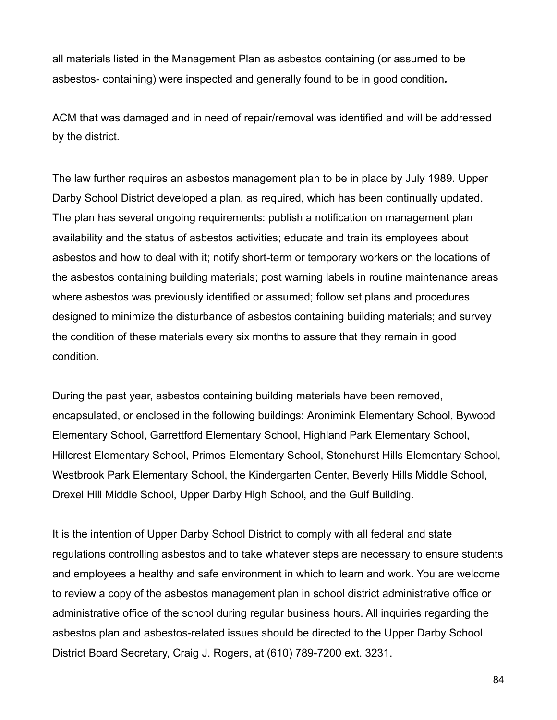all materials listed in the Management Plan as asbestos containing (or assumed to be asbestos- containing) were inspected and generally found to be in good condition*.*

ACM that was damaged and in need of repair/removal was identified and will be addressed by the district.

The law further requires an asbestos management plan to be in place by July 1989. Upper Darby School District developed a plan, as required, which has been continually updated. The plan has several ongoing requirements: publish a notification on management plan availability and the status of asbestos activities; educate and train its employees about asbestos and how to deal with it; notify short-term or temporary workers on the locations of the asbestos containing building materials; post warning labels in routine maintenance areas where asbestos was previously identified or assumed; follow set plans and procedures designed to minimize the disturbance of asbestos containing building materials; and survey the condition of these materials every six months to assure that they remain in good condition.

During the past year, asbestos containing building materials have been removed, encapsulated, or enclosed in the following buildings: Aronimink Elementary School, Bywood Elementary School, Garrettford Elementary School, Highland Park Elementary School, Hillcrest Elementary School, Primos Elementary School, Stonehurst Hills Elementary School, Westbrook Park Elementary School, the Kindergarten Center, Beverly Hills Middle School, Drexel Hill Middle School, Upper Darby High School, and the Gulf Building.

It is the intention of Upper Darby School District to comply with all federal and state regulations controlling asbestos and to take whatever steps are necessary to ensure students and employees a healthy and safe environment in which to learn and work. You are welcome to review a copy of the asbestos management plan in school district administrative office or administrative office of the school during regular business hours. All inquiries regarding the asbestos plan and asbestos-related issues should be directed to the Upper Darby School District Board Secretary, Craig J. Rogers, at (610) 789-7200 ext. 3231.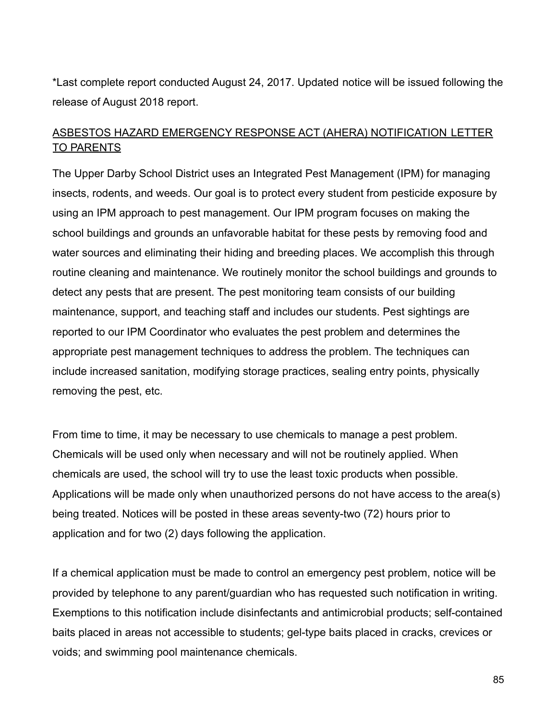\*Last complete report conducted August 24, 2017. Updated notice will be issued following the release of August 2018 report.

# ASBESTOS HAZARD EMERGENCY RESPONSE ACT (AHERA) NOTIFICATION LETTER TO PARENTS

The Upper Darby School District uses an Integrated Pest Management (IPM) for managing insects, rodents, and weeds. Our goal is to protect every student from pesticide exposure by using an IPM approach to pest management. Our IPM program focuses on making the school buildings and grounds an unfavorable habitat for these pests by removing food and water sources and eliminating their hiding and breeding places. We accomplish this through routine cleaning and maintenance. We routinely monitor the school buildings and grounds to detect any pests that are present. The pest monitoring team consists of our building maintenance, support, and teaching staff and includes our students. Pest sightings are reported to our IPM Coordinator who evaluates the pest problem and determines the appropriate pest management techniques to address the problem. The techniques can include increased sanitation, modifying storage practices, sealing entry points, physically removing the pest, etc.

From time to time, it may be necessary to use chemicals to manage a pest problem. Chemicals will be used only when necessary and will not be routinely applied. When chemicals are used, the school will try to use the least toxic products when possible. Applications will be made only when unauthorized persons do not have access to the area(s) being treated. Notices will be posted in these areas seventy-two (72) hours prior to application and for two (2) days following the application.

If a chemical application must be made to control an emergency pest problem, notice will be provided by telephone to any parent/guardian who has requested such notification in writing. Exemptions to this notification include disinfectants and antimicrobial products; self-contained baits placed in areas not accessible to students; gel-type baits placed in cracks, crevices or voids; and swimming pool maintenance chemicals.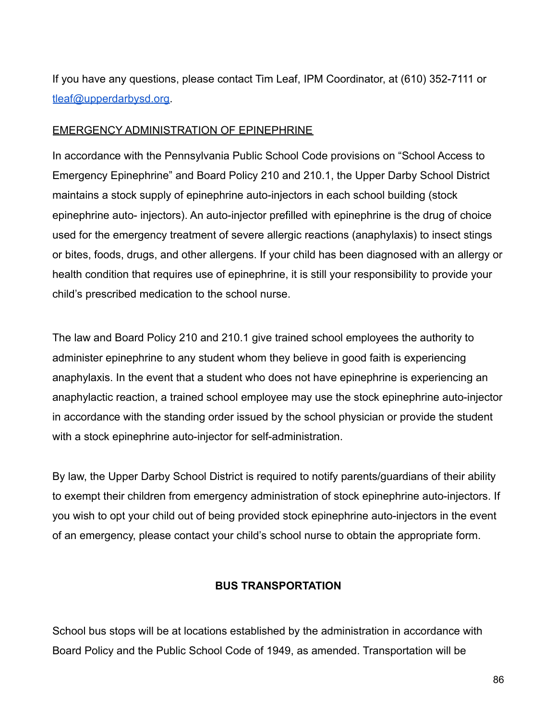If you have any questions, please contact Tim Leaf, IPM Coordinator, at (610) 352-7111 or [tleaf@upperdarbysd.org.](mailto:tleaf@upperdarbysd.org)

#### EMERGENCY ADMINISTRATION OF EPINEPHRINE

In accordance with the Pennsylvania Public School Code provisions on "School Access to Emergency Epinephrine" and Board Policy 210 and 210.1, the Upper Darby School District maintains a stock supply of epinephrine auto-injectors in each school building (stock epinephrine auto- injectors). An auto-injector prefilled with epinephrine is the drug of choice used for the emergency treatment of severe allergic reactions (anaphylaxis) to insect stings or bites, foods, drugs, and other allergens. If your child has been diagnosed with an allergy or health condition that requires use of epinephrine, it is still your responsibility to provide your child's prescribed medication to the school nurse.

The law and Board Policy 210 and 210.1 give trained school employees the authority to administer epinephrine to any student whom they believe in good faith is experiencing anaphylaxis. In the event that a student who does not have epinephrine is experiencing an anaphylactic reaction, a trained school employee may use the stock epinephrine auto-injector in accordance with the standing order issued by the school physician or provide the student with a stock epinephrine auto-injector for self-administration.

By law, the Upper Darby School District is required to notify parents/guardians of their ability to exempt their children from emergency administration of stock epinephrine auto-injectors. If you wish to opt your child out of being provided stock epinephrine auto-injectors in the event of an emergency, please contact your child's school nurse to obtain the appropriate form.

#### **BUS TRANSPORTATION**

School bus stops will be at locations established by the administration in accordance with Board Policy and the Public School Code of 1949, as amended. Transportation will be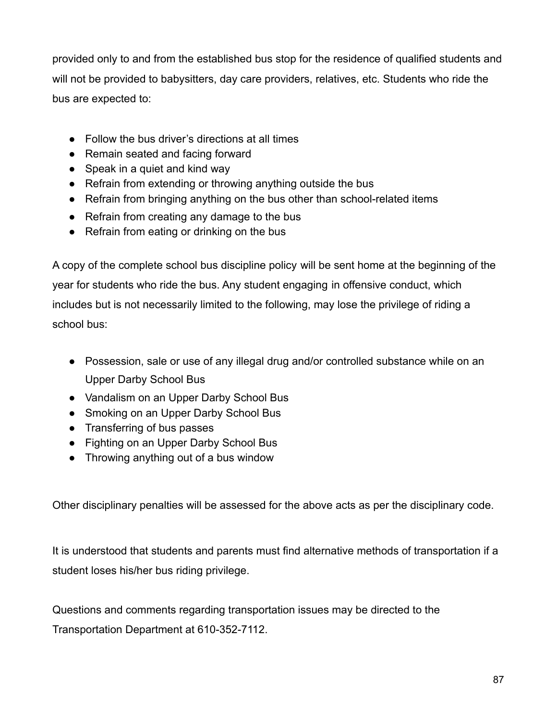provided only to and from the established bus stop for the residence of qualified students and will not be provided to babysitters, day care providers, relatives, etc. Students who ride the bus are expected to:

- Follow the bus driver's directions at all times
- Remain seated and facing forward
- Speak in a quiet and kind way
- Refrain from extending or throwing anything outside the bus
- Refrain from bringing anything on the bus other than school-related items
- Refrain from creating any damage to the bus
- Refrain from eating or drinking on the bus

A copy of the complete school bus discipline policy will be sent home at the beginning of the year for students who ride the bus. Any student engaging in offensive conduct, which includes but is not necessarily limited to the following, may lose the privilege of riding a school bus:

- Possession, sale or use of any illegal drug and/or controlled substance while on an Upper Darby School Bus
- Vandalism on an Upper Darby School Bus
- Smoking on an Upper Darby School Bus
- Transferring of bus passes
- Fighting on an Upper Darby School Bus
- Throwing anything out of a bus window

Other disciplinary penalties will be assessed for the above acts as per the disciplinary code.

It is understood that students and parents must find alternative methods of transportation if a student loses his/her bus riding privilege.

Questions and comments regarding transportation issues may be directed to the Transportation Department at 610-352-7112.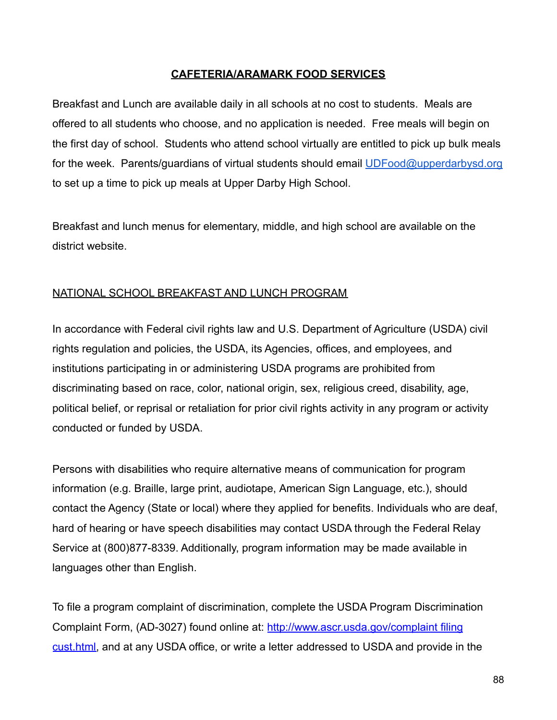#### **CAFETERIA/ARAMARK FOOD SERVICES**

Breakfast and Lunch are available daily in all schools at no cost to students. Meals are offered to all students who choose, and no application is needed. Free meals will begin on the first day of school. Students who attend school virtually are entitled to pick up bulk meals for the week. Parents/guardians of virtual students should email [UDFood@upperdarbysd.org](mailto:UDFood@uperdarbysd.org) to set up a time to pick up meals at Upper Darby High School.

Breakfast and lunch menus for elementary, middle, and high school are available on the district website.

# NATIONAL SCHOOL BREAKFAST AND LUNCH PROGRAM

In accordance with Federal civil rights law and U.S. Department of Agriculture (USDA) civil rights regulation and policies, the USDA, its Agencies, offices, and employees, and institutions participating in or administering USDA programs are prohibited from discriminating based on race, color, national origin, sex, religious creed, disability, age, political belief, or reprisal or retaliation for prior civil rights activity in any program or activity conducted or funded by USDA.

Persons with disabilities who require alternative means of communication for program information (e.g. Braille, large print, audiotape, American Sign Language, etc.), should contact the Agency (State or local) where they applied for benefits. Individuals who are deaf, hard of hearing or have speech disabilities may contact USDA through the Federal Relay Service at (800)877-8339. Additionally, program information may be made available in languages other than English.

To file a program complaint of discrimination, complete the USDA Program Discrimination Complaint Form, (AD-3027) found online at: [http://www.ascr.usda.gov/complaint](http://www.ascr.usda.gov/complaintfilingcust.html) filing [cust.html,](http://www.ascr.usda.gov/complaintfilingcust.html) and at any USDA office, or write a letter addressed to USDA and provide in the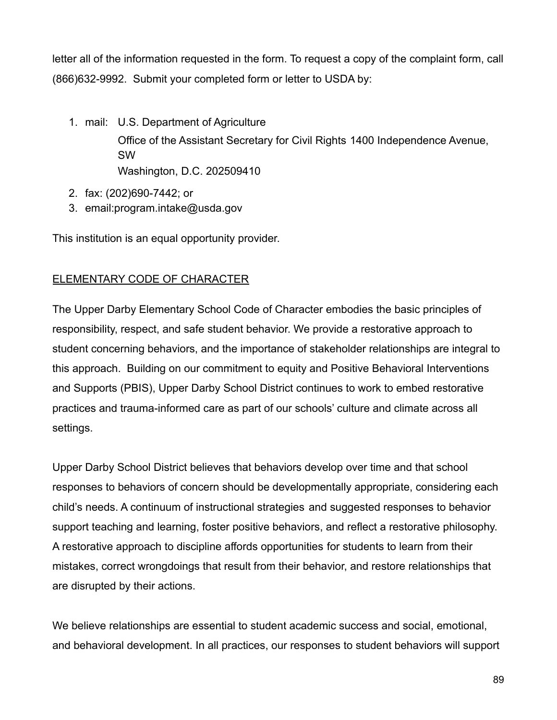letter all of the information requested in the form. To request a copy of the complaint form, call (866)632-9992. Submit your completed form or letter to USDA by:

1. mail: U.S. Department of Agriculture

Office of the Assistant Secretary for Civil Rights 1400 Independence Avenue, SW Washington, D.C. 202509410

- 2. fax: (202)690-7442; or
- 3. email:program.intake@usda.gov

This institution is an equal opportunity provider.

# ELEMENTARY CODE OF CHARACTER

The Upper Darby Elementary School Code of Character embodies the basic principles of responsibility, respect, and safe student behavior. We provide a restorative approach to student concerning behaviors, and the importance of stakeholder relationships are integral to this approach. Building on our commitment to equity and Positive Behavioral Interventions and Supports (PBIS), Upper Darby School District continues to work to embed restorative practices and trauma-informed care as part of our schools' culture and climate across all settings.

Upper Darby School District believes that behaviors develop over time and that school responses to behaviors of concern should be developmentally appropriate, considering each child's needs. A continuum of instructional strategies and suggested responses to behavior support teaching and learning, foster positive behaviors, and reflect a restorative philosophy. A restorative approach to discipline affords opportunities for students to learn from their mistakes, correct wrongdoings that result from their behavior, and restore relationships that are disrupted by their actions.

We believe relationships are essential to student academic success and social, emotional, and behavioral development. In all practices, our responses to student behaviors will support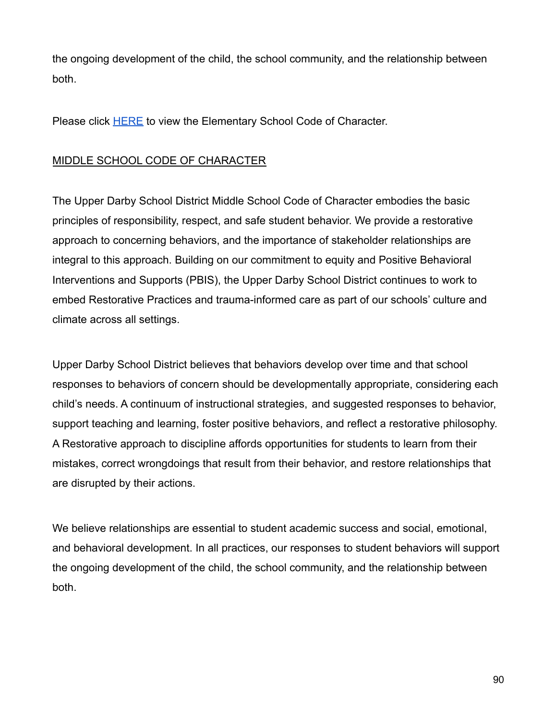the ongoing development of the child, the school community, and the relationship between both.

Please click [HERE](https://docs.google.com/document/d/1t-Gswj56WpvJH4ofWeQfpUG83ai_vAeL/edit?usp=sharing&ouid=116589167209028470284&rtpof=true&sd=true) to view the Elementary School Code of Character.

# MIDDLE SCHOOL CODE OF CHARACTER

The Upper Darby School District Middle School Code of Character embodies the basic principles of responsibility, respect, and safe student behavior. We provide a restorative approach to concerning behaviors, and the importance of stakeholder relationships are integral to this approach. Building on our commitment to equity and Positive Behavioral Interventions and Supports (PBIS), the Upper Darby School District continues to work to embed Restorative Practices and trauma-informed care as part of our schools' culture and climate across all settings.

Upper Darby School District believes that behaviors develop over time and that school responses to behaviors of concern should be developmentally appropriate, considering each child's needs. A continuum of instructional strategies, and suggested responses to behavior, support teaching and learning, foster positive behaviors, and reflect a restorative philosophy. A Restorative approach to discipline affords opportunities for students to learn from their mistakes, correct wrongdoings that result from their behavior, and restore relationships that are disrupted by their actions.

We believe relationships are essential to student academic success and social, emotional, and behavioral development. In all practices, our responses to student behaviors will support the ongoing development of the child, the school community, and the relationship between both.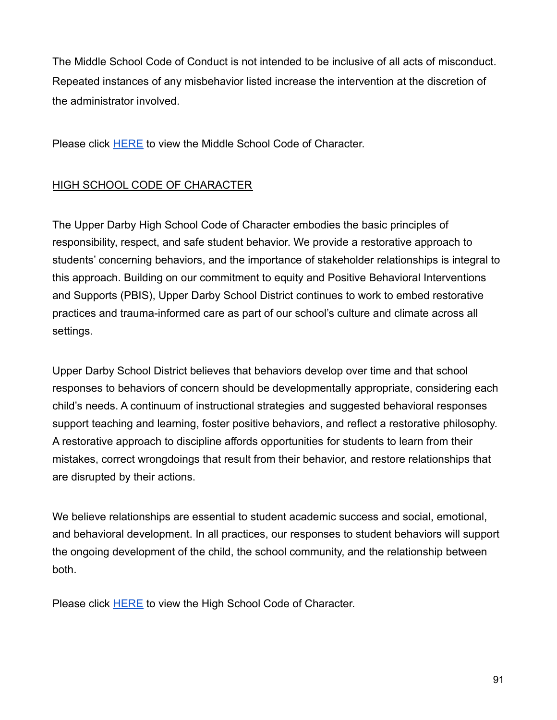The Middle School Code of Conduct is not intended to be inclusive of all acts of misconduct. Repeated instances of any misbehavior listed increase the intervention at the discretion of the administrator involved.

Please click [HERE](https://drive.google.com/file/d/1Tar5s2nmALl09xbd1z5pcFhjRDWBDs5A/view?usp=sharing) to view the Middle School Code of Character.

# HIGH SCHOOL CODE OF CHARACTER

The Upper Darby High School Code of Character embodies the basic principles of responsibility, respect, and safe student behavior. We provide a restorative approach to students' concerning behaviors, and the importance of stakeholder relationships is integral to this approach. Building on our commitment to equity and Positive Behavioral Interventions and Supports (PBIS), Upper Darby School District continues to work to embed restorative practices and trauma-informed care as part of our school's culture and climate across all settings.

Upper Darby School District believes that behaviors develop over time and that school responses to behaviors of concern should be developmentally appropriate, considering each child's needs. A continuum of instructional strategies and suggested behavioral responses support teaching and learning, foster positive behaviors, and reflect a restorative philosophy. A restorative approach to discipline affords opportunities for students to learn from their mistakes, correct wrongdoings that result from their behavior, and restore relationships that are disrupted by their actions.

We believe relationships are essential to student academic success and social, emotional, and behavioral development. In all practices, our responses to student behaviors will support the ongoing development of the child, the school community, and the relationship between both.

Please click **[HERE](https://drive.google.com/file/d/1pnRWxvdTJp3DJnzB3HUb_HucSojnIc5o/view?usp=sharing)** to view the High School Code of Character.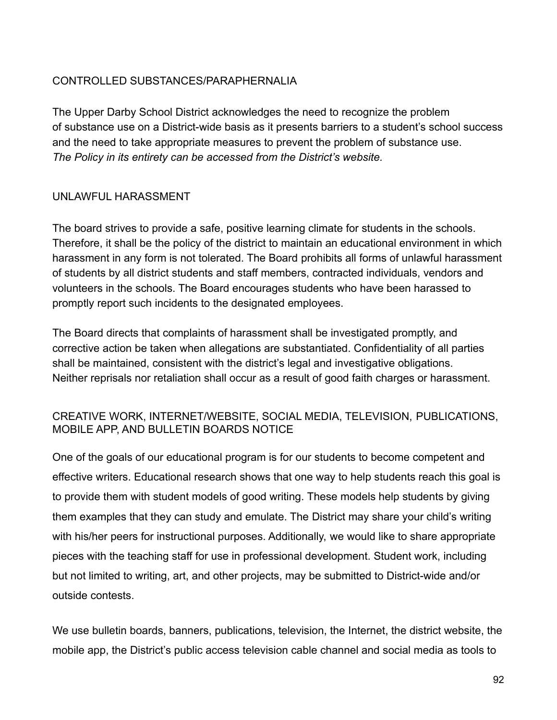# CONTROLLED SUBSTANCES/PARAPHERNALIA

The Upper Darby School District acknowledges the need to recognize the problem of substance use on a District-wide basis as it presents barriers to a student's school success and the need to take appropriate measures to prevent the problem of substance use. *The Policy in its entirety can be accessed from the District's website.*

# UNLAWFUL HARASSMENT

The board strives to provide a safe, positive learning climate for students in the schools. Therefore, it shall be the policy of the district to maintain an educational environment in which harassment in any form is not tolerated. The Board prohibits all forms of unlawful harassment of students by all district students and staff members, contracted individuals, vendors and volunteers in the schools. The Board encourages students who have been harassed to promptly report such incidents to the designated employees.

The Board directs that complaints of harassment shall be investigated promptly, and corrective action be taken when allegations are substantiated. Confidentiality of all parties shall be maintained, consistent with the district's legal and investigative obligations. Neither reprisals nor retaliation shall occur as a result of good faith charges or harassment.

# CREATIVE WORK, INTERNET/WEBSITE, SOCIAL MEDIA, TELEVISION, PUBLICATIONS, MOBILE APP, AND BULLETIN BOARDS NOTICE

One of the goals of our educational program is for our students to become competent and effective writers. Educational research shows that one way to help students reach this goal is to provide them with student models of good writing. These models help students by giving them examples that they can study and emulate. The District may share your child's writing with his/her peers for instructional purposes. Additionally, we would like to share appropriate pieces with the teaching staff for use in professional development. Student work, including but not limited to writing, art, and other projects, may be submitted to District-wide and/or outside contests.

We use bulletin boards, banners, publications, television, the Internet, the district website, the mobile app, the District's public access television cable channel and social media as tools to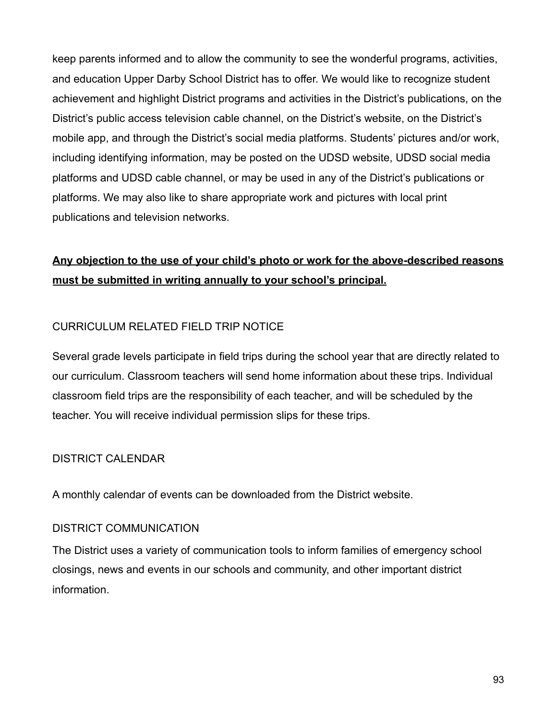keep parents informed and to allow the community to see the wonderful programs, activities, and education Upper Darby School District has to offer. We would like to recognize student achievement and highlight District programs and activities in the District's publications, on the District's public access television cable channel, on the District's website, on the District's mobile app, and through the District's social media platforms. Students' pictures and/or work, including identifying information, may be posted on the UDSD website, UDSD social media platforms and UDSD cable channel, or may be used in any of the District's publications or platforms. We may also like to share appropriate work and pictures with local print publications and television networks.

# **Any objection to the use of your child's photo or work for the above-described reasons must be submitted in writing annually to your school's principal.**

# CURRICULUM RELATED FIELD TRIP NOTICE

Several grade levels participate in field trips during the school year that are directly related to our curriculum. Classroom teachers will send home information about these trips. Individual classroom field trips are the responsibility of each teacher, and will be scheduled by the teacher. You will receive individual permission slips for these trips.

#### DISTRICT CALENDAR

A monthly calendar of events can be downloaded from the District website.

#### DISTRICT COMMUNICATION

The District uses a variety of communication tools to inform families of emergency school closings, news and events in our schools and community, and other important district information.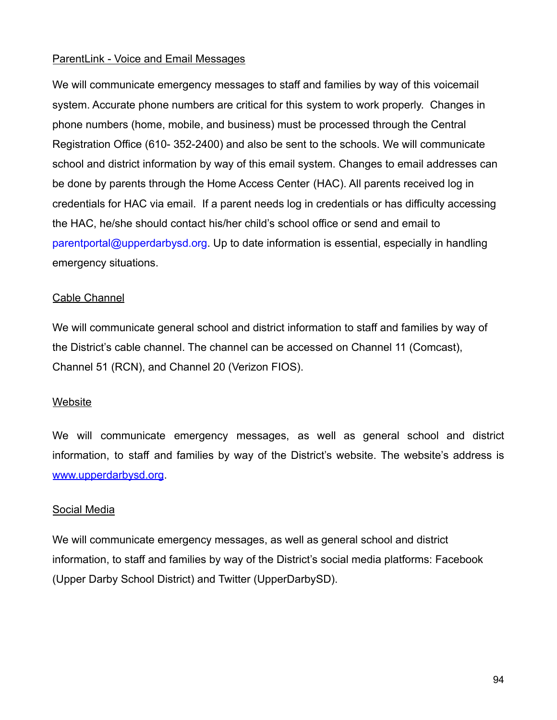## ParentLink - Voice and Email Messages

We will communicate emergency messages to staff and families by way of this voicemail system. Accurate phone numbers are critical for this system to work properly. Changes in phone numbers (home, mobile, and business) must be processed through the Central Registration Office (610- 352-2400) and also be sent to the schools. We will communicate school and district information by way of this email system. Changes to email addresses can be done by parents through the Home Access Center (HAC). All parents received log in credentials for HAC via email. If a parent needs log in credentials or has difficulty accessing the HAC, he/she should contact his/her child's school office or send and email to parentportal@upperdarbysd.org. Up to date information is essential, especially in handling emergency situations.

#### Cable Channel

We will communicate general school and district information to staff and families by way of the District's cable channel. The channel can be accessed on Channel 11 (Comcast), Channel 51 (RCN), and Channel 20 (Verizon FIOS).

#### **Website**

We will communicate emergency messages, as well as general school and district information, to staff and families by way of the District's website. The website's address i[s](http://www.upperdarbysd.org/) [www.upperdarbysd.org.](http://www.upperdarbysd.org/)

# Social Media

We will communicate emergency messages, as well as general school and district information, to staff and families by way of the District's social media platforms: Facebook (Upper Darby School District) and Twitter (UpperDarbySD).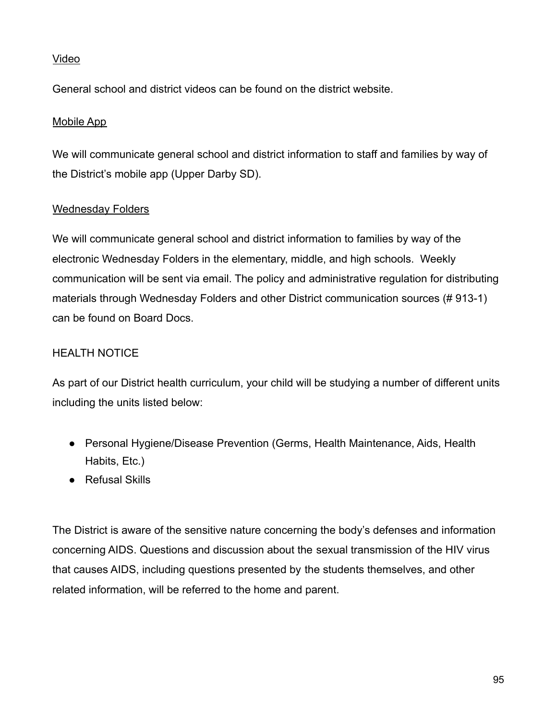# Video

General school and district videos can be found on the district website.

# Mobile App

We will communicate general school and district information to staff and families by way of the District's mobile app (Upper Darby SD).

# Wednesday Folders

We will communicate general school and district information to families by way of the electronic Wednesday Folders in the elementary, middle, and high schools. Weekly communication will be sent via email. The policy and administrative regulation for distributing materials through Wednesday Folders and other District communication sources (# 913-1) can be found on Board Docs.

# HEALTH NOTICE

As part of our District health curriculum, your child will be studying a number of different units including the units listed below:

- Personal Hygiene/Disease Prevention (Germs, Health Maintenance, Aids, Health Habits, Etc.)
- Refusal Skills

The District is aware of the sensitive nature concerning the body's defenses and information concerning AIDS. Questions and discussion about the sexual transmission of the HIV virus that causes AIDS, including questions presented by the students themselves, and other related information, will be referred to the home and parent.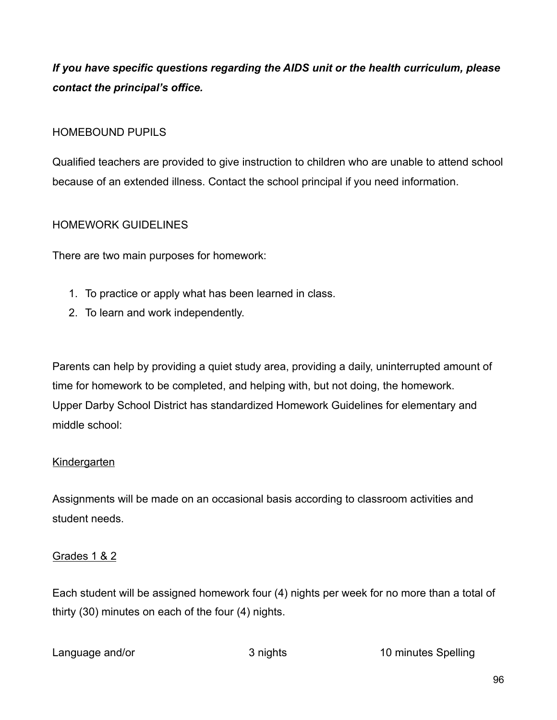*If you have specific questions regarding the AIDS unit or the health curriculum, please contact the principal's office.*

# HOMEBOUND PUPILS

Qualified teachers are provided to give instruction to children who are unable to attend school because of an extended illness. Contact the school principal if you need information.

# HOMEWORK GUIDELINES

There are two main purposes for homework:

- 1. To practice or apply what has been learned in class.
- 2. To learn and work independently.

Parents can help by providing a quiet study area, providing a daily, uninterrupted amount of time for homework to be completed, and helping with, but not doing, the homework. Upper Darby School District has standardized Homework Guidelines for elementary and middle school:

# **Kindergarten**

Assignments will be made on an occasional basis according to classroom activities and student needs.

#### Grades 1 & 2

Each student will be assigned homework four (4) nights per week for no more than a total of thirty (30) minutes on each of the four (4) nights.

Language and/or 3 nights 10 minutes Spelling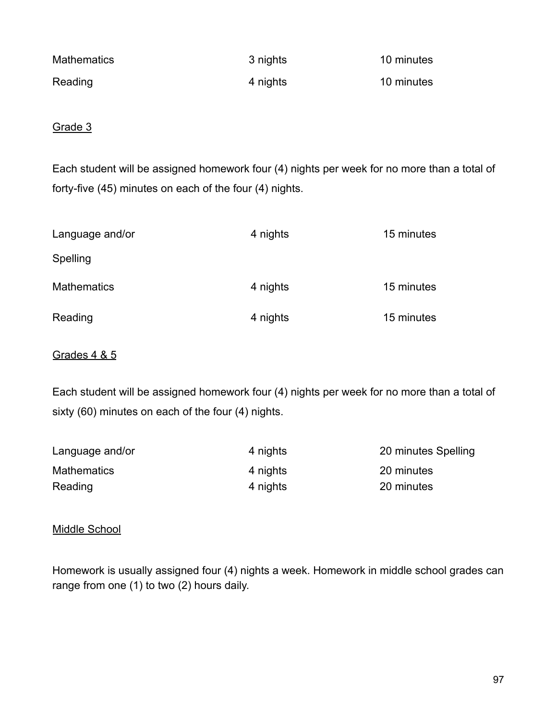| <b>Mathematics</b> | 3 nights | 10 minutes |
|--------------------|----------|------------|
| Reading            | 4 nights | 10 minutes |

Grade 3

Each student will be assigned homework four (4) nights per week for no more than a total of forty-five (45) minutes on each of the four (4) nights.

| Language and/or    | 4 nights | 15 minutes |
|--------------------|----------|------------|
| <b>Spelling</b>    |          |            |
| <b>Mathematics</b> | 4 nights | 15 minutes |
| Reading            | 4 nights | 15 minutes |

## Grades 4 & 5

Each student will be assigned homework four (4) nights per week for no more than a total of sixty (60) minutes on each of the four (4) nights.

| Language and/or    | 4 nights | 20 minutes Spelling |
|--------------------|----------|---------------------|
| <b>Mathematics</b> | 4 nights | 20 minutes          |
| Reading            | 4 nights | 20 minutes          |

# Middle School

Homework is usually assigned four (4) nights a week. Homework in middle school grades can range from one (1) to two (2) hours daily.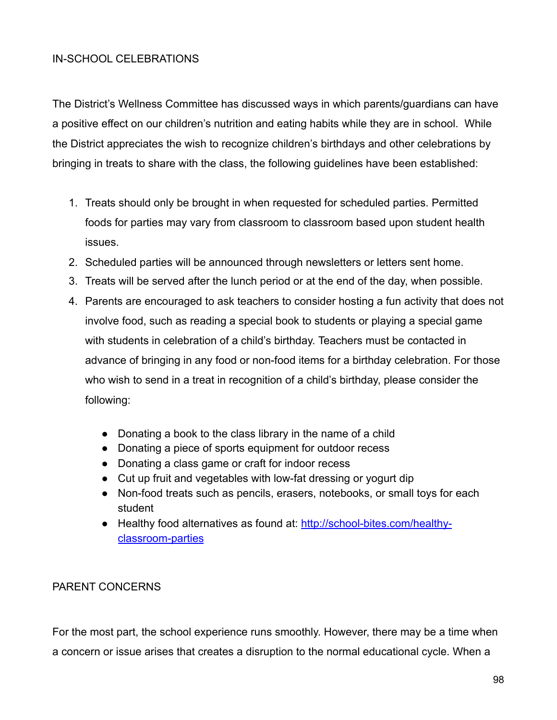# IN-SCHOOL CELEBRATIONS

The District's Wellness Committee has discussed ways in which parents/guardians can have a positive effect on our children's nutrition and eating habits while they are in school. While the District appreciates the wish to recognize children's birthdays and other celebrations by bringing in treats to share with the class, the following guidelines have been established:

- 1. Treats should only be brought in when requested for scheduled parties. Permitted foods for parties may vary from classroom to classroom based upon student health issues.
- 2. Scheduled parties will be announced through newsletters or letters sent home.
- 3. Treats will be served after the lunch period or at the end of the day, when possible.
- 4. Parents are encouraged to ask teachers to consider hosting a fun activity that does not involve food, such as reading a special book to students or playing a special game with students in celebration of a child's birthday. Teachers must be contacted in advance of bringing in any food or non-food items for a birthday celebration. For those who wish to send in a treat in recognition of a child's birthday, please consider the following:
	- Donating a book to the class library in the name of a child
	- Donating a piece of sports equipment for outdoor recess
	- Donating a class game or craft for indoor recess
	- Cut up fruit and vegetables with low-fat dressing or yogurt dip
	- Non-food treats such as pencils, erasers, notebooks, or small toys for each student
	- Healthy food alternatives as found at: [http://school-bites.com/healthy](http://school-bites.com/healthy-)classroom-parties

# PARENT CONCERNS

For the most part, the school experience runs smoothly. However, there may be a time when a concern or issue arises that creates a disruption to the normal educational cycle. When a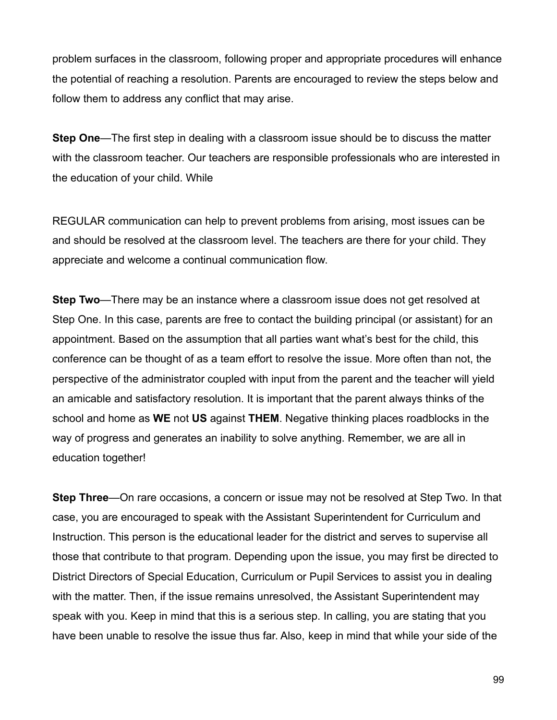problem surfaces in the classroom, following proper and appropriate procedures will enhance the potential of reaching a resolution. Parents are encouraged to review the steps below and follow them to address any conflict that may arise.

**Step One**—The first step in dealing with a classroom issue should be to discuss the matter with the classroom teacher. Our teachers are responsible professionals who are interested in the education of your child. While

REGULAR communication can help to prevent problems from arising, most issues can be and should be resolved at the classroom level. The teachers are there for your child. They appreciate and welcome a continual communication flow.

**Step Two**—There may be an instance where a classroom issue does not get resolved at Step One. In this case, parents are free to contact the building principal (or assistant) for an appointment. Based on the assumption that all parties want what's best for the child, this conference can be thought of as a team effort to resolve the issue. More often than not, the perspective of the administrator coupled with input from the parent and the teacher will yield an amicable and satisfactory resolution. It is important that the parent always thinks of the school and home as **WE** not **US** against **THEM**. Negative thinking places roadblocks in the way of progress and generates an inability to solve anything. Remember, we are all in education together!

**Step Three**—On rare occasions, a concern or issue may not be resolved at Step Two. In that case, you are encouraged to speak with the Assistant Superintendent for Curriculum and Instruction. This person is the educational leader for the district and serves to supervise all those that contribute to that program. Depending upon the issue, you may first be directed to District Directors of Special Education, Curriculum or Pupil Services to assist you in dealing with the matter. Then, if the issue remains unresolved, the Assistant Superintendent may speak with you. Keep in mind that this is a serious step. In calling, you are stating that you have been unable to resolve the issue thus far. Also, keep in mind that while your side of the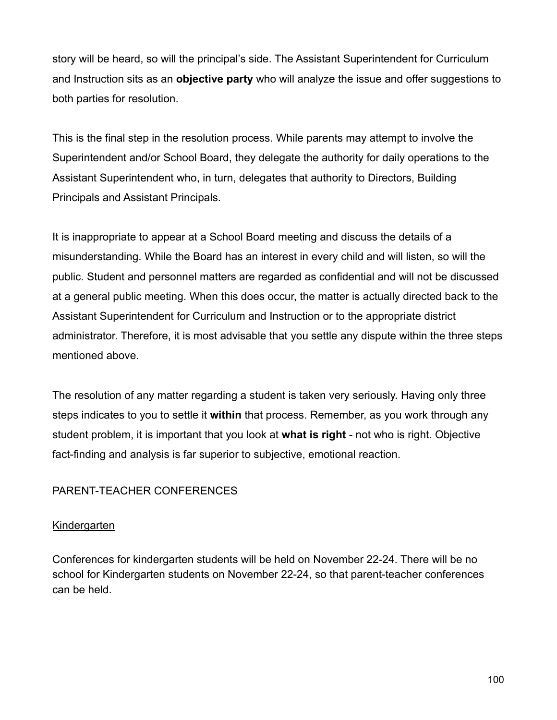story will be heard, so will the principal's side. The Assistant Superintendent for Curriculum and Instruction sits as an **objective party** who will analyze the issue and offer suggestions to both parties for resolution.

This is the final step in the resolution process. While parents may attempt to involve the Superintendent and/or School Board, they delegate the authority for daily operations to the Assistant Superintendent who, in turn, delegates that authority to Directors, Building Principals and Assistant Principals.

It is inappropriate to appear at a School Board meeting and discuss the details of a misunderstanding. While the Board has an interest in every child and will listen, so will the public. Student and personnel matters are regarded as confidential and will not be discussed at a general public meeting. When this does occur, the matter is actually directed back to the Assistant Superintendent for Curriculum and Instruction or to the appropriate district administrator. Therefore, it is most advisable that you settle any dispute within the three steps mentioned above.

The resolution of any matter regarding a student is taken very seriously. Having only three steps indicates to you to settle it **within** that process. Remember, as you work through any student problem, it is important that you look at **what is right** - not who is right. Objective fact-finding and analysis is far superior to subjective, emotional reaction.

# PARENT-TEACHER CONFERENCES

#### **Kindergarten**

Conferences for kindergarten students will be held on November 22-24. There will be no school for Kindergarten students on November 22-24, so that parent-teacher conferences can be held.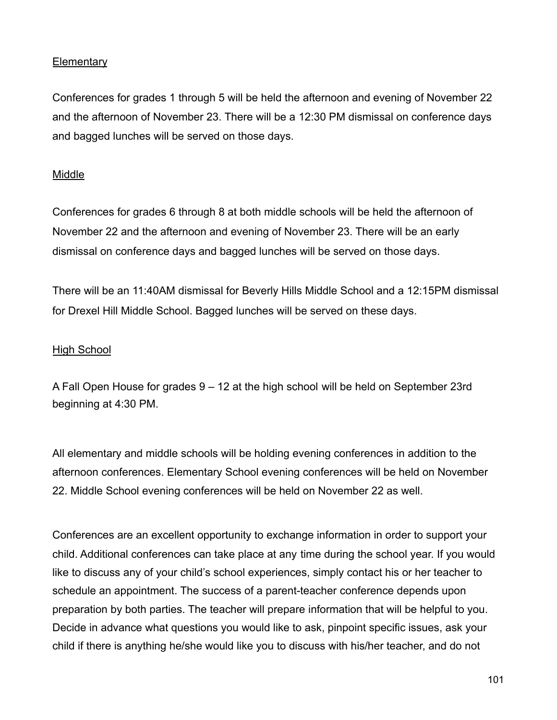## **Elementary**

Conferences for grades 1 through 5 will be held the afternoon and evening of November 22 and the afternoon of November 23. There will be a 12:30 PM dismissal on conference days and bagged lunches will be served on those days.

#### **Middle**

Conferences for grades 6 through 8 at both middle schools will be held the afternoon of November 22 and the afternoon and evening of November 23. There will be an early dismissal on conference days and bagged lunches will be served on those days.

There will be an 11:40AM dismissal for Beverly Hills Middle School and a 12:15PM dismissal for Drexel Hill Middle School. Bagged lunches will be served on these days.

# High School

A Fall Open House for grades 9 – 12 at the high school will be held on September 23rd beginning at 4:30 PM.

All elementary and middle schools will be holding evening conferences in addition to the afternoon conferences. Elementary School evening conferences will be held on November 22. Middle School evening conferences will be held on November 22 as well.

Conferences are an excellent opportunity to exchange information in order to support your child. Additional conferences can take place at any time during the school year. If you would like to discuss any of your child's school experiences, simply contact his or her teacher to schedule an appointment. The success of a parent-teacher conference depends upon preparation by both parties. The teacher will prepare information that will be helpful to you. Decide in advance what questions you would like to ask, pinpoint specific issues, ask your child if there is anything he/she would like you to discuss with his/her teacher, and do not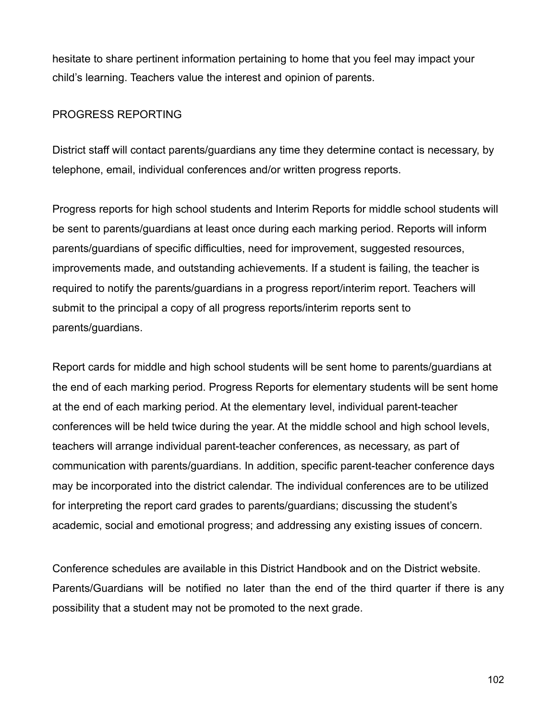hesitate to share pertinent information pertaining to home that you feel may impact your child's learning. Teachers value the interest and opinion of parents.

# PROGRESS REPORTING

District staff will contact parents/guardians any time they determine contact is necessary, by telephone, email, individual conferences and/or written progress reports.

Progress reports for high school students and Interim Reports for middle school students will be sent to parents/guardians at least once during each marking period. Reports will inform parents/guardians of specific difficulties, need for improvement, suggested resources, improvements made, and outstanding achievements. If a student is failing, the teacher is required to notify the parents/guardians in a progress report/interim report. Teachers will submit to the principal a copy of all progress reports/interim reports sent to parents/guardians.

Report cards for middle and high school students will be sent home to parents/guardians at the end of each marking period. Progress Reports for elementary students will be sent home at the end of each marking period. At the elementary level, individual parent-teacher conferences will be held twice during the year. At the middle school and high school levels, teachers will arrange individual parent-teacher conferences, as necessary, as part of communication with parents/guardians. In addition, specific parent-teacher conference days may be incorporated into the district calendar. The individual conferences are to be utilized for interpreting the report card grades to parents/guardians; discussing the student's academic, social and emotional progress; and addressing any existing issues of concern.

Conference schedules are available in this District Handbook and on the District website. Parents/Guardians will be notified no later than the end of the third quarter if there is any possibility that a student may not be promoted to the next grade.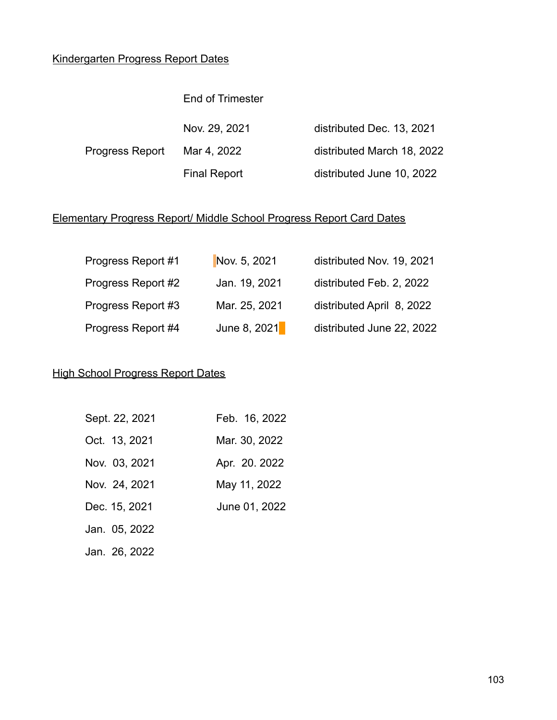# Kindergarten Progress Report Dates

#### End of Trimester

Nov. 29, 2021 distributed Dec. 13, 2021

Progress Report Mar 4, 2022 distributed March 18, 2022 Final Report distributed June 10, 2022

# Elementary Progress Report/ Middle School Progress Report Card Dates

| Progress Report #1 | Nov. 5, 2021  | distributed Nov. 19, 2021 |
|--------------------|---------------|---------------------------|
| Progress Report #2 | Jan. 19, 2021 | distributed Feb. 2, 2022  |
| Progress Report #3 | Mar. 25, 2021 | distributed April 8, 2022 |
| Progress Report #4 | June 8, 2021  | distributed June 22, 2022 |

## High School Progress Report Dates

| Sept. 22, 2021 | Feb. 16, 2022 |
|----------------|---------------|
| Oct. 13, 2021  | Mar. 30, 2022 |
| Nov. 03, 2021  | Apr. 20. 2022 |
| Nov. 24, 2021  | May 11, 2022  |
| Dec. 15, 2021  | June 01, 2022 |
| Jan. 05, 2022  |               |
| Jan. 26, 2022  |               |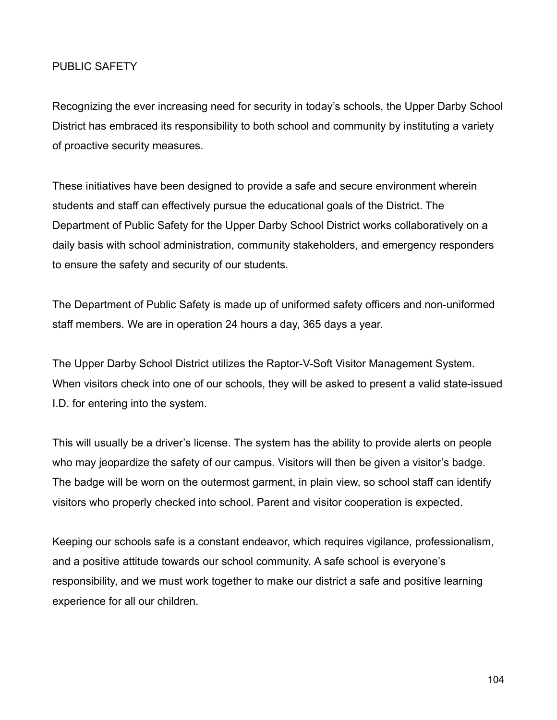### PUBLIC SAFETY

Recognizing the ever increasing need for security in today's schools, the Upper Darby School District has embraced its responsibility to both school and community by instituting a variety of proactive security measures.

These initiatives have been designed to provide a safe and secure environment wherein students and staff can effectively pursue the educational goals of the District. The Department of Public Safety for the Upper Darby School District works collaboratively on a daily basis with school administration, community stakeholders, and emergency responders to ensure the safety and security of our students.

The Department of Public Safety is made up of uniformed safety officers and non-uniformed staff members. We are in operation 24 hours a day, 365 days a year.

The Upper Darby School District utilizes the Raptor-V-Soft Visitor Management System. When visitors check into one of our schools, they will be asked to present a valid state-issued I.D. for entering into the system.

This will usually be a driver's license. The system has the ability to provide alerts on people who may jeopardize the safety of our campus. Visitors will then be given a visitor's badge. The badge will be worn on the outermost garment, in plain view, so school staff can identify visitors who properly checked into school. Parent and visitor cooperation is expected.

Keeping our schools safe is a constant endeavor, which requires vigilance, professionalism, and a positive attitude towards our school community. A safe school is everyone's responsibility, and we must work together to make our district a safe and positive learning experience for all our children.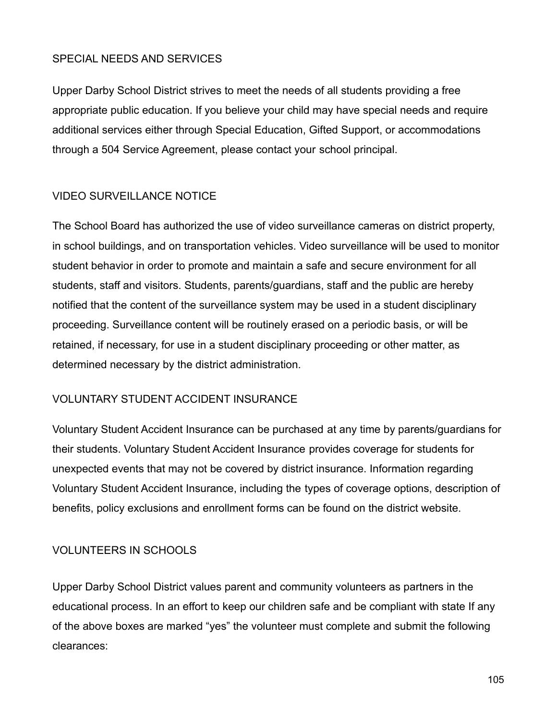### SPECIAL NEEDS AND SERVICES

Upper Darby School District strives to meet the needs of all students providing a free appropriate public education. If you believe your child may have special needs and require additional services either through Special Education, Gifted Support, or accommodations through a 504 Service Agreement, please contact your school principal.

# VIDEO SURVEILLANCE NOTICE

The School Board has authorized the use of video surveillance cameras on district property, in school buildings, and on transportation vehicles. Video surveillance will be used to monitor student behavior in order to promote and maintain a safe and secure environment for all students, staff and visitors. Students, parents/guardians, staff and the public are hereby notified that the content of the surveillance system may be used in a student disciplinary proceeding. Surveillance content will be routinely erased on a periodic basis, or will be retained, if necessary, for use in a student disciplinary proceeding or other matter, as determined necessary by the district administration.

# VOLUNTARY STUDENT ACCIDENT INSURANCE

Voluntary Student Accident Insurance can be purchased at any time by parents/guardians for their students. Voluntary Student Accident Insurance provides coverage for students for unexpected events that may not be covered by district insurance. Information regarding Voluntary Student Accident Insurance, including the types of coverage options, description of benefits, policy exclusions and enrollment forms can be found on the district website.

# VOLUNTEERS IN SCHOOLS

Upper Darby School District values parent and community volunteers as partners in the educational process. In an effort to keep our children safe and be compliant with state If any of the above boxes are marked "yes" the volunteer must complete and submit the following clearances: